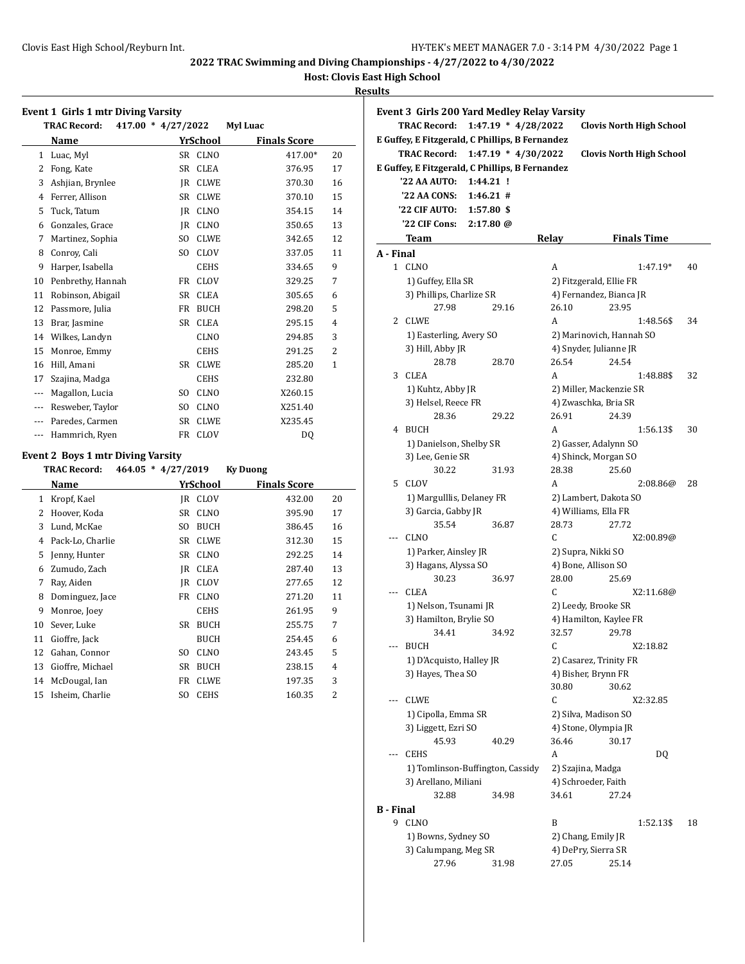**Host: Clovis East High School**

#### **Results**

|  | Event 1 Girls 1 mtr Diving Varsity |  |
|--|------------------------------------|--|
|  |                                    |  |

|     | <b>TRAC Record:</b> | 417.00 * 4/27/2022                       |                        | <b>Myl Luac</b>     |              |
|-----|---------------------|------------------------------------------|------------------------|---------------------|--------------|
|     | Name                |                                          | YrSchool               | <b>Finals Score</b> |              |
| 1   | Luac, Myl           | SR                                       | <b>CLNO</b>            | 417.00*             | 20           |
| 2   | Fong, Kate          | <b>SR</b>                                | CLEA                   | 376.95              | 17           |
| 3   | Ashjian, Brynlee    | JR                                       | <b>CLWE</b>            | 370.30              | 16           |
| 4   | Ferrer, Allison     | <b>SR</b>                                | <b>CLWE</b>            | 370.10              | 15           |
| 5   | Tuck, Tatum         | <b>JR</b>                                | <b>CLNO</b>            | 354.15              | 14           |
| 6   | Gonzales, Grace     | <b>JR</b>                                | <b>CLNO</b>            | 350.65              | 13           |
| 7   | Martinez, Sophia    | S <sub>O</sub>                           | <b>CLWE</b>            | 342.65              | 12           |
| 8   | Conroy, Cali        | S <sub>O</sub>                           | <b>CLOV</b>            | 337.05              | 11           |
| 9   | Harper, Isabella    |                                          | <b>CEHS</b>            | 334.65              | 9            |
| 10  | Penbrethy, Hannah   | FR                                       | CLOV                   | 329.25              | 7            |
| 11  | Robinson, Abigail   | <b>SR</b>                                | CLEA                   | 305.65              | 6            |
| 12  | Passmore, Julia     | FR<br><b>BUCH</b>                        |                        | 298.20              | 5            |
| 13  | Brar, Jasmine       | <b>SR</b>                                | <b>CLEA</b>            | 295.15              | 4            |
| 14  | Wilkes, Landyn      |                                          | <b>CLNO</b>            | 294.85              | 3            |
| 15  | Monroe, Emmy        |                                          | <b>CEHS</b>            | 291.25              | 2            |
| 16  | Hill, Amani         | SR                                       | <b>CLWE</b>            | 285.20              | $\mathbf{1}$ |
| 17  | Szajina, Madga      |                                          | <b>CEHS</b>            | 232.80              |              |
| --- | Magallon, Lucia     | S <sub>O</sub>                           | <b>CLNO</b>            | X260.15             |              |
| --- | Resweber, Taylor    | X251.40<br>S <sub>0</sub><br><b>CLNO</b> |                        |                     |              |
|     | Paredes, Carmen     | <b>SR</b>                                | X235.45<br><b>CLWE</b> |                     |              |
| --- | Hammrich, Ryen      | FR                                       | <b>CLOV</b>            | DQ                  |              |

### **TRAC Record: 464.05 \* 4/27/2019 Ky Duong Name** *YrSchool* **<b>Finals Score** 1 Kropf, Kael JR CLOV 432.00 20 2 Hoover, Koda SR CLNO 395.90 17 3 Lund, McKae SO BUCH 386.45 16 4 Pack-Lo, Charlie SR CLWE 312.30 15 5 Jenny, Hunter SR CLNO 292.25 14 6 Zumudo, Zach JR CLEA 287.40 13 7 Ray, Aiden JR CLOV 277.65 12 8 Dominguez, Jace FR CLNO 271.20 11 9 Monroe, Joey CEHS 261.95 9 10 Sever, Luke SR BUCH 255.75 7 11 Gioffre, Jack BUCH 254.45 6 12 Gahan, Connor SO CLNO 243.45 5 13 Gioffre, Michael SR BUCH 238.15 4 14 McDougal, Ian FR CLWE 197.35 3 15 Isheim, Charlie SO CEHS 160.35 2

|                  | <b>Event 3 Girls 200 Yard Medley Relay Varsity</b><br><b>TRAC Record:</b> | $1:47.19 * 4/28/2022$ |                      | <b>Clovis North High School</b>                    |                    |    |
|------------------|---------------------------------------------------------------------------|-----------------------|----------------------|----------------------------------------------------|--------------------|----|
|                  | E Guffey, E Fitzgerald, C Phillips, B Fernandez<br><b>TRAC Record:</b>    | $1:47.19 * 4/30/2022$ |                      | <b>Clovis North High School</b>                    |                    |    |
|                  | E Guffey, E Fitzgerald, C Phillips, B Fernandez                           |                       |                      |                                                    |                    |    |
|                  | '22 AA AUTO:<br>$1:44.21$ !                                               |                       |                      |                                                    |                    |    |
|                  | '22 AA CONS:<br>1:46.21#                                                  |                       |                      |                                                    |                    |    |
|                  | '22 CIF AUTO:<br>1:57.80S<br>'22 CIF Cons:<br>$2:17.80 \; \omega$         |                       |                      |                                                    |                    |    |
|                  |                                                                           |                       |                      |                                                    |                    |    |
|                  | Team                                                                      |                       | Relay                |                                                    | <b>Finals Time</b> |    |
| A - Final        | 1 CLNO                                                                    |                       |                      |                                                    |                    |    |
|                  |                                                                           |                       | A                    |                                                    | 1:47.19*           | 40 |
|                  | 1) Guffey, Ella SR<br>3) Phillips, Charlize SR                            |                       |                      | 2) Fitzgerald, Ellie FR<br>4) Fernandez, Bianca JR |                    |    |
|                  | 27.98                                                                     | 29.16                 | 26.10                | 23.95                                              |                    |    |
| 2                | <b>CLWE</b>                                                               |                       | A                    |                                                    | 1:48.56\$          | 34 |
|                  | 1) Easterling, Avery SO                                                   |                       |                      | 2) Marinovich, Hannah SO                           |                    |    |
|                  | 3) Hill, Abby JR                                                          |                       |                      | 4) Snyder, Julianne JR                             |                    |    |
|                  | 28.78                                                                     | 28.70                 | 26.54                | 24.54                                              |                    |    |
| 3                | <b>CLEA</b>                                                               |                       | A                    |                                                    | 1:48.88\$          | 32 |
|                  | 1) Kuhtz, Abby JR                                                         |                       |                      | 2) Miller, Mackenzie SR                            |                    |    |
|                  | 3) Helsel, Reece FR                                                       |                       | 4) Zwaschka, Bria SR |                                                    |                    |    |
|                  | 28.36                                                                     | 29.22                 | 26.91                | 24.39                                              |                    |    |
|                  | 4 BUCH                                                                    |                       | A                    |                                                    | 1:56.13\$          | 30 |
|                  | 1) Danielson, Shelby SR                                                   |                       |                      | 2) Gasser, Adalynn SO                              |                    |    |
|                  | 3) Lee, Genie SR                                                          |                       |                      | 4) Shinck, Morgan SO                               |                    |    |
|                  | 30.22                                                                     | 31.93                 | 28.38                | 25.60                                              |                    |    |
| 5                | CLOV                                                                      |                       | A                    |                                                    | 2:08.86@           | 28 |
|                  | 1) Margulllis, Delaney FR                                                 |                       |                      | 2) Lambert, Dakota SO                              |                    |    |
|                  | 3) Garcia, Gabby JR                                                       |                       | 4) Williams, Ella FR |                                                    |                    |    |
|                  | 35.54                                                                     | 36.87                 | 28.73                | 27.72                                              |                    |    |
|                  | <b>CLNO</b>                                                               |                       | C                    |                                                    | X2:00.89@          |    |
|                  | 1) Parker, Ainsley JR                                                     |                       | 2) Supra, Nikki SO   |                                                    |                    |    |
|                  | 3) Hagans, Alyssa SO                                                      |                       | 4) Bone, Allison SO  |                                                    |                    |    |
|                  | 30.23                                                                     | 36.97                 | 28.00                | 25.69                                              |                    |    |
|                  | <b>CLEA</b>                                                               |                       | C                    |                                                    | X2:11.68@          |    |
|                  | 1) Nelson, Tsunami JR                                                     |                       | 2) Leedy, Brooke SR  |                                                    |                    |    |
|                  | 3) Hamilton, Brylie SO<br>34.41                                           | 34.92                 |                      | 4) Hamilton, Kaylee FR<br>29.78                    |                    |    |
| ---              |                                                                           |                       | 32.57<br>С           |                                                    |                    |    |
|                  | <b>BUCH</b><br>1) D'Acquisto, Halley JR                                   |                       |                      | 2) Casarez, Trinity FR                             | X2:18.82           |    |
|                  | 3) Hayes, Thea SO                                                         |                       | 4) Bisher, Brynn FR  |                                                    |                    |    |
|                  |                                                                           |                       | 30.80                | 30.62                                              |                    |    |
| ---              | CLWE                                                                      |                       | С                    |                                                    | X2:32.85           |    |
|                  | 1) Cipolla, Emma SR                                                       |                       | 2) Silva, Madison SO |                                                    |                    |    |
|                  | 3) Liggett, Ezri SO                                                       |                       | 4) Stone, Olympia JR |                                                    |                    |    |
|                  | 45.93                                                                     | 40.29                 | 36.46                | 30.17                                              |                    |    |
| ---              | <b>CEHS</b>                                                               |                       | A                    |                                                    | DQ                 |    |
|                  | 1) Tomlinson-Buffington, Cassidy                                          |                       | 2) Szajina, Madga    |                                                    |                    |    |
|                  | 3) Arellano, Miliani                                                      |                       | 4) Schroeder, Faith  |                                                    |                    |    |
|                  | 32.88                                                                     | 34.98                 | 34.61                | 27.24                                              |                    |    |
| <b>B</b> - Final |                                                                           |                       |                      |                                                    |                    |    |
| 9                | <b>CLNO</b>                                                               |                       | B                    |                                                    | 1:52.13\$          | 18 |
|                  | 1) Bowns, Sydney SO                                                       |                       | 2) Chang, Emily JR   |                                                    |                    |    |
|                  | 3) Calumpang, Meg SR                                                      |                       | 4) DePry, Sierra SR  |                                                    |                    |    |
|                  | 27.96                                                                     | 31.98                 | 27.05                | 25.14                                              |                    |    |
|                  |                                                                           |                       |                      |                                                    |                    |    |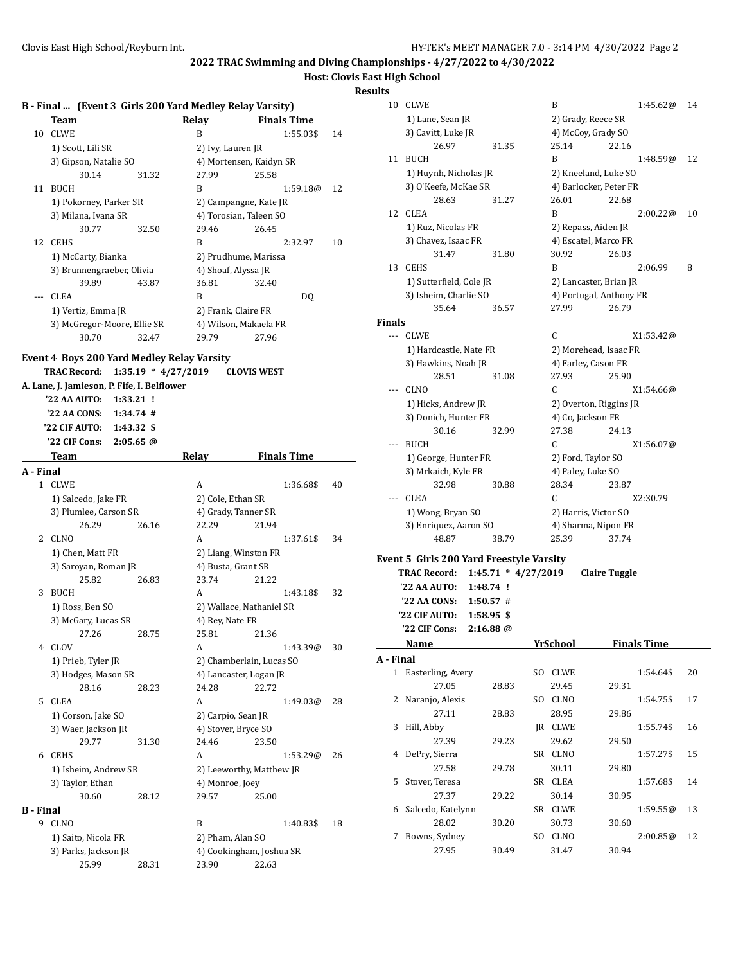## **Host: Clovis East High School**

|                  | B - Final  (Event 3 Girls 200 Yard Medley Relay Varsity)<br>Team | Relay                 | <b>Finals Time</b>       |     |
|------------------|------------------------------------------------------------------|-----------------------|--------------------------|-----|
|                  | 10 CLWE                                                          | B                     | 1:55.03\$                | 14  |
|                  | 1) Scott, Lili SR                                                |                       | 2) Ivy, Lauren JR        |     |
|                  | 3) Gipson, Natalie SO                                            |                       | 4) Mortensen, Kaidyn SR  |     |
|                  | 30.14                                                            | 27.99<br>31.32        | 25.58                    |     |
|                  | 11 BUCH                                                          | B                     | 1:59.18@                 | 12  |
|                  | 1) Pokorney, Parker SR                                           |                       | 2) Campangne, Kate JR    |     |
|                  | 3) Milana, Ivana SR                                              |                       | 4) Torosian, Taleen SO   |     |
|                  | 30.77                                                            | 32.50<br>29.46        | 26.45                    |     |
|                  | 12 CEHS                                                          | B                     | 2:32.97                  | 10  |
|                  | 1) McCarty, Bianka                                               |                       | 2) Prudhume, Marissa     |     |
|                  | 3) Brunnengraeber, Olivia                                        |                       | 4) Shoaf, Alyssa JR      |     |
|                  | 39.89                                                            | 36.81<br>43.87        | 32.40                    |     |
| ---              | <b>CLEA</b>                                                      | B                     | DQ                       |     |
|                  | 1) Vertiz, Emma JR                                               |                       | 2) Frank, Claire FR      |     |
|                  | 3) McGregor-Moore, Ellie SR                                      |                       | 4) Wilson, Makaela FR    | Fin |
|                  | 30.70                                                            | 29.79<br>32.47        | 27.96                    |     |
|                  |                                                                  |                       |                          |     |
|                  | <b>Event 4 Boys 200 Yard Medley Relay Varsity</b>                |                       |                          |     |
|                  | <b>TRAC Record:</b>                                              | $1:35.19 * 4/27/2019$ | <b>CLOVIS WEST</b>       |     |
|                  | A. Lane, J. Jamieson, P. Fife, I. Belflower                      |                       |                          |     |
|                  | '22 AA AUTO:<br>$1:33.21$ !                                      |                       |                          |     |
|                  | '22 AA CONS:<br>1:34.74#                                         |                       |                          |     |
|                  | '22 CIF AUTO:<br>1:43.32S                                        |                       |                          |     |
|                  | '22 CIF Cons:<br>$2:05.65 \omega$                                |                       |                          |     |
|                  | Team                                                             | <b>Relay</b>          | <b>Finals Time</b>       |     |
| A - Final        |                                                                  |                       |                          |     |
|                  | 1 CLWE                                                           | A                     | 1:36.68\$                | 40  |
|                  | 1) Salcedo, Jake FR                                              |                       | 2) Cole, Ethan SR        |     |
|                  | 3) Plumlee, Carson SR                                            |                       | 4) Grady, Tanner SR      |     |
|                  | 26.29                                                            | 22.29<br>26.16        | 21.94                    |     |
|                  | 2 CLNO                                                           | A                     | 1:37.61\$                | 34  |
|                  | 1) Chen, Matt FR                                                 |                       | 2) Liang, Winston FR     |     |
|                  | 3) Saroyan, Roman JR                                             |                       | 4) Busta, Grant SR       | Eve |
|                  | 25.82                                                            | 26.83<br>23.74        | 21.22                    |     |
| 3                | BUCH                                                             | А                     | 1:43.18\$                | 32  |
|                  | 1) Ross, Ben SO                                                  |                       | 2) Wallace, Nathaniel SR |     |
|                  | 3) McGary, Lucas SR                                              |                       | 4) Rey, Nate FR          |     |
|                  | 27.26                                                            | 25.81<br>28.75        | 21.36                    |     |
| 4                | CLOV                                                             | A                     | 1:43.39@                 | 30  |
|                  | 1) Prieb, Tyler JR                                               |                       | 2) Chamberlain, Lucas SO | А - |
|                  | 3) Hodges, Mason SR                                              |                       | 4) Lancaster, Logan JR   |     |
|                  | 28.16                                                            | 24.28<br>28.23        | 22.72                    |     |
|                  | 5 CLEA                                                           | A                     | 1:49.03@                 | 28  |
|                  | 1) Corson, Jake SO                                               |                       | 2) Carpio, Sean JR       |     |
|                  | 3) Waer, Jackson JR                                              |                       | 4) Stover, Bryce SO      |     |
|                  | 29.77                                                            | 24.46<br>31.30        | 23.50                    |     |
|                  | 6 CEHS                                                           | A                     | 1:53.29@                 | 26  |
|                  | 1) Isheim, Andrew SR                                             |                       | 2) Leeworthy, Matthew JR |     |
|                  | 3) Taylor, Ethan                                                 |                       | 4) Monroe, Joey          |     |
|                  | 30.60                                                            | 29.57<br>28.12        | 25.00                    |     |
| <b>B</b> - Final |                                                                  |                       |                          |     |
|                  | 9 CLNO                                                           | B                     | 1:40.83\$                | 18  |
|                  | 1) Saito, Nicola FR                                              |                       | 2) Pham, Alan SO         |     |
|                  | 3) Parks, Jackson JR                                             |                       | 4) Cookingham, Joshua SR |     |
|                  | 25.99                                                            | 28.31<br>23.90        | 22.63                    |     |
|                  |                                                                  |                       |                          |     |

| Its          |                                           |                       |    |                  |                         |                    |    |
|--------------|-------------------------------------------|-----------------------|----|------------------|-------------------------|--------------------|----|
| 10           | <b>CLWE</b>                               |                       |    | B                |                         | 1:45.62@           | 14 |
|              | 1) Lane, Sean JR                          |                       |    |                  | 2) Grady, Reece SR      |                    |    |
|              | 3) Cavitt, Luke JR                        |                       |    |                  | 4) McCoy, Grady SO      |                    |    |
|              | 26.97                                     | 31.35                 |    | 25.14            | 22.16                   |                    |    |
| 11           | <b>BUCH</b>                               |                       |    | B                |                         | 1:48.59@           | 12 |
|              | 1) Huynh, Nicholas JR                     |                       |    |                  | 2) Kneeland, Luke SO    |                    |    |
|              | 3) O'Keefe, McKae SR                      |                       |    |                  | 4) Barlocker, Peter FR  |                    |    |
|              | 28.63                                     | 31.27                 |    | 26.01            | 22.68                   |                    |    |
| 12           | CLEA                                      |                       |    | B                |                         | 2:00.22@           | 10 |
|              | 1) Ruz, Nicolas FR                        |                       |    |                  | 2) Repass, Aiden JR     |                    |    |
|              | 3) Chavez, Isaac FR                       |                       |    |                  | 4) Escatel, Marco FR    |                    |    |
|              | 31.47                                     | 31.80                 |    | 30.92            | 26.03                   |                    |    |
| 13           | <b>CEHS</b>                               |                       |    | В                |                         | 2:06.99            | 8  |
|              | 1) Sutterfield, Cole JR                   |                       |    |                  | 2) Lancaster, Brian JR  |                    |    |
|              | 3) Isheim, Charlie SO                     |                       |    |                  | 4) Portugal, Anthony FR |                    |    |
|              | 35.64                                     | 36.57                 |    | 27.99            | 26.79                   |                    |    |
| Finals       |                                           |                       |    |                  |                         |                    |    |
| ---          | <b>CLWE</b>                               |                       |    | C                |                         | X1:53.42@          |    |
|              | 1) Hardcastle, Nate FR                    |                       |    |                  | 2) Morehead, Isaac FR   |                    |    |
|              | 3) Hawkins, Noah JR                       |                       |    |                  | 4) Farley, Cason FR     |                    |    |
|              | 28.51                                     | 31.08                 |    | 27.93            | 25.90                   |                    |    |
|              | <b>CLNO</b>                               |                       |    | С                |                         | X1:54.66@          |    |
|              | 1) Hicks, Andrew JR                       |                       |    |                  | 2) Overton, Riggins JR  |                    |    |
|              | 3) Donich, Hunter FR                      |                       |    |                  | 4) Co, Jackson FR       |                    |    |
|              | 30.16                                     | 32.99                 |    | 27.38            | 24.13                   |                    |    |
| ---          | <b>BUCH</b>                               |                       |    | C                |                         | X1:56.07@          |    |
|              | 1) George, Hunter FR                      |                       |    |                  | 2) Ford, Taylor SO      |                    |    |
|              | 3) Mrkaich, Kyle FR                       |                       |    |                  | 4) Paley, Luke SO       |                    |    |
|              | 32.98                                     | 30.88                 |    | 28.34            | 23.87                   |                    |    |
|              | CLEA                                      |                       |    | C                |                         | X2:30.79           |    |
|              | 1) Wong, Bryan SO                         |                       |    |                  | 2) Harris, Victor SO    |                    |    |
|              | 3) Enriquez, Aaron SO                     |                       |    |                  | 4) Sharma, Nipon FR     |                    |    |
|              | 48.87                                     | 38.79                 |    | 25.39            | 37.74                   |                    |    |
|              | Event 5  Girls 200 Yard Freestyle Varsity |                       |    |                  |                         |                    |    |
|              | TRAC Record:                              | $1:45.71 * 4/27/2019$ |    |                  | <b>Claire Tuggle</b>    |                    |    |
|              | '22 AA AUTO:                              | 1:48.74 !             |    |                  |                         |                    |    |
|              | '22 AA CONS:                              | $1:50.57$ #           |    |                  |                         |                    |    |
|              | '22 CIF AUTO:                             | 1:58.95S              |    |                  |                         |                    |    |
|              | '22 CIF Cons:                             | 2:16.88@              |    |                  |                         |                    |    |
|              | <b>Name</b>                               |                       |    | <b>YrSchool</b>  |                         | <b>Finals Time</b> |    |
| A - Final    |                                           |                       |    |                  |                         |                    |    |
| $\mathbf{1}$ | Easterling, Avery                         |                       |    | SO CLWE          |                         | 1:54.64\$          | 20 |
|              | 27.05                                     | 28.83                 |    | 29.45            | 29.31                   |                    |    |
| 2            | Naranjo, Alexis                           |                       | SO | CLNO             |                         | 1:54.75\$          | 17 |
|              | 27.11                                     | 28.83                 |    | 28.95            | 29.86                   |                    |    |
| 3            | Hill, Abby                                |                       |    | JR CLWE          |                         | 1:55.74\$          | 16 |
|              |                                           |                       |    |                  |                         |                    |    |
| 4            | 27.39<br>DePry, Sierra                    | 29.23                 |    | 29.62<br>SR CLNO | 29.50                   | 1:57.27\$          | 15 |
|              |                                           |                       |    |                  |                         |                    |    |
|              | 27.58                                     | 29.78                 |    | 30.11            | 29.80                   |                    |    |
| 5            | Stover, Teresa                            |                       |    | SR CLEA          |                         | 1:57.68\$          | 14 |
|              | 27.37                                     | 29.22                 |    | 30.14            | 30.95                   |                    |    |
| 6            | Salcedo, Katelynn                         |                       |    | SR CLWE          |                         | 1:59.55@           | 13 |
|              | 28.02                                     | 30.20                 |    | 30.73            | 30.60                   |                    |    |
| 7            | Bowns, Sydney                             |                       | SO | CLNO             |                         | 2:00.85@           | 12 |
|              | 27.95                                     | 30.49                 |    | 31.47            | 30.94                   |                    |    |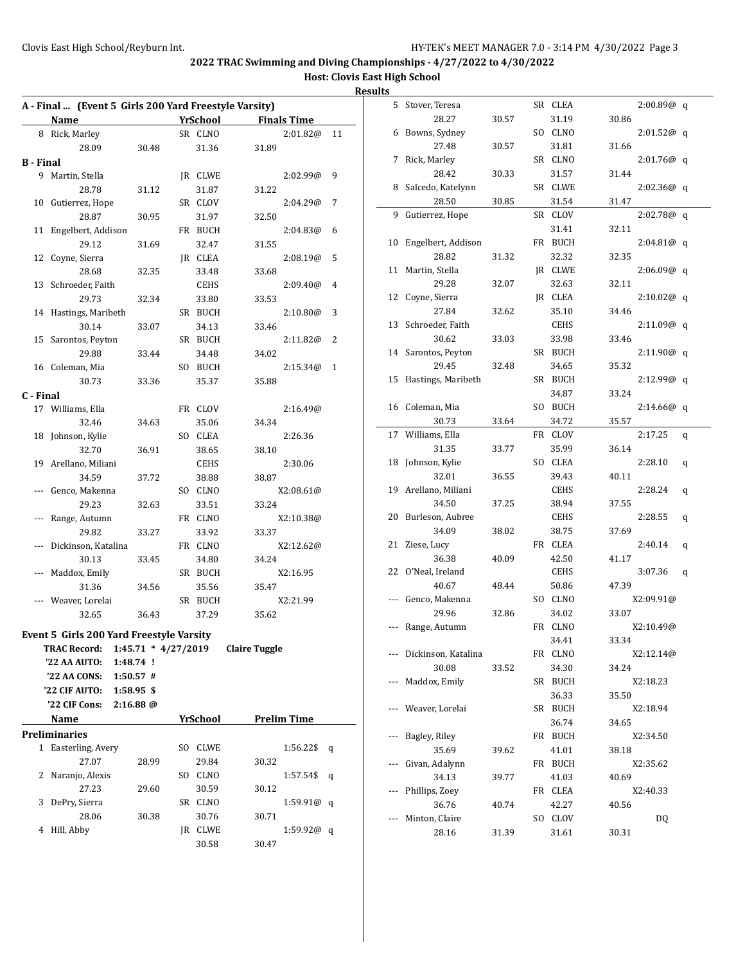| A - Final  (Event 5 Girls 200 Yard Freestyle Varsity) |                                          |                       |  |             |                      |    |  |  |  |
|-------------------------------------------------------|------------------------------------------|-----------------------|--|-------------|----------------------|----|--|--|--|
|                                                       | Name                                     |                       |  | YrSchool    | <b>Finals Time</b>   |    |  |  |  |
|                                                       | 8 Rick, Marley                           |                       |  | SR CLNO     | 2:01.82@             | 11 |  |  |  |
|                                                       | 28.09                                    | 30.48                 |  | 31.36       | 31.89                |    |  |  |  |
| <b>B</b> - Final                                      |                                          |                       |  |             |                      |    |  |  |  |
|                                                       | 9 Martin, Stella                         |                       |  | IR CLWE     | 2:02.99@             | 9  |  |  |  |
|                                                       | 28.78                                    | 31.12                 |  | 31.87       | 31.22                |    |  |  |  |
|                                                       | 10 Gutierrez, Hope                       |                       |  | SR CLOV     | 2:04.29@             | 7  |  |  |  |
|                                                       | 28.87                                    | 30.95                 |  | 31.97       | 32.50                |    |  |  |  |
|                                                       | 11 Engelbert, Addison                    |                       |  | FR BUCH     | 2:04.83@             | 6  |  |  |  |
|                                                       | 29.12                                    | 31.69                 |  | 32.47       | 31.55                |    |  |  |  |
|                                                       | 12 Coyne, Sierra                         |                       |  | JR CLEA     | 2:08.19@             | 5  |  |  |  |
|                                                       | 28.68                                    | 32.35                 |  | 33.48       | 33.68                |    |  |  |  |
| 13                                                    | Schroeder, Faith                         |                       |  | <b>CEHS</b> | 2:09.40@             | 4  |  |  |  |
|                                                       | 29.73                                    | 32.34                 |  | 33.80       | 33.53                |    |  |  |  |
|                                                       | 14 Hastings, Maribeth                    |                       |  | SR BUCH     | 2:10.80@             | 3  |  |  |  |
|                                                       | 30.14                                    | 33.07                 |  | 34.13       | 33.46                |    |  |  |  |
| 15                                                    | Sarontos, Peyton                         |                       |  | SR BUCH     | 2:11.82@             | 2  |  |  |  |
|                                                       | 29.88                                    | 33.44                 |  | 34.48       | 34.02                |    |  |  |  |
|                                                       | 16 Coleman, Mia                          |                       |  | SO BUCH     | 2:15.34@             | 1  |  |  |  |
|                                                       | 30.73                                    | 33.36                 |  | 35.37       | 35.88                |    |  |  |  |
| C - Final                                             |                                          |                       |  |             |                      |    |  |  |  |
|                                                       | 17 Williams, Ella                        |                       |  | FR CLOV     | 2:16.49@             |    |  |  |  |
|                                                       | 32.46                                    | 34.63                 |  | 35.06       | 34.34                |    |  |  |  |
|                                                       | 18 Johnson, Kylie                        |                       |  | SO CLEA     | 2:26.36              |    |  |  |  |
|                                                       | 32.70                                    | 36.91                 |  | 38.65       | 38.10                |    |  |  |  |
|                                                       | 19 Arellano, Miliani                     |                       |  | <b>CEHS</b> | 2:30.06              |    |  |  |  |
|                                                       | 34.59                                    | 37.72                 |  | 38.88       | 38.87                |    |  |  |  |
|                                                       | Genco, Makenna                           |                       |  | SO CLNO     | X2:08.61@            |    |  |  |  |
|                                                       | 29.23                                    | 32.63                 |  | 33.51       | 33.24                |    |  |  |  |
|                                                       | Range, Autumn                            |                       |  | FR CLNO     | X2:10.38@            |    |  |  |  |
|                                                       | 29.82                                    | 33.27                 |  | 33.92       | 33.37                |    |  |  |  |
| ---                                                   | Dickinson, Katalina                      |                       |  | FR CLNO     | X2:12.62@            |    |  |  |  |
|                                                       | 30.13                                    | 33.45                 |  | 34.80       | 34.24                |    |  |  |  |
|                                                       | Maddox, Emily                            |                       |  | SR BUCH     | X2:16.95             |    |  |  |  |
|                                                       | 31.36                                    | 34.56                 |  | 35.56       | 35.47                |    |  |  |  |
|                                                       | --- Weaver, Lorelai                      |                       |  | SR BUCH     | X2:21.99             |    |  |  |  |
|                                                       | 32.65                                    | 36.43                 |  | 37.29       | 35.62                |    |  |  |  |
|                                                       | Event 5 Girls 200 Yard Freestyle Varsity |                       |  |             |                      |    |  |  |  |
|                                                       | TRAC Record:                             | $1:45.71 * 4/27/2019$ |  |             | <b>Claire Tuggle</b> |    |  |  |  |
|                                                       | '22 AA AUTO:                             | 1:48.74 !             |  |             |                      |    |  |  |  |
|                                                       | '22 AA CONS:                             | $1:50.57$ #           |  |             |                      |    |  |  |  |
|                                                       | '22 CIF AUTO:                            | $1:58.95$ \$          |  |             |                      |    |  |  |  |
|                                                       | '22 CIF Cons:                            | 2:16.88@              |  |             |                      |    |  |  |  |
|                                                       | Name                                     |                       |  | YrSchool    | <b>Prelim Time</b>   |    |  |  |  |
|                                                       | <b>Preliminaries</b>                     |                       |  |             |                      |    |  |  |  |
| 1                                                     | Easterling, Avery                        |                       |  | SO CLWE     | 1:56.22\$            | q  |  |  |  |
|                                                       | 27.07                                    | 28.99                 |  | 29.84       | 30.32                |    |  |  |  |
| 2                                                     | Naranjo, Alexis                          |                       |  | SO CLNO     | 1:57.54\$            | q  |  |  |  |
|                                                       | 27.23                                    | 29.60                 |  | 30.59       | 30.12                |    |  |  |  |
| 3                                                     | DePry, Sierra                            |                       |  | SR CLNO     | 1:59.91@q            |    |  |  |  |
|                                                       | 28.06                                    | 30.38                 |  | 30.76       | 30.71                |    |  |  |  |
|                                                       | 4 Hill, Abby                             |                       |  | JR CLWE     | 1:59.92@ q           |    |  |  |  |
|                                                       |                                          |                       |  | 30.58       | 30.47                |    |  |  |  |
|                                                       |                                          |                       |  |             |                      |    |  |  |  |

| 5   | Stover, Teresa      |       |    | SR CLEA     | 2:00.89@  | q |
|-----|---------------------|-------|----|-------------|-----------|---|
|     | 28.27               | 30.57 |    | 31.19       | 30.86     |   |
| 6   | Bowns, Sydney       |       |    | SO CLNO     | 2:01.52@  | q |
|     | 27.48               | 30.57 |    | 31.81       | 31.66     |   |
| 7   | Rick, Marley        |       |    | SR CLNO     | 2:01.76@  | q |
|     | 28.42               | 30.33 |    | 31.57       | 31.44     |   |
| 8   | Salcedo, Katelynn   |       |    | SR CLWE     | 2:02.36@  | q |
|     | 28.50               | 30.85 |    | 31.54       | 31.47     |   |
| 9   | Gutierrez, Hope     |       |    | SR CLOV     | 2:02.78@  | q |
|     |                     |       |    | 31.41       | 32.11     |   |
| 10  | Engelbert, Addison  |       |    | FR BUCH     | 2:04.81@  | q |
|     | 28.82               | 31.32 |    | 32.32       | 32.35     |   |
| 11  | Martin, Stella      |       |    | JR CLWE     | 2:06.09@  | q |
|     | 29.28               | 32.07 |    | 32.63       | 32.11     |   |
| 12  | Coyne, Sierra       |       |    | JR CLEA     | 2:10.02@  | q |
|     | 27.84               | 32.62 |    | 35.10       | 34.46     |   |
| 13  | Schroeder, Faith    |       |    | <b>CEHS</b> | 2:11.09@  |   |
|     | 30.62               | 33.03 |    | 33.98       | 33.46     | q |
| 14  | Sarontos, Peyton    |       |    | SR BUCH     |           |   |
|     |                     |       |    |             | 2:11.90@  | q |
|     | 29.45               | 32.48 |    | 34.65       | 35.32     |   |
| 15  | Hastings, Maribeth  |       |    | SR BUCH     | 2:12.99@  | q |
|     |                     |       |    | 34.87       | 33.24     |   |
| 16  | Coleman, Mia        |       | SO | <b>BUCH</b> | 2:14.66@  | q |
|     | 30.73               | 33.64 |    | 34.72       | 35.57     |   |
|     | 17 Williams, Ella   |       |    | FR CLOV     | 2:17.25   | q |
|     | 31.35               | 33.77 |    | 35.99       | 36.14     |   |
| 18  | Johnson, Kylie      |       |    | SO CLEA     | 2:28.10   | q |
|     | 32.01               | 36.55 |    | 39.43       | 40.11     |   |
| 19  | Arellano, Miliani   |       |    | <b>CEHS</b> | 2:28.24   | q |
|     | 34.50               | 37.25 |    | 38.94       | 37.55     |   |
| 20  | Burleson, Aubree    |       |    | <b>CEHS</b> | 2:28.55   | q |
|     | 34.09               | 38.02 |    | 38.75       | 37.69     |   |
| 21  | Ziese, Lucy         |       |    | FR CLEA     | 2:40.14   | q |
|     | 36.38               | 40.09 |    | 42.50       | 41.17     |   |
| 22  | O'Neal, Ireland     |       |    | <b>CEHS</b> | 3:07.36   | q |
|     | 40.67               | 48.44 |    | 50.86       | 47.39     |   |
|     | Genco, Makenna      |       |    | SO CLNO     | X2:09.91@ |   |
|     | 29.96               | 32.86 |    | 34.02       | 33.07     |   |
|     | Range, Autumn       |       |    | FR CLNO     | X2:10.49@ |   |
|     |                     |       |    | 34.41       | 33.34     |   |
| --- | Dickinson, Katalina |       |    | FR CLNO     | X2:12.14@ |   |
|     | 30.08               | 33.52 |    | 34.30       | 34.24     |   |
|     | Maddox, Emily       |       | SR | BUCH        | X2:18.23  |   |
|     |                     |       |    | 36.33       | 35.50     |   |
|     | Weaver, Lorelai     |       | SR | BUCH        | X2:18.94  |   |
|     |                     |       |    | 36.74       | 34.65     |   |
| --- | Bagley, Riley       |       | FR | BUCH        | X2:34.50  |   |
|     | 35.69               | 39.62 |    | 41.01       | 38.18     |   |
| --- | Givan, Adalynn      |       |    | FR BUCH     | X2:35.62  |   |
|     | 34.13               | 39.77 |    | 41.03       | 40.69     |   |
| --- | Phillips, Zoey      |       |    | FR CLEA     | X2:40.33  |   |
|     | 36.76               | 40.74 |    | 42.27       | 40.56     |   |
| --- | Minton, Claire      |       | SO | CLOV        | DQ        |   |
|     | 28.16               | 31.39 |    | 31.61       | 30.31     |   |
|     |                     |       |    |             |           |   |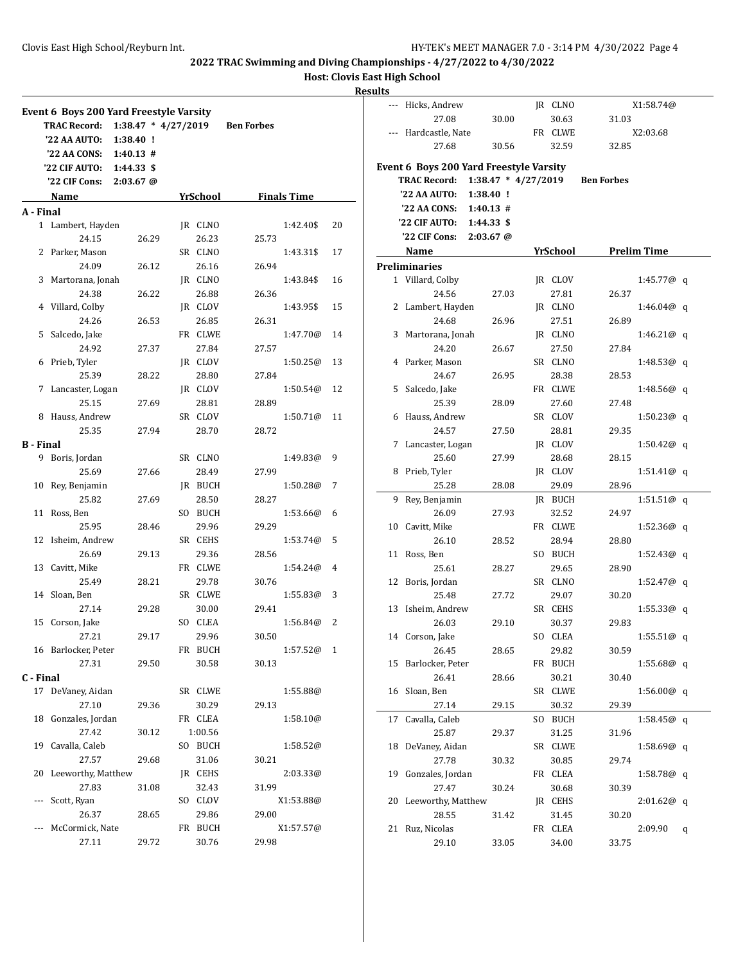**Host: Clovis East High School**

**Results**

|                  | Event 6 Boys 200 Yard Freestyle Varsity |                       |          |                   |                    |    |
|------------------|-----------------------------------------|-----------------------|----------|-------------------|--------------------|----|
|                  | <b>TRAC Record:</b>                     | $1:38.47 * 4/27/2019$ |          | <b>Ben Forbes</b> |                    |    |
|                  | '22 AA AUTO:                            | 1:38.40 !             |          |                   |                    |    |
|                  | '22 AA CONS:                            | 1:40.13#              |          |                   |                    |    |
|                  | '22 CIF AUTO:                           | $1:44.33$ \$          |          |                   |                    |    |
|                  | '22 CIF Cons:                           | $2:03.67$ @           |          |                   |                    |    |
|                  | Name                                    |                       | YrSchool |                   | <b>Finals Time</b> |    |
| A - Final        |                                         |                       |          |                   |                    |    |
| $\mathbf{1}$     | Lambert, Hayden                         |                       | JR CLNO  |                   | 1:42.40\$          | 20 |
|                  | 24.15                                   | 26.29                 | 26.23    | 25.73             |                    |    |
| 2                | Parker, Mason                           |                       | SR CLNO  |                   | 1:43.31\$          | 17 |
|                  | 24.09                                   | 26.12                 | 26.16    | 26.94             |                    |    |
| 3                | Martorana, Jonah                        |                       | JR CLNO  |                   | 1:43.84\$          | 16 |
|                  | 24.38                                   | 26.22                 | 26.88    | 26.36             |                    |    |
| 4                | Villard, Colby                          |                       | JR CLOV  |                   | 1:43.95\$          | 15 |
|                  | 24.26                                   | 26.53                 | 26.85    | 26.31             |                    |    |
| 5                | Salcedo, Jake                           |                       | FR CLWE  |                   | 1:47.70@           | 14 |
|                  | 24.92                                   | 27.37                 | 27.84    | 27.57             |                    |    |
| 6                | Prieb, Tyler                            |                       | JR CLOV  |                   | 1:50.25@           | 13 |
|                  | 25.39                                   | 28.22                 | 28.80    | 27.84             |                    |    |
| 7                | Lancaster, Logan                        |                       | JR CLOV  |                   | 1:50.54@           | 12 |
|                  | 25.15                                   | 27.69                 | 28.81    | 28.89             |                    |    |
| 8                | Hauss, Andrew                           |                       | SR CLOV  |                   | 1:50.71@           | 11 |
|                  | 25.35                                   | 27.94                 | 28.70    | 28.72             |                    |    |
| <b>B</b> - Final |                                         |                       |          |                   |                    |    |
| 9                | Boris, Jordan                           |                       | SR CLNO  |                   | 1:49.83@           | 9  |
|                  | 25.69                                   | 27.66                 | 28.49    | 27.99             |                    |    |
| 10               | Rey, Benjamin                           |                       | JR BUCH  |                   | 1:50.28@           | 7  |
|                  | 25.82                                   | 27.69                 | 28.50    | 28.27             |                    |    |
| 11               | Ross, Ben                               |                       | SO BUCH  |                   | 1:53.66@           | 6  |
|                  | 25.95                                   | 28.46                 | 29.96    | 29.29             |                    |    |
| 12               | Isheim, Andrew                          |                       | SR CEHS  |                   | 1:53.74@           | 5  |
|                  | 26.69                                   | 29.13                 | 29.36    | 28.56             |                    |    |
| 13               | Cavitt, Mike                            |                       | FR CLWE  |                   | 1:54.24@           | 4  |
|                  | 25.49                                   | 28.21                 | 29.78    | 30.76             |                    |    |
| 14               | Sloan, Ben                              |                       | SR CLWE  |                   | 1:55.83@           | 3  |
|                  | 27.14                                   | 29.28                 | 30.00    | 29.41             |                    |    |
| 15               | Corson, Jake                            |                       | SO CLEA  |                   | 1:56.84@           | 2  |
|                  | 27.21                                   | 29.17                 | 29.96    | 30.50             |                    |    |
|                  | 16 Barlocker, Peter                     |                       | FR BUCH  |                   | 1:57.52@           | 1  |
|                  | 27.31                                   | 29.50                 | 30.58    | 30.13             |                    |    |
| C - Final        |                                         |                       |          |                   |                    |    |
| 17               | DeVaney, Aidan                          |                       | SR CLWE  |                   |                    |    |
|                  | 27.10                                   | 29.36                 | 30.29    | 29.13             | 1:55.88@           |    |
| 18               | Gonzales, Jordan                        |                       | FR CLEA  |                   | 1:58.10@           |    |
|                  | 27.42                                   |                       | 1:00.56  |                   |                    |    |
|                  | 19 Cavalla, Caleb                       | 30.12                 | SO BUCH  |                   |                    |    |
|                  |                                         | 29.68                 | 31.06    |                   | 1:58.52@           |    |
|                  | 27.57<br>Leeworthy, Matthew             |                       |          | 30.21             |                    |    |
| 20               |                                         |                       | JR CEHS  |                   | 2:03.33@           |    |
|                  | 27.83                                   | 31.08                 | 32.43    | 31.99             |                    |    |
| $\cdots$         | Scott, Ryan                             |                       | SO CLOV  |                   | X1:53.88@          |    |
|                  | 26.37                                   | 28.65                 | 29.86    | 29.00             |                    |    |
|                  | McCormick, Nate                         |                       | FR BUCH  |                   | X1:57.57@          |    |
|                  | 27.11                                   | 29.72                 | 30.76    | 29.98             |                    |    |

|    | --- Hicks, Andrew                       |       |                       | JR CLNO  |                   | X1:58.74@          |   |
|----|-----------------------------------------|-------|-----------------------|----------|-------------------|--------------------|---|
|    | 27.08                                   | 30.00 |                       | 30.63    | 31.03             |                    |   |
|    | --- Hardcastle, Nate                    |       |                       | FR CLWE  |                   | X2:03.68           |   |
|    | 27.68                                   | 30.56 |                       | 32.59    | 32.85             |                    |   |
|    | Event 6 Boys 200 Yard Freestyle Varsity |       |                       |          |                   |                    |   |
|    | <b>TRAC Record:</b>                     |       | $1:38.47 * 4/27/2019$ |          | <b>Ben Forbes</b> |                    |   |
|    | '22 AA AUTO:<br>$1:38.40$ !             |       |                       |          |                   |                    |   |
|    | '22 AA CONS:<br>1:40.13#                |       |                       |          |                   |                    |   |
|    | '22 CIF AUTO:<br>$1:44.33$ \$           |       |                       |          |                   |                    |   |
|    | '22 CIF Cons:<br>$2:03.67$ @            |       |                       |          |                   |                    |   |
|    | Name                                    |       |                       | YrSchool |                   | <b>Prelim Time</b> |   |
|    | Preliminaries                           |       |                       |          |                   |                    |   |
|    | 1 Villard, Colby                        |       |                       | JR CLOV  |                   | 1:45.77@ q         |   |
|    | 24.56                                   | 27.03 |                       | 27.81    | 26.37             |                    |   |
|    | 2 Lambert, Hayden                       |       |                       | JR CLNO  |                   | $1:46.04@$ q       |   |
|    | 24.68                                   | 26.96 |                       | 27.51    | 26.89             |                    |   |
|    | 3 Martorana, Jonah                      |       |                       | JR CLNO  |                   | 1:46.21@ q         |   |
|    | 24.20                                   | 26.67 |                       | 27.50    | 27.84             |                    |   |
| 4  | Parker, Mason                           |       |                       | SR CLNO  |                   | 1:48.53@ q         |   |
|    | 24.67                                   | 26.95 |                       | 28.38    | 28.53             |                    |   |
| 5. | Salcedo, Jake                           |       |                       | FR CLWE  |                   | 1:48.56@ q         |   |
|    | 25.39                                   | 28.09 |                       | 27.60    | 27.48             |                    |   |
| 6  | Hauss, Andrew                           |       |                       | SR CLOV  |                   | 1:50.23@ q         |   |
|    | 24.57                                   | 27.50 |                       | 28.81    | 29.35             |                    |   |
| 7  | Lancaster, Logan                        |       |                       | JR CLOV  |                   | 1:50.42@ q         |   |
|    | 25.60                                   | 27.99 |                       | 28.68    | 28.15             |                    |   |
| 8  | Prieb, Tyler                            |       |                       | JR CLOV  |                   | 1:51.41@ q         |   |
|    | 25.28                                   | 28.08 |                       | 29.09    | 28.96             |                    |   |
| 9  | Rey, Benjamin                           |       |                       | JR BUCH  |                   | 1:51.51@ q         |   |
|    | 26.09                                   | 27.93 |                       | 32.52    | 24.97             |                    |   |
|    | 10 Cavitt, Mike                         |       |                       | FR CLWE  |                   | 1:52.36@ q         |   |
|    | 26.10                                   | 28.52 |                       | 28.94    | 28.80             |                    |   |
| 11 | Ross, Ben                               |       |                       | SO BUCH  |                   | 1:52.43@ q         |   |
|    | 25.61                                   | 28.27 |                       | 29.65    | 28.90             |                    |   |
| 12 | Boris, Jordan                           |       |                       | SR CLNO  |                   | 1:52.47@ q         |   |
|    | 25.48                                   | 27.72 |                       | 29.07    | 30.20             |                    |   |
|    | 13 Isheim, Andrew                       |       |                       | SR CEHS  |                   | 1:55.33@ q         |   |
|    | 26.03                                   | 29.10 |                       | 30.37    | 29.83             |                    |   |
|    | 14 Corson, Jake                         |       |                       | SO CLEA  |                   | 1:55.51@q          |   |
|    | 26.45                                   | 28.65 |                       | 29.82    | 30.59             |                    |   |
|    | 15 Barlocker, Peter                     |       |                       | FR BUCH  |                   | 1:55.68@ q         |   |
|    | 26.41                                   | 28.66 |                       | 30.21    | 30.40             |                    |   |
| 16 | Sloan, Ben                              |       |                       | SR CLWE  |                   | 1:56.00@ q         |   |
|    | 27.14                                   | 29.15 |                       | 30.32    | 29.39             |                    |   |
| 17 | Cavalla, Caleb                          |       |                       | SO BUCH  |                   | 1:58.45@ q         |   |
|    | 25.87                                   | 29.37 |                       | 31.25    | 31.96             |                    |   |
| 18 | DeVaney, Aidan                          |       |                       | SR CLWE  |                   | 1:58.69@ q         |   |
|    | 27.78                                   | 30.32 |                       | 30.85    | 29.74             |                    |   |
| 19 | Gonzales, Jordan                        |       |                       | FR CLEA  |                   | 1:58.78@ q         |   |
|    | 27.47                                   | 30.24 |                       | 30.68    | 30.39             |                    |   |
| 20 | Leeworthy, Matthew                      |       |                       | JR CEHS  |                   | 2:01.62@           | q |
|    | 28.55                                   | 31.42 |                       | 31.45    | 30.20             |                    |   |
| 21 | Ruz, Nicolas                            |       |                       | FR CLEA  |                   | 2:09.90            | q |
|    | 29.10                                   | 33.05 |                       | 34.00    | 33.75             |                    |   |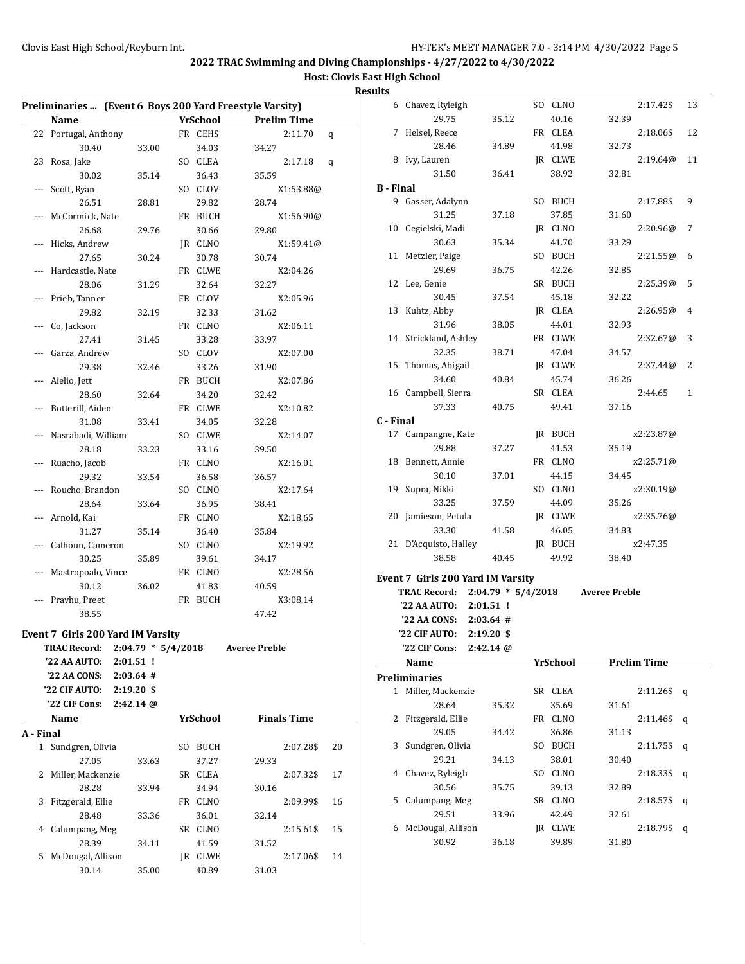|           |                                          |       |                 |                                                          |              |    | wesures          |                                          |             |          |                      |                    |                |
|-----------|------------------------------------------|-------|-----------------|----------------------------------------------------------|--------------|----|------------------|------------------------------------------|-------------|----------|----------------------|--------------------|----------------|
|           |                                          |       |                 | Preliminaries  (Event 6 Boys 200 Yard Freestyle Varsity) |              |    |                  | 6 Chavez, Ryleigh                        |             | SO CLNO  |                      | 2:17.42\$          | - 13           |
|           | Name                                     |       | YrSchool        | <b>Prelim Time</b>                                       |              |    |                  | 29.75                                    | 35.12       | 40.16    | 32.39                |                    |                |
|           | 22 Portugal, Anthony                     |       | FR CEHS         | 2:11.70                                                  | $\mathbf{q}$ |    |                  | 7 Helsel, Reece                          |             | FR CLEA  |                      | 2:18.06\$          | - 12           |
|           | 30.40                                    | 33.00 | 34.03           | 34.27                                                    |              |    |                  | 28.46                                    | 34.89       | 41.98    | 32.73                |                    |                |
|           | 23 Rosa, Jake                            |       | SO CLEA         | $2:17.18$ q                                              |              |    |                  | 8 Ivy, Lauren                            |             | JR CLWE  |                      | 2:19.64@ 11        |                |
|           | 30.02                                    | 35.14 | 36.43           | 35.59                                                    |              |    |                  | 31.50                                    | 36.41       | 38.92    | 32.81                |                    |                |
|           | --- Scott, Ryan                          |       | SO CLOV         | X1:53.88@                                                |              |    | <b>B</b> - Final |                                          |             |          |                      |                    |                |
|           | 26.51                                    | 28.81 | 29.82           | 28.74                                                    |              |    |                  | 9 Gasser, Adalynn                        |             | SO BUCH  |                      | 2:17.88\$ 9        |                |
|           | --- McCormick, Nate                      |       | FR BUCH         | X1:56.90@                                                |              |    |                  | 31.25                                    | 37.18       | 37.85    | 31.60                |                    |                |
|           | 26.68                                    | 29.76 | 30.66           | 29.80                                                    |              |    |                  | 10 Cegielski, Madi                       |             | JR CLNO  |                      | 2:20.96@ 7         |                |
|           | --- Hicks, Andrew                        |       | JR CLNO         | X1:59.41@                                                |              |    |                  | 30.63                                    | 35.34       | 41.70    | 33.29                |                    |                |
|           | 27.65                                    | 30.24 | 30.78           | 30.74                                                    |              |    |                  | 11 Metzler, Paige                        |             | SO BUCH  |                      | 2:21.55@6          |                |
|           | --- Hardcastle, Nate                     |       | FR CLWE         | X2:04.26                                                 |              |    |                  | 29.69                                    | 36.75       | 42.26    | 32.85                |                    |                |
|           | 28.06                                    | 31.29 | 32.64           | 32.27                                                    |              |    |                  | 12 Lee, Genie                            |             | SR BUCH  |                      | 2:25.39@ 5         |                |
|           | --- Prieb, Tanner                        |       | FR CLOV         | X2:05.96                                                 |              |    |                  | 30.45                                    | 37.54       | 45.18    | 32.22                |                    |                |
|           | 29.82                                    | 32.19 | 32.33           | 31.62                                                    |              |    |                  | 13 Kuhtz, Abby                           |             | JR CLEA  |                      | 2:26.95@4          |                |
|           | --- Co, Jackson                          |       | FR CLNO         | X2:06.11                                                 |              |    |                  | 31.96                                    | 38.05       | 44.01    | 32.93                |                    |                |
|           | 27.41                                    | 31.45 | 33.28           | 33.97                                                    |              |    |                  | 14 Strickland, Ashley                    |             | FR CLWE  |                      | 2:32.67@3          |                |
|           | --- Garza, Andrew                        |       | SO CLOV         | X2:07.00                                                 |              |    |                  | 32.35                                    | 38.71       | 47.04    | 34.57                |                    |                |
|           | 29.38                                    | 32.46 | 33.26           | 31.90                                                    |              |    |                  | 15 Thomas, Abigail                       |             | JR CLWE  |                      | 2:37.44@2          |                |
|           | --- Aielio, Jett                         |       | FR BUCH         | X2:07.86                                                 |              |    |                  | 34.60                                    | 40.84       | 45.74    | 36.26                |                    |                |
|           | 28.60                                    | 32.64 | 34.20           | 32.42                                                    |              |    |                  | 16 Campbell, Sierra                      |             | SR CLEA  |                      | 2:44.65            | $\overline{1}$ |
|           | --- Botterill, Aiden                     |       | FR CLWE         | X2:10.82                                                 |              |    |                  | 37.33                                    | 40.75       | 49.41    | 37.16                |                    |                |
|           | 31.08                                    | 33.41 | 34.05           | 32.28                                                    |              |    | C - Final        |                                          |             |          |                      |                    |                |
|           | --- Nasrabadi, William                   |       | SO CLWE         | X2:14.07                                                 |              |    |                  | 17 Campangne, Kate                       |             | JR BUCH  |                      | x2:23.87@          |                |
|           | 28.18                                    | 33.23 | 33.16           | 39.50                                                    |              |    |                  | 29.88                                    | 37.27       | 41.53    | 35.19                |                    |                |
|           | --- Ruacho, Jacob                        |       | FR CLNO         | X2:16.01                                                 |              |    |                  | 18 Bennett, Annie                        |             | FR CLNO  |                      | x2:25.71@          |                |
|           | 29.32                                    | 33.54 | 36.58           | 36.57                                                    |              |    |                  | 30.10                                    | 37.01       | 44.15    | 34.45                |                    |                |
|           | --- Roucho, Brandon                      |       | SO CLNO         | X2:17.64                                                 |              |    |                  | 19 Supra, Nikki                          |             | SO CLNO  |                      | x2:30.19@          |                |
|           | 28.64                                    | 33.64 | 36.95           | 38.41                                                    |              |    |                  | 33.25                                    | 37.59       | 44.09    | 35.26                |                    |                |
|           | --- Arnold, Kai                          |       | FR CLNO         | X2:18.65                                                 |              |    |                  | 20 Jamieson, Petula                      |             | JR CLWE  |                      | x2:35.76@          |                |
|           | 31.27                                    | 35.14 | 36.40           | 35.84                                                    |              |    |                  | 33.30                                    | 41.58       | 46.05    | 34.83                |                    |                |
|           | --- Calhoun, Cameron                     |       | SO CLNO         | X2:19.92                                                 |              |    |                  | 21 D'Acquisto, Halley                    |             | JR BUCH  |                      | x2:47.35           |                |
|           | 30.25                                    | 35.89 | 39.61           | 34.17                                                    |              |    |                  | 38.58                                    | 40.45       | 49.92    | 38.40                |                    |                |
|           | --- Mastropoalo, Vince                   |       | FR CLNO         | X2:28.56                                                 |              |    |                  |                                          |             |          |                      |                    |                |
|           | 30.12                                    | 36.02 | 41.83           | 40.59                                                    |              |    |                  | <b>Event 7 Girls 200 Yard IM Varsity</b> |             |          |                      |                    |                |
|           | --- Pravhu, Preet                        |       | FR BUCH         | X3:08.14                                                 |              |    |                  | TRAC Record: 2:04.79 * 5/4/2018          |             |          | <b>Averee Preble</b> |                    |                |
|           | 38.55                                    |       |                 | 47.42                                                    |              |    |                  | '22 AA AUTO: 2:01.51 !                   |             |          |                      |                    |                |
|           |                                          |       |                 |                                                          |              |    |                  | '22 AA CONS:                             | $2:03.64$ # |          |                      |                    |                |
|           | <b>Event 7 Girls 200 Yard IM Varsity</b> |       |                 |                                                          |              |    |                  | '22 CIF AUTO: 2:19.20 \$                 |             |          |                      |                    |                |
|           | TRAC Record: 2:04.79 * 5/4/2018          |       |                 | <b>Averee Preble</b>                                     |              |    |                  | '22 CIF Cons: 2:42.14 @                  |             |          |                      |                    |                |
|           | '22 AA AUTO: 2:01.51 !                   |       |                 |                                                          |              |    |                  | Name                                     |             | YrSchool |                      | <b>Prelim Time</b> |                |
|           | '22 AA CONS: 2:03.64 #                   |       |                 |                                                          |              |    |                  | Preliminaries                            |             |          |                      |                    |                |
|           | '22 CIF AUTO: 2:19.20 \$                 |       |                 |                                                          |              |    |                  | 1 Miller, Mackenzie                      |             | SR CLEA  |                      | 2:11.26\$ q        |                |
|           | '22 CIF Cons: 2:42.14 @                  |       |                 |                                                          |              |    |                  | 28.64                                    | 35.32       | 35.69    | 31.61                |                    |                |
|           | Name                                     |       | <b>YrSchool</b> | <b>Finals Time</b>                                       |              |    |                  | 2 Fitzgerald, Ellie                      |             | FR CLNO  |                      | $2:11.46\$ q       |                |
| A - Final |                                          |       |                 |                                                          |              |    |                  | 29.05                                    | 34.42       | 36.86    | 31.13                |                    |                |
|           | 1 Sundgren, Olivia                       |       | SO BUCH         | 2:07.28\$                                                |              | 20 |                  | 3 Sundgren, Olivia                       |             | SO BUCH  |                      | $2:11.75$ \$q      |                |
|           | 27.05                                    | 33.63 | 37.27           | 29.33                                                    |              |    |                  | 29.21                                    | 34.13       | 38.01    | 30.40                |                    |                |
|           | 2 Miller, Mackenzie                      |       | SR CLEA         | 2:07.32\$                                                |              | 17 |                  | 4 Chavez, Ryleigh                        |             | SO CLNO  |                      | $2:18.33\$ q       |                |
|           | 28.28                                    | 33.94 | 34.94           | 30.16                                                    |              |    |                  | 30.56                                    | 35.75       | 39.13    | 32.89                |                    |                |
|           | 3 Fitzgerald, Ellie                      |       | FR CLNO         | 2:09.99\$                                                |              | 16 |                  | 5 Calumpang, Meg                         |             | SR CLNO  |                      | $2:18.57$ \$q      |                |
|           | 28.48                                    | 33.36 | 36.01           | 32.14                                                    |              |    |                  | 29.51                                    | 33.96       | 42.49    | 32.61                |                    |                |
|           | 4 Calumpang, Meg                         |       | SR CLNO         | 2:15.61\$                                                |              | 15 |                  | 6 McDougal, Allison                      |             | JR CLWE  |                      | 2:18.79\$ q        |                |
|           | 28.39                                    | 34.11 | 41.59           | 31.52                                                    |              |    |                  | 30.92                                    | 36.18       | 39.89    | 31.80                |                    |                |
|           | 5 McDougal, Allison                      |       | JR CLWE         | 2:17.06\$                                                |              | 14 |                  |                                          |             |          |                      |                    |                |
|           | 30.14                                    | 35.00 | 40.89           | 31.03                                                    |              |    |                  |                                          |             |          |                      |                    |                |
|           |                                          |       |                 |                                                          |              |    |                  |                                          |             |          |                      |                    |                |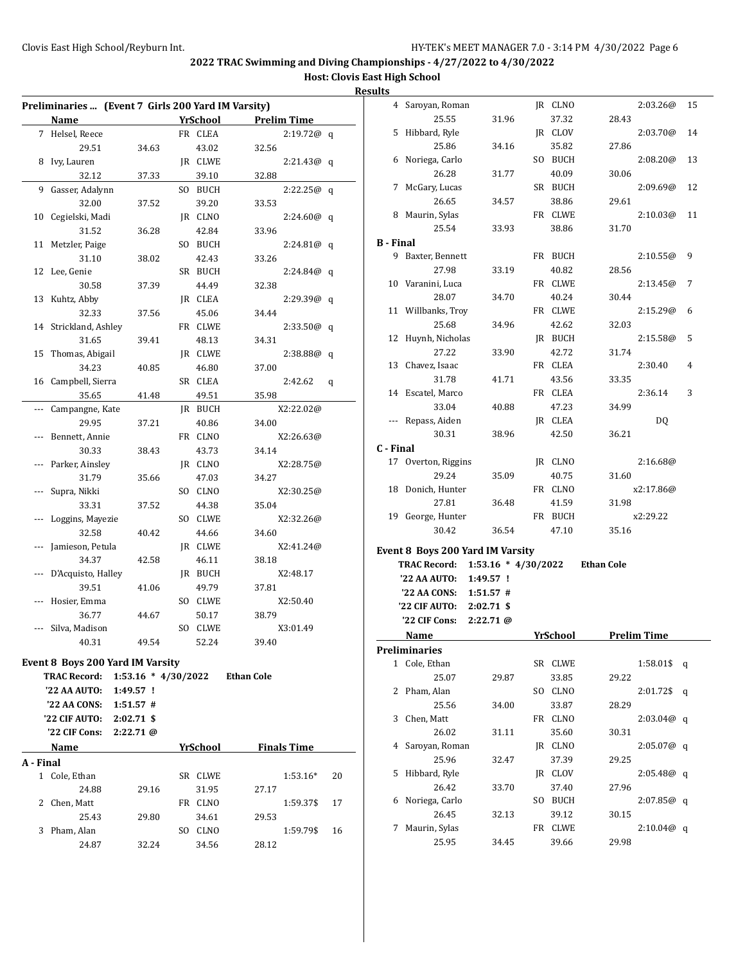| Results |
|---------|
|---------|

|           | Preliminaries  (Event 7 Girls 200 Yard IM Varsity) |                                |                 |                      |                    |                |
|-----------|----------------------------------------------------|--------------------------------|-----------------|----------------------|--------------------|----------------|
|           | <b>Name</b>                                        |                                | <b>YrSchool</b> |                      | <b>Prelim Time</b> |                |
|           | 7 Helsel, Reece                                    |                                | FR CLEA         |                      | 2:19.72@q          |                |
|           | 29.51                                              | 34.63                          | 43.02           | 32.56                |                    |                |
|           | 8 Ivy, Lauren                                      |                                | JR CLWE         |                      | 2:21.43@q          |                |
|           | 32.12                                              | 37.33                          | 39.10           | 32.88                |                    |                |
| 9         | Gasser, Adalynn                                    |                                | SO BUCH         |                      | 2:22.25@q          |                |
|           | 32.00                                              | 37.52                          | 39.20           | 33.53                |                    |                |
|           | 10 Cegielski, Madi                                 |                                | JR CLNO         |                      | 2:24.60@q          |                |
|           | 31.52                                              | 36.28                          | 42.84           | 33.96                |                    |                |
|           | 11 Metzler, Paige                                  |                                | SO BUCH         |                      | 2:24.81@q          | В              |
|           | 31.10                                              | 38.02                          | 42.43           | 33.26                |                    |                |
|           | 12 Lee, Genie                                      |                                | SR BUCH         |                      | 2:24.84@q          |                |
|           | 30.58                                              | 37.39                          | 44.49           | 32.38                |                    |                |
| 13        | Kuhtz, Abby                                        |                                | JR CLEA         |                      | 2:29.39@q          |                |
|           | 32.33                                              | 37.56                          | 45.06           | 34.44                |                    |                |
|           | 14 Strickland, Ashley                              |                                | FR CLWE         |                      | 2:33.50@q          |                |
|           | 31.65                                              | 39.41                          | 48.13           | 34.31                |                    |                |
| 15        | Thomas, Abigail                                    |                                | JR CLWE         |                      | 2:38.88@q          |                |
|           | 34.23                                              | 40.85                          | 46.80           | 37.00                |                    |                |
|           | 16 Campbell, Sierra                                |                                | SR CLEA         |                      | 2:42.62            | q              |
|           | 35.65                                              | 41.48                          | 49.51           | 35.98                |                    |                |
| ---       | Campangne, Kate                                    |                                | JR BUCH         |                      | X2:22.02@          |                |
|           | 29.95                                              | 37.21                          | 40.86           | 34.00                |                    |                |
|           | Bennett, Annie                                     |                                | FR CLNO         |                      | X2:26.63@          |                |
|           | 30.33                                              | 38.43                          | 43.73           | 34.14                |                    | $\mathbf{C}$   |
|           | Parker, Ainsley                                    |                                | JR CLNO         |                      | X2:28.75@          |                |
|           | 31.79                                              | 35.66                          | 47.03           | 34.27                |                    |                |
|           | Supra, Nikki                                       |                                | SO CLNO         |                      | X2:30.25@          |                |
|           | 33.31                                              | 37.52                          | 44.38           | 35.04                |                    |                |
|           | Loggins, Mayezie                                   |                                | SO CLWE         |                      | X2:32.26@          |                |
|           | 32.58                                              | 40.42                          | 44.66           | 34.60                |                    |                |
|           | Jamieson, Petula                                   |                                | JR CLWE         |                      | X2:41.24@          | E١             |
|           | 34.37                                              | 42.58                          | 46.11           | 38.18                |                    |                |
|           | D'Acquisto, Halley                                 |                                | JR BUCH         |                      | X2:48.17           |                |
|           | 39.51                                              | 41.06                          | 49.79           | 37.81                |                    |                |
|           | Hosier, Emma                                       |                                | SO CLWE         |                      | X2:50.40           |                |
|           | 36.77                                              | 44.67                          | 50.17           | 38.79                |                    |                |
|           | Silva, Madison                                     |                                | SO CLWE         |                      | X3:01.49           |                |
|           | 40.31                                              | 49.54                          | 52.24           | 39.40                |                    |                |
|           | Event 8 Boys 200 Yard IM Varsity                   |                                |                 |                      |                    | P <sub>1</sub> |
|           | <b>TRAC Record:</b>                                | 1:53.16 * 4/30/2022 Ethan Cole |                 |                      |                    |                |
|           | '22 AA AUTO:                                       | 1:49.57 !                      |                 |                      |                    |                |
|           | '22 AA CONS: $1:51.57$ #                           |                                |                 |                      |                    |                |
|           | '22 CIF AUTO: 2:02.71 \$                           |                                |                 |                      |                    |                |
|           | '22 CIF Cons: 2:22.71 @                            |                                |                 |                      |                    |                |
|           |                                                    |                                |                 |                      |                    |                |
|           | Name                                               |                                |                 | YrSchool Finals Time |                    |                |
| A - Final |                                                    |                                |                 |                      |                    |                |
|           | 1 Cole, Ethan                                      |                                | SR CLWE         |                      | $1:53.16*$         | 20             |
|           | 24.88                                              | 29.16                          | 31.95           | 27.17                |                    |                |
| 2         | Chen, Matt                                         |                                | FR CLNO         |                      | 1:59.37\$          | 17             |
|           | 25.43                                              | 29.80                          | 34.61           | 29.53                |                    |                |
| 3         | Pham, Alan                                         |                                | SO CLNO         |                      | 1:59.79\$          | 16             |
|           | 24.87                                              | 32.24                          | 34.56           | 28.12                |                    |                |

|              | 4 Saroyan, Roman                 |                       | JR CLNO         |                   | 2:03.26@           | 15 |  |
|--------------|----------------------------------|-----------------------|-----------------|-------------------|--------------------|----|--|
|              | 25.55                            | 31.96                 | 37.32           | 28.43             |                    |    |  |
| 5            | Hibbard, Ryle                    |                       | JR CLOV         |                   | 2:03.70@           | 14 |  |
|              | 25.86                            | 34.16                 | 35.82           | 27.86             |                    |    |  |
| 6            | Noriega, Carlo                   |                       | SO BUCH         |                   | 2:08.20@           | 13 |  |
|              | 26.28                            | 31.77                 | 40.09           | 30.06             |                    |    |  |
| 7            | McGary, Lucas                    |                       | SR BUCH         |                   | 2:09.69@           | 12 |  |
|              | 26.65                            | 34.57                 | 38.86           | 29.61             |                    |    |  |
| 8            | Maurin, Sylas                    |                       | FR CLWE         |                   | 2:10.03@           | 11 |  |
|              | 25.54                            | 33.93                 | 38.86           | 31.70             |                    |    |  |
| B - Final    |                                  |                       |                 |                   |                    |    |  |
| 9            | Baxter, Bennett                  |                       | FR BUCH         |                   | 2:10.55@           | 9  |  |
|              | 27.98                            | 33.19                 | 40.82           | 28.56             |                    |    |  |
| 10           | Varanini, Luca                   |                       | FR CLWE         |                   | 2:13.45@           | 7  |  |
|              | 28.07                            | 34.70                 | 40.24           | 30.44             |                    |    |  |
| 11           | Willbanks, Troy                  |                       | FR CLWE         |                   | 2:15.29@           | 6  |  |
|              | 25.68                            | 34.96                 | 42.62           | 32.03             |                    |    |  |
| 12           | Huynh, Nicholas                  |                       | JR BUCH         |                   | 2:15.58@           | 5  |  |
|              | 27.22                            | 33.90                 | 42.72           | 31.74             |                    |    |  |
| 13           | Chavez, Isaac                    |                       | FR CLEA         |                   | 2:30.40            | 4  |  |
|              | 31.78                            | 41.71                 | 43.56           | 33.35             |                    |    |  |
|              | 14 Escatel, Marco                |                       | FR CLEA         |                   | 2:36.14            | 3  |  |
|              | 33.04                            | 40.88                 | 47.23           | 34.99             |                    |    |  |
|              | Repass, Aiden                    |                       | JR CLEA         |                   | DQ                 |    |  |
|              | 30.31                            | 38.96                 | 42.50           | 36.21             |                    |    |  |
| C - Final    |                                  |                       |                 |                   |                    |    |  |
|              | 17 Overton, Riggins              |                       | JR CLNO         |                   | 2:16.68@           |    |  |
|              | 29.24                            | 35.09                 | 40.75           | 31.60             |                    |    |  |
| 18           | Donich, Hunter                   |                       | FR CLNO         |                   | x2:17.86@          |    |  |
|              | 27.81                            | 36.48                 | 41.59           | 31.98             |                    |    |  |
|              | 19 George, Hunter                |                       | FR BUCH         |                   | x2:29.22           |    |  |
|              | 30.42                            | 36.54                 | 47.10           | 35.16             |                    |    |  |
|              |                                  |                       |                 |                   |                    |    |  |
|              | Event 8 Boys 200 Yard IM Varsity |                       |                 |                   |                    |    |  |
|              | <b>TRAC Record:</b>              | $1:53.16 * 4/30/2022$ |                 | <b>Ethan Cole</b> |                    |    |  |
|              | '22 AA AUTO:                     | 1:49.57 !             |                 |                   |                    |    |  |
|              | '22 AA CONS:                     | $1:51.57$ #           |                 |                   |                    |    |  |
|              | '22 CIF AUTO: 2:02.71 \$         |                       |                 |                   |                    |    |  |
|              | '22 CIF Cons: 2:22.71 @          |                       |                 |                   |                    |    |  |
|              | <b>Name</b>                      |                       | <b>YrSchool</b> |                   | <b>Prelim Time</b> |    |  |
|              | Preliminaries                    |                       |                 |                   |                    |    |  |
| $\mathbf{1}$ | Cole, Ethan                      |                       | SR CLWE         |                   | 1:58.01\$          | q  |  |
|              | 25.07                            | 29.87                 | 33.85           | 29.22             |                    |    |  |
| 2            | Pham, Alan                       |                       | SO CLNO         |                   | 2:01.72\$          | q  |  |
|              | 25.56                            | 34.00                 | 33.87           | 28.29             |                    |    |  |
| 3            | Chen, Matt                       |                       | FR CLNO         |                   | 2:03.04@           | q  |  |
|              | 26.02                            | 31.11                 | 35.60           | 30.31             |                    |    |  |
| 4            | Saroyan, Roman                   |                       | JR CLNO         |                   | 2:05.07@           | q  |  |
|              | 25.96                            | 32.47                 | 37.39           | 29.25             |                    |    |  |
| 5            | Hibbard, Ryle                    |                       | JR CLOV         |                   | 2:05.48@           | q  |  |
|              | 26.42                            | 33.70                 | 37.40           | 27.96             |                    |    |  |
| 6            |                                  |                       |                 |                   |                    |    |  |
|              | Noriega, Carlo                   |                       | SO BUCH         |                   | 2:07.85@q          |    |  |
|              | 26.45                            | 32.13                 | 39.12           | 30.15             |                    |    |  |
| 7            | Maurin, Sylas                    |                       | FR CLWE         |                   | 2:10.04@q          |    |  |
|              | 25.95                            | 34.45                 | 39.66           | 29.98             |                    |    |  |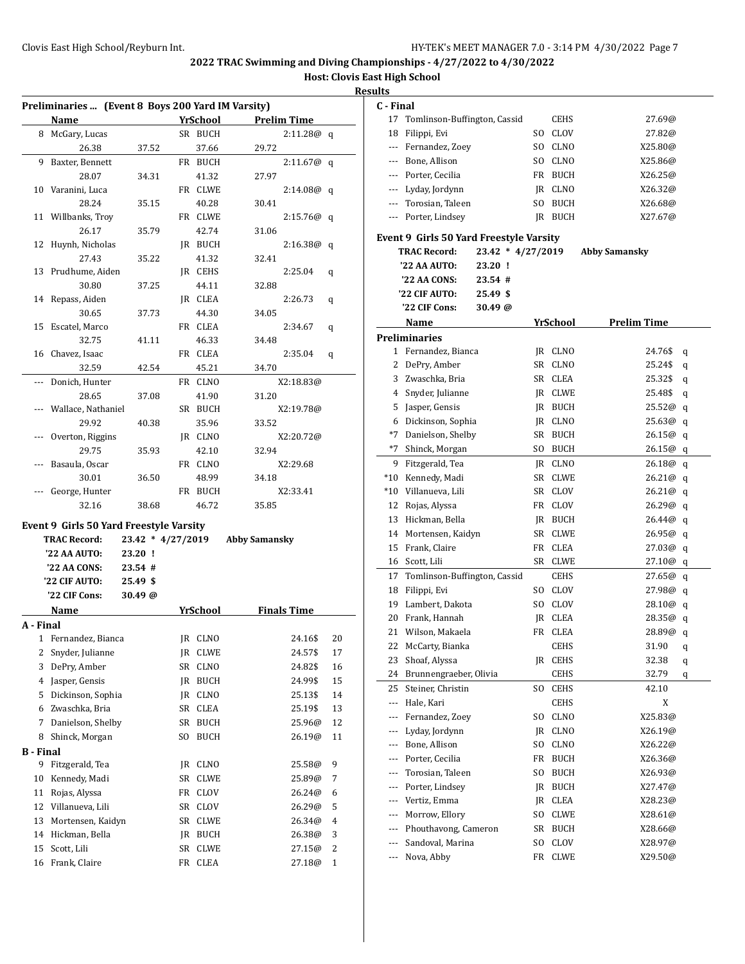**Host: Clovis East High School**

| - - -<br>ш |  |
|------------|--|
|            |  |

|                  | Preliminaries  (Event 8 Boys 200 Yard IM Varsity) |                     |     |                       |                      |    |
|------------------|---------------------------------------------------|---------------------|-----|-----------------------|----------------------|----|
|                  | Name                                              |                     |     | <b>YrSchool</b>       | <b>Prelim Time</b>   |    |
|                  | 8 McGary, Lucas                                   |                     |     | SR BUCH               | 2:11.28@q            |    |
|                  | 26.38                                             | 37.52               |     | 37.66                 | 29.72                |    |
| 9                | Baxter, Bennett                                   |                     |     | FR BUCH               | $2:11.67@$ q         |    |
|                  | 28.07                                             | 34.31               |     | 41.32                 | 27.97                |    |
|                  | 10 Varanini, Luca                                 |                     |     | FR CLWE               | 2:14.08@ q           |    |
|                  | 28.24                                             | 35.15               |     | 40.28                 | 30.41                |    |
| 11               | Willbanks, Troy                                   |                     |     | FR CLWE               | 2:15.76@q            |    |
|                  | 26.17                                             | 35.79               |     | 42.74                 | 31.06                |    |
| 12               | Huynh, Nicholas                                   |                     |     | JR BUCH               | 2:16.38@q            |    |
|                  | 27.43                                             | 35.22               |     | 41.32                 | 32.41                |    |
| 13               | Prudhume, Aiden                                   |                     |     | JR CEHS               | 2:25.04              | q  |
|                  | 30.80                                             | 37.25               |     | 44.11                 | 32.88                |    |
| 14               | Repass, Aiden                                     |                     |     | JR CLEA               | 2:26.73              | q  |
|                  | 30.65                                             | 37.73               |     | 44.30                 | 34.05                |    |
| 15               | Escatel, Marco                                    |                     |     | FR CLEA               | 2:34.67              |    |
|                  | 32.75                                             | 41.11               |     | 46.33                 | 34.48                | q  |
|                  | 16 Chavez, Isaac                                  |                     |     | FR CLEA               | 2:35.04              |    |
|                  | 32.59                                             | 42.54               |     | 45.21                 | 34.70                | q  |
|                  |                                                   |                     |     |                       | X2:18.83@            |    |
| ---              | Donich, Hunter<br>28.65                           |                     |     | FR CLNO<br>41.90      | 31.20                |    |
|                  | Wallace, Nathaniel                                | 37.08               |     | SR BUCH               |                      |    |
|                  | 29.92                                             | 40.38               |     |                       | X2:19.78@            |    |
| ---              | Overton, Riggins                                  |                     |     | 35.96                 | 33.52<br>X2:20.72@   |    |
|                  | 29.75                                             |                     |     | JR CLNO               |                      |    |
|                  |                                                   | 35.93               |     | 42.10                 | 32.94                |    |
|                  | Basaula, Oscar                                    |                     |     | FR CLNO               | X2:29.68             |    |
|                  | 30.01                                             | 36.50               |     | 48.99<br>FR BUCH      | 34.18<br>X2:33.41    |    |
|                  | George, Hunter                                    |                     |     |                       |                      |    |
|                  | 32.16                                             | 38.68               |     | 46.72                 | 35.85                |    |
|                  | Event 9 Girls 50 Yard Freestyle Varsity           |                     |     |                       |                      |    |
|                  | <b>TRAC Record:</b>                               | $23.42 * 4/27/2019$ |     |                       | <b>Abby Samansky</b> |    |
|                  | '22 AA AUTO:                                      | 23.20 !             |     |                       |                      |    |
|                  | '22 AA CONS:                                      | 23.54 #             |     |                       |                      |    |
|                  | '22 CIF AUTO:                                     | 25.49 \$            |     |                       |                      |    |
|                  | '22 CIF Cons:                                     | 30.49 @             |     |                       |                      |    |
|                  | Name                                              |                     |     | <b>YrSchool</b>       | <b>Finals Time</b>   |    |
| A - Final        |                                                   |                     |     |                       |                      |    |
|                  | 1 Fernandez, Bianca                               |                     |     | JR CLNO               | 24.16\$              | 20 |
| 2                | Snyder, Julianne                                  |                     |     | JR CLWE               | 24.57\$              | 17 |
| 3                | DePry, Amber                                      |                     | SR  | CLNO                  | 24.82\$              | 16 |
| 4                | Jasper, Gensis                                    |                     | JR  | <b>BUCH</b>           | 24.99\$              | 15 |
| 5                | Dickinson, Sophia                                 |                     | JR. | CLNO                  | 25.13\$              | 14 |
| 6                | Zwaschka, Bria                                    |                     | SR  | CLEA                  | 25.19\$              | 13 |
| 7                | Danielson, Shelby                                 |                     | SR  | <b>BUCH</b>           | 25.96@               | 12 |
| 8                | Shinck, Morgan                                    |                     | SO. | BUCH                  | 26.19@               | 11 |
| <b>B</b> - Final |                                                   |                     |     |                       |                      |    |
| 9                | Fitzgerald, Tea                                   |                     | JR  | CLNO                  | 25.58@               | 9  |
| 10               | Kennedy, Madi                                     |                     | SR  | <b>CLWE</b>           | 25.89@               | 7  |
| 11               | Rojas, Alyssa                                     |                     | FR  | CLOV                  | 26.24@               | 6  |
| 12               | Villanueva, Lili                                  |                     | SR  | CLOV                  | 26.29@               | 5  |
| 13               | Mortensen, Kaidyn                                 |                     | SR  | <b>CLWE</b>           | 26.34@               | 4  |
| 14               | Hickman, Bella                                    |                     | JR  | $\operatorname{BUCH}$ | 26.38@               | 3  |
| 15               | Scott, Lili                                       |                     | SR  | CLWE                  | 27.15@               | 2  |
| 16               | Frank, Claire                                     |                     | FR  | CLEA                  | 27.18@               | 1  |
|                  |                                                   |                     |     |                       |                      |    |

| C - Final  |                                         |                   |     |                     |                      |        |
|------------|-----------------------------------------|-------------------|-----|---------------------|----------------------|--------|
| 17         | Tomlinson-Buffington, Cassid            |                   |     | <b>CEHS</b>         | 27.69@               |        |
| 18         | Filippi, Evi                            |                   |     | SO CLOV             | 27.82@               |        |
|            | --- Fernandez, Zoey                     |                   | SO. | <b>CLNO</b>         | X25.80@              |        |
|            | --- Bone, Allison                       |                   | SO. | CLNO                | X25.86@              |        |
|            | --- Porter, Cecilia                     |                   | FR  | <b>BUCH</b>         | X26.25@              |        |
| $\cdots$   | Lyday, Jordynn                          |                   | JR. | CLNO                | X26.32@              |        |
| ---        | Torosian, Taleen                        |                   | SO  | <b>BUCH</b>         | X26.68@              |        |
|            | Porter, Lindsey                         |                   | JR  | <b>BUCH</b>         | X27.67@              |        |
|            | Event 9 Girls 50 Yard Freestyle Varsity |                   |     |                     |                      |        |
|            | <b>TRAC Record:</b>                     | 23.42 * 4/27/2019 |     |                     | <b>Abby Samansky</b> |        |
|            | '22 AA AUTO:                            | 23.20!            |     |                     |                      |        |
|            | '22 AA CONS:                            | 23.54#            |     |                     |                      |        |
|            | '22 CIF AUTO:                           | 25.49 \$          |     |                     |                      |        |
|            | '22 CIF Cons:                           | 30.49 @           |     |                     |                      |        |
|            | Name                                    |                   |     | YrSchool            | <b>Prelim Time</b>   |        |
|            | <b>Preliminaries</b>                    |                   |     |                     |                      |        |
| 1          | Fernandez, Bianca                       |                   | JR. | <b>CLNO</b>         | 24.76\$              | q      |
| 2          | DePry, Amber                            |                   | SR  | <b>CLNO</b>         | 25.24\$              | q      |
| 3          | Zwaschka, Bria                          |                   | SR  | <b>CLEA</b>         | 25.32\$              | q      |
| 4          | Snyder, Julianne                        |                   | JR. | <b>CLWE</b>         | 25.48\$              | q      |
| 5          | Jasper, Gensis                          |                   |     | JR BUCH             | 25.52@               | q      |
| 6          | Dickinson, Sophia                       |                   |     | IR CLNO             | 25.63@               | q      |
| $*7$       | Danielson, Shelby                       |                   | SR  | <b>BUCH</b>         | 26.15@               | q      |
| $*7$       | Shinck, Morgan                          |                   |     | SO BUCH             | 26.15@               | q      |
| 9          | Fitzgerald, Tea                         |                   |     | JR CLNO             | 26.18@               | q      |
| $*10$      | Kennedy, Madi                           |                   | SR  | <b>CLWE</b>         | 26.21@               | q      |
| $*10$      | Villanueva, Lili                        |                   |     | SR CLOV             | 26.21@               | q      |
| 12         | Rojas, Alyssa                           |                   | FR  | CLOV                | 26.29@               |        |
| 13         | Hickman, Bella                          |                   |     | JR BUCH             | 26.44@               | q<br>q |
| 14         | Mortensen, Kaidyn                       |                   | SR  | <b>CLWE</b>         | 26.95@               |        |
| 15         | Frank, Claire                           |                   | FR  | CLEA                | 27.03@               | q      |
| 16         | Scott, Lili                             |                   | SR  | <b>CLWE</b>         | 27.10@               | q      |
| 17         | Tomlinson-Buffington, Cassid            |                   |     | CEHS                | 27.65@               | q<br>q |
| 18         | Filippi, Evi                            |                   | SO. | CLOV                | 27.98@               | q      |
| 19         | Lambert, Dakota                         |                   | SO. | CLOV                | 28.10@               |        |
| 20         | Frank, Hannah                           |                   | JR  | CLEA                | 28.35@               | q      |
| 21         | Wilson, Makaela                         |                   | FR  | CLEA                | 28.89@               | q      |
| 22         | McCarty, Bianka                         |                   |     | CEHS                | 31.90                | q      |
| 23         | Shoaf, Alyssa                           |                   | JR  | CEHS                | 32.38                | q      |
| 24         | Brunnengraeber, Olivia                  |                   |     | CEHS                | 32.79                | q      |
| 25         | Steiner, Christin                       |                   | SO  |                     | 42.10                | q      |
| ---        | Hale, Kari                              |                   |     | CEHS<br><b>CEHS</b> | X                    |        |
|            |                                         |                   |     |                     |                      |        |
| ---        | Fernandez, Zoey<br>Lyday, Jordynn       |                   | SO  | CLNO                | X25.83@              |        |
| ---        | Bone, Allison                           |                   | JR  | CLNO                | X26.19@<br>X26.22@   |        |
| ---<br>--- | Porter, Cecilia                         |                   | SO  | CLNO                |                      |        |
|            |                                         |                   | FR  | BUCH                | X26.36@              |        |
| ---        | Torosian, Taleen<br>Porter, Lindsey     |                   | SO  | <b>BUCH</b>         | X26.93@<br>X27.47@   |        |
| ---        |                                         |                   | JR  | <b>BUCH</b>         |                      |        |
| ---        | Vertiz, Emma                            |                   | JR  | CLEA                | X28.23@              |        |
|            | Morrow, Ellory                          |                   | SO  | <b>CLWE</b>         | X28.61@              |        |
| ---        | Phouthavong, Cameron                    |                   | SR  | <b>BUCH</b>         | X28.66@              |        |
| ---        | Sandoval, Marina                        |                   | SO  | CLOV                | X28.97@              |        |
|            | Nova, Abby                              |                   | FR  | <b>CLWE</b>         | X29.50@              |        |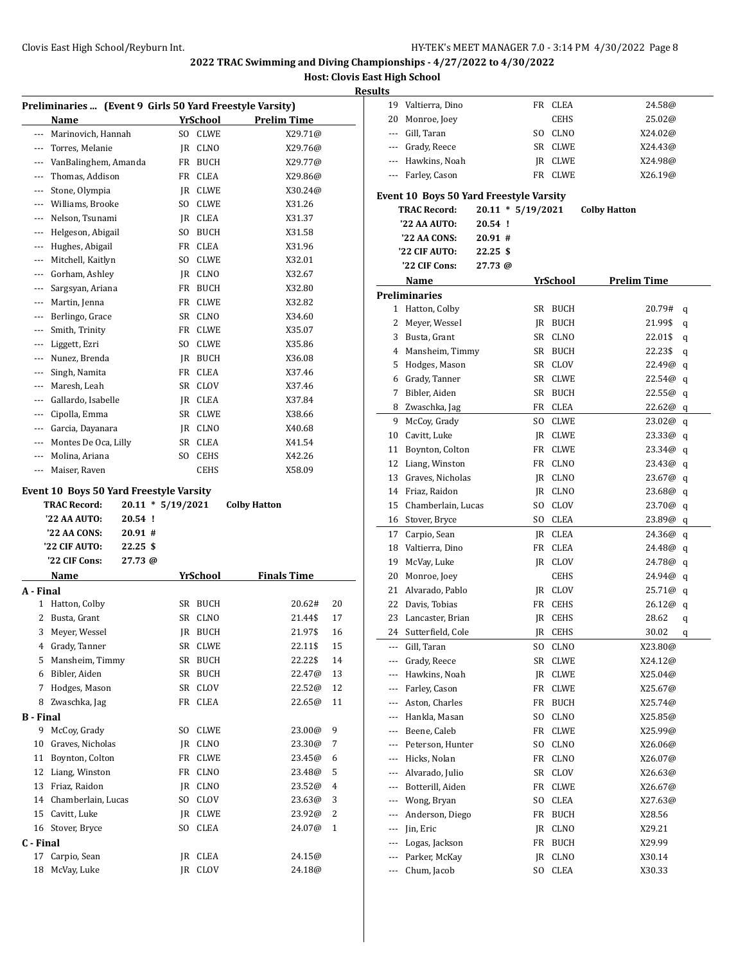### **Host: Clovis East High School Results**

| Preliminaries  (Event 9 Girls 50 Yard Freestyle Varsity)         |                     |     |                 |                     | R  |
|------------------------------------------------------------------|---------------------|-----|-----------------|---------------------|----|
|                                                                  |                     |     |                 |                     |    |
| Name                                                             |                     |     | <b>YrSchool</b> | <b>Prelim Time</b>  |    |
| --- Marinovich, Hannah                                           |                     | SO. | <b>CLWE</b>     | X29.71@             |    |
| --- Torres, Melanie                                              |                     |     | JR CLNO         | X29.76@             |    |
| --- VanBalinghem, Amanda                                         |                     |     | FR BUCH         | X29.77@             |    |
| --- Thomas, Addison                                              |                     |     | FR CLEA         | X29.86@             |    |
| --- Stone, Olympia                                               |                     |     | JR CLWE         | X30.24@             |    |
| --- Williams, Brooke                                             |                     |     | SO CLWE         | X31.26              |    |
| --- Nelson, Tsunami                                              |                     |     | IR CLEA         | X31.37              |    |
| --- Helgeson, Abigail                                            |                     |     | SO BUCH         | X31.58              |    |
| --- Hughes, Abigail                                              |                     | FR  | CLEA            | X31.96              |    |
| --- Mitchell, Kaitlyn                                            |                     | SO  | <b>CLWE</b>     | X32.01              |    |
| --- Gorham, Ashley                                               |                     |     | JR CLNO         | X32.67              |    |
| Sargsyan, Ariana<br>$- - -$                                      |                     |     | FR BUCH         | X32.80              |    |
| Martin, Jenna<br>---                                             |                     | FR  | <b>CLWE</b>     | X32.82              |    |
| Berlingo, Grace<br>---                                           |                     | SR  | <b>CLNO</b>     | X34.60              |    |
| Smith, Trinity<br>$- - -$                                        |                     | FR  | <b>CLWE</b>     | X35.07              |    |
| --- Liggett, Ezri                                                |                     | SO. | <b>CLWE</b>     | X35.86              |    |
| --- Nunez, Brenda                                                |                     |     | JR BUCH         | X36.08              |    |
| --- Singh, Namita                                                |                     |     | FR CLEA         | X37.46              |    |
| --- Maresh, Leah                                                 |                     |     | SR CLOV         | X37.46              |    |
| Gallardo, Isabelle<br>---                                        |                     |     | JR CLEA         | X37.84              |    |
| Cipolla, Emma<br>---                                             |                     |     | SR CLWE         | X38.66              |    |
| --- Garcia, Dayanara                                             |                     |     | IR CLNO         | X40.68              |    |
| --- Montes De Oca, Lilly                                         |                     |     | SR CLEA         | X41.54              |    |
| Molina, Ariana<br>$\cdots$                                       |                     | SO  | <b>CEHS</b>     | X42.26              |    |
| Maiser, Raven<br>---                                             |                     |     | <b>CEHS</b>     | X58.09              |    |
| <b>Event 10 Boys 50 Yard Freestyle Varsity</b>                   |                     |     |                 |                     |    |
|                                                                  |                     |     |                 |                     |    |
| <b>TRAC Record:</b>                                              | $20.11 * 5/19/2021$ |     |                 | <b>Colby Hatton</b> |    |
| '22 AA AUTO:                                                     | $20.54$ !           |     |                 |                     |    |
| '22 AA CONS:                                                     | 20.91#              |     |                 |                     |    |
| '22 CIF AUTO:                                                    | $22.25$ \$          |     |                 |                     |    |
| '22 CIF Cons:                                                    | 27.73 @             |     |                 |                     |    |
| Name                                                             |                     |     | YrSchool        | <b>Finals Time</b>  |    |
|                                                                  |                     |     |                 |                     |    |
| Hatton, Colby<br>1                                               |                     | SR  | <b>BUCH</b>     | 20.62#              | 20 |
| Busta, Grant<br>2                                                |                     | SR  | <b>CLNO</b>     | 21.44\$             | 17 |
| 3<br>Meyer, Wessel                                               |                     |     | JR BUCH         | 21.97\$             | 16 |
| Grady, Tanner<br>4                                               |                     |     | SR CLWE         | 22.11\$             | 15 |
| Mansheim, Timmy<br>5                                             |                     | SR  | BUCH            | 22.22\$             | 14 |
| Bibler, Aiden<br>6                                               |                     | SR  | BUCH            | 22.47@              | 13 |
| Hodges, Mason<br>7                                               |                     | SR  | CLOV            | 22.52@              | 12 |
| 8<br>Zwaschka, Jag                                               |                     | FR  | CLEA            | 22.65@              | 11 |
|                                                                  |                     |     |                 |                     |    |
| McCoy, Grady<br>9                                                |                     | SO  | <b>CLWE</b>     | 23.00@              | 9  |
| 10<br>Graves, Nicholas                                           |                     |     | JR CLNO         | 23.30@              | 7  |
| 11<br>Boynton, Colton                                            |                     | FR  | <b>CLWE</b>     | 23.45@              | 6  |
| 12<br>Liang, Winston                                             |                     | FR  | CLNO            | 23.48@              | 5  |
| 13<br>Friaz, Raidon                                              |                     | JR  | CLNO            | 23.52@              | 4  |
| Chamberlain, Lucas<br>14                                         |                     | SO. | CLOV            | 23.63@              | 3  |
| 15<br>Cavitt, Luke                                               |                     | JR  | <b>CLWE</b>     | 23.92@              | 2  |
| Stover, Bryce<br>16                                              |                     | SO. | CLEA            | 24.07@              | 1  |
|                                                                  |                     |     |                 |                     |    |
| A - Final<br><b>B</b> - Final<br>C - Final<br>Carpio, Sean<br>17 |                     | JR  | CLEA            | 24.15@              |    |

| 19  | Valtierra, Dino                         |            |                     | FR CLEA     | 24.58@              |   |
|-----|-----------------------------------------|------------|---------------------|-------------|---------------------|---|
| 20  | Monroe, Joey                            |            |                     | <b>CEHS</b> | 25.02@              |   |
| --- | Gill, Taran                             |            | SO.                 | CLNO        | X24.02@             |   |
|     | --- Grady, Reece                        |            |                     | SR CLWE     | X24.43@             |   |
|     | --- Hawkins, Noah                       |            |                     | IR CLWE     | X24.98@             |   |
| --- | Farley, Cason                           |            | FR                  | <b>CLWE</b> | X26.19@             |   |
|     |                                         |            |                     |             |                     |   |
|     | Event 10 Boys 50 Yard Freestyle Varsity |            |                     |             |                     |   |
|     | <b>TRAC Record:</b>                     |            | $20.11 * 5/19/2021$ |             | <b>Colby Hatton</b> |   |
|     | '22 AA AUTO:                            | 20.54 !    |                     |             |                     |   |
|     | '22 AA CONS:                            | 20.91#     |                     |             |                     |   |
|     | '22 CIF AUTO:                           | $22.25$ \$ |                     |             |                     |   |
|     | '22 CIF Cons:                           | 27.73 @    |                     |             |                     |   |
|     | Name                                    |            |                     | YrSchool    | <b>Prelim Time</b>  |   |
|     | <b>Preliminaries</b>                    |            |                     |             |                     |   |
| 1   | Hatton, Colby                           |            |                     | SR BUCH     | 20.79#              | q |
| 2   | Meyer, Wessel                           |            |                     | JR BUCH     | 21.99\$             | q |
| 3   | Busta, Grant                            |            |                     | SR CLNO     | 22.01\$             | q |
|     | 4 Mansheim, Timmy                       |            |                     | SR BUCH     | 22.23\$             | q |
|     | 5 Hodges, Mason                         |            |                     | SR CLOV     | 22.49@              | q |
|     | 6 Grady, Tanner                         |            |                     | SR CLWE     | 22.54@              | q |
| 7   | Bibler, Aiden                           |            |                     | SR BUCH     | 22.55@              | q |
|     | 8 Zwaschka, Jag                         |            |                     | FR CLEA     | 22.62@              | q |
| 9   | McCoy, Grady                            |            |                     | SO CLWE     | 23.02@              | q |
|     | 10 Cavitt, Luke                         |            |                     | IR CLWE     | 23.33@              | q |
| 11  | Boynton, Colton                         |            |                     | FR CLWE     | 23.34@              | q |
|     | 12 Liang, Winston                       |            |                     | FR CLNO     | 23.43@              | q |
|     | 13 Graves, Nicholas                     |            |                     | JR CLNO     | 23.67@              | q |
|     | 14 Friaz, Raidon                        |            |                     | JR CLNO     | 23.68@              | q |
|     | 15 Chamberlain, Lucas                   |            |                     | SO CLOV     | 23.70@              | q |
|     | 16 Stover, Bryce                        |            |                     | SO CLEA     | 23.89@              | q |
|     | 17 Carpio, Sean                         |            |                     | JR CLEA     | 24.36@              | q |
|     | 18 Valtierra, Dino                      |            |                     | FR CLEA     | 24.48@              | q |
| 19  | McVay, Luke                             |            |                     | JR CLOV     | 24.78@              | q |
| 20  | Monroe, Joey                            |            |                     | CEHS        | 24.94@              | q |
|     | 21 Alvarado, Pablo                      |            |                     | JR CLOV     | 25.71@              | q |
|     | 22 Davis, Tobias                        |            |                     | FR CEHS     | 26.12@              | q |
| 23  | Lancaster, Brian                        |            |                     | IR CEHS     | 28.62               | q |
| 24  | Sutterfield, Cole                       |            | JR                  | <b>CEHS</b> | 30.02               | q |
| --- | Gill, Taran                             |            | SO.                 | <b>CLNO</b> | X23.80@             |   |
| --- | Grady, Reece                            |            | SR                  | CLWE        | X24.12@             |   |
| --- | Hawkins, Noah                           |            | JR                  | CLWE        | X25.04@             |   |
| --- | Farley, Cason                           |            | FR                  | <b>CLWE</b> | X25.67@             |   |
| --- | Aston, Charles                          |            | FR                  | <b>BUCH</b> | X25.74@             |   |
| --- | Hankla, Masan                           |            | SO.                 | CLNO        | X25.85@             |   |
| --- | Beene, Caleb                            |            | FR                  | <b>CLWE</b> | X25.99@             |   |
| --- | Peterson, Hunter                        |            | SO.                 | CLNO        | X26.06@             |   |
| --- | Hicks, Nolan                            |            | FR                  | CLNO        | X26.07@             |   |
| --- | Alvarado, Julio                         |            | SR                  | CLOV        | X26.63@             |   |
| --- | Botterill, Aiden                        |            | FR                  | <b>CLWE</b> | X26.67@             |   |
| --- | Wong, Bryan                             |            | SO                  | CLEA        | X27.63@             |   |
| --- | Anderson, Diego                         |            | FR                  | <b>BUCH</b> | X28.56              |   |
| --- | Jin, Eric                               |            | JR                  | CLNO        | X29.21              |   |
| --- | Logas, Jackson                          |            | FR                  | <b>BUCH</b> | X29.99              |   |
| --- | Parker, McKay                           |            | JR                  | CLNO        | X30.14              |   |
| --- | Chum, Jacob                             |            | SO.                 | CLEA        | X30.33              |   |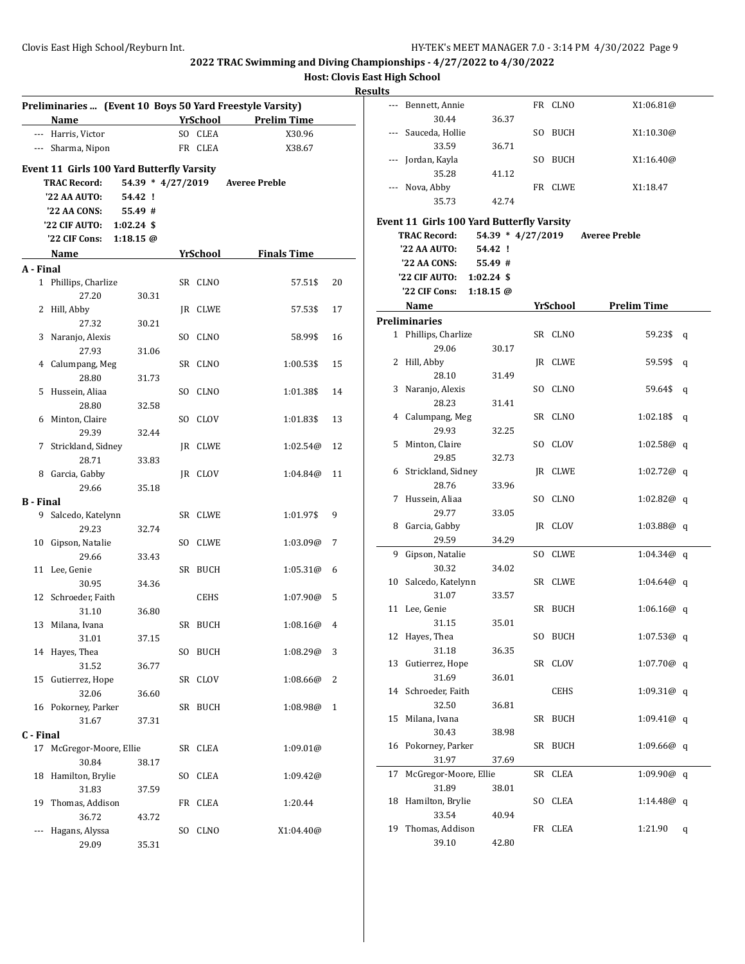| Results |
|---------|
|---------|

|                  |                                           |                     |                 | Preliminaries  (Event 10 Boys 50 Yard Freestyle Varsity) |    | --- Bennett, Annie<br>30.44 |     |
|------------------|-------------------------------------------|---------------------|-----------------|----------------------------------------------------------|----|-----------------------------|-----|
|                  | Name                                      |                     | <b>YrSchool</b> | <b>Prelim Time</b>                                       |    | --- Sauceda, Hollie         |     |
|                  | --- Harris, Victor                        |                     | SO CLEA         | X30.96                                                   |    | 33.59                       |     |
|                  | --- Sharma, Nipon                         |                     | FR CLEA         | X38.67                                                   |    | --- Jordan, Kayla           |     |
|                  | Event 11 Girls 100 Yard Butterfly Varsity |                     |                 |                                                          |    | 35.28                       |     |
|                  | <b>TRAC Record:</b>                       | $54.39 * 4/27/2019$ |                 | <b>Averee Preble</b>                                     |    | --- Nova, Abby              |     |
|                  | '22 AA AUTO:                              | 54.42 !             |                 |                                                          |    | 35.73                       |     |
|                  | '22 AA CONS:                              | 55.49 #             |                 |                                                          |    |                             |     |
|                  | '22 CIF AUTO:                             | $1:02.24$ \$        |                 |                                                          |    | Event 11 Girls 100 Yar      |     |
|                  | '22 CIF Cons:                             | 1:18.15 $@$         |                 |                                                          |    | <b>TRAC Record:</b>         | 5   |
|                  | <b>Name</b>                               |                     | YrSchool        | <b>Finals Time</b>                                       |    | '22 AA AUTO:                | 5   |
| A - Final        |                                           |                     |                 |                                                          |    | '22 AA CONS:                | 5   |
|                  | 1 Phillips, Charlize                      |                     | SR CLNO         | 57.51\$                                                  | 20 | '22 CIF AUTO:               | 1:0 |
|                  | 27.20                                     | 30.31               |                 |                                                          |    | '22 CIF Cons:               | 1:1 |
|                  | 2 Hill, Abby                              |                     | JR CLWE         | 57.53\$                                                  | 17 | Name                        |     |
|                  | 27.32                                     | 30.21               |                 |                                                          |    | <b>Preliminaries</b>        |     |
|                  | 3 Naranjo, Alexis                         |                     | SO CLNO         | 58.99\$                                                  | 16 | 1 Phillips, Charlize        |     |
|                  | 27.93                                     | 31.06               |                 |                                                          |    | 29.06                       |     |
|                  | 4 Calumpang, Meg                          |                     | SR CLNO         | 1:00.53\$                                                | 15 | 2 Hill, Abby                |     |
|                  | 28.80                                     | 31.73               |                 |                                                          |    | 28.10                       |     |
|                  | 5 Hussein, Aliaa                          |                     | SO CLNO         | 1:01.38\$                                                | 14 | 3 Naranjo, Alexis           |     |
|                  | 28.80                                     | 32.58               |                 |                                                          |    | 28.23                       |     |
|                  | 6 Minton, Claire                          |                     | SO CLOV         | 1:01.83\$                                                | 13 | 4 Calumpang, Meg            |     |
|                  | 29.39                                     | 32.44               |                 |                                                          |    | 29.93                       |     |
|                  | 7 Strickland, Sidney                      |                     | JR CLWE         | 1:02.54@                                                 | 12 | 5 Minton, Claire            |     |
|                  | 28.71                                     | 33.83               |                 |                                                          |    | 29.85                       |     |
|                  | 8 Garcia, Gabby                           |                     | JR CLOV         | 1:04.84@                                                 | 11 | 6 Strickland, Sidney        |     |
|                  | 29.66                                     | 35.18               |                 |                                                          |    | 28.76                       |     |
| <b>B</b> - Final |                                           |                     |                 |                                                          |    | 7 Hussein, Aliaa            |     |
|                  | 9 Salcedo, Katelynn                       |                     | SR CLWE         | 1:01.97\$                                                | 9  | 29.77                       |     |
|                  | 29.23                                     | 32.74               |                 |                                                          |    | 8 Garcia, Gabby             |     |
|                  | 10 Gipson, Natalie                        |                     | SO CLWE         | 1:03.09@                                                 | 7  | 29.59                       |     |
|                  | 29.66                                     | 33.43               |                 |                                                          |    | 9 Gipson, Natalie           |     |
|                  | 11 Lee, Genie                             |                     | SR BUCH         | 1:05.31@                                                 | 6  | 30.32                       |     |
|                  | 30.95                                     | 34.36               |                 |                                                          |    | 10 Salcedo, Katelynn        |     |
|                  | 12 Schroeder, Faith                       |                     | <b>CEHS</b>     | 1:07.90@                                                 | 5  | 31.07                       |     |
|                  | 31.10                                     | 36.80               |                 |                                                          |    | 11 Lee, Genie               |     |
|                  | 13 Milana, Ivana                          |                     | SR BUCH         | 1:08.16@                                                 | 4  | 31.15                       |     |
|                  | 31.01                                     | 37.15               |                 |                                                          |    | 12 Hayes, Thea              |     |
|                  | 14 Hayes, Thea                            |                     | SO BUCH         | 1:08.29@                                                 | 3  | 31.18                       |     |
|                  | 31.52                                     | 36.77               |                 |                                                          |    | 13 Gutierrez, Hope          |     |
|                  | 15 Gutierrez, Hope                        |                     | SR CLOV         | 1:08.66@                                                 | 2  | 31.69                       |     |
|                  | 32.06                                     | 36.60               |                 |                                                          |    | 14 Schroeder, Faith         |     |
|                  | 16 Pokorney, Parker                       |                     | SR BUCH         | 1:08.98@                                                 | 1  | 32.50                       |     |
|                  | 31.67                                     | 37.31               |                 |                                                          |    | 15 Milana, Ivana            |     |
| C - Final        |                                           |                     |                 |                                                          |    | 30.43                       |     |
|                  | 17 McGregor-Moore, Ellie                  |                     | SR CLEA         | 1:09.01@                                                 |    | 16 Pokorney, Parker         |     |
|                  | 30.84                                     | 38.17               |                 |                                                          |    | 31.97                       |     |
|                  | 18 Hamilton, Brylie                       |                     | SO CLEA         | 1:09.42@                                                 |    | 17 McGregor-Moore, E        |     |
|                  | 31.83                                     | 37.59               |                 |                                                          |    | 31.89                       |     |
|                  | 19 Thomas, Addison                        |                     | FR CLEA         | 1:20.44                                                  |    | 18 Hamilton, Brylie         |     |
|                  | 36.72                                     | 43.72               |                 |                                                          |    | 33.54                       |     |
|                  | Hagans, Alyssa                            |                     | SO CLNO         | X1:04.40@                                                |    | 19 Thomas, Addison          |     |
|                  | 29.09                                     | 35.31               |                 |                                                          |    | 39.10                       |     |
|                  |                                           |                     |                 |                                                          |    |                             |     |

| --- | Bennett, Annie                            |                   |     | FR CLNO  | X1:06.81@          |   |
|-----|-------------------------------------------|-------------------|-----|----------|--------------------|---|
|     | 30.44                                     | 36.37             |     |          |                    |   |
| --- | Sauceda, Hollie                           |                   |     | SO BUCH  | X1:10.30@          |   |
|     | 33.59                                     | 36.71             |     |          |                    |   |
|     | Jordan, Kayla                             |                   | SO  | BUCH     | X1:16.40@          |   |
|     | 35.28                                     | 41.12             |     |          |                    |   |
|     | Nova, Abby                                |                   |     | FR CLWE  | X1:18.47           |   |
|     | 35.73                                     | 42.74             |     |          |                    |   |
|     |                                           |                   |     |          |                    |   |
|     | Event 11 Girls 100 Yard Butterfly Varsity |                   |     |          |                    |   |
|     | <b>TRAC Record:</b>                       | 54.39 * 4/27/2019 |     |          | Averee Preble      |   |
|     | '22 AA AUTO:                              | 54.42 !           |     |          |                    |   |
|     | '22 AA CONS:                              | 55.49 #           |     |          |                    |   |
|     | '22 CIF AUTO:                             | $1:02.24$ \$      |     |          |                    |   |
|     | '22 CIF Cons:                             | 1:18.15 $@$       |     |          |                    |   |
|     | Name                                      |                   |     | YrSchool | <b>Prelim Time</b> |   |
|     | Preliminaries                             |                   |     |          |                    |   |
|     | 1 Phillips, Charlize                      |                   |     | SR CLNO  | 59.23\$            | q |
|     | 29.06                                     | 30.17             |     |          |                    |   |
| 2   | Hill, Abby                                |                   |     | JR CLWE  | 59.59\$            | q |
|     | 28.10                                     | 31.49             |     |          |                    |   |
| 3   | Naranjo, Alexis                           |                   |     | SO CLNO  | 59.64\$            | q |
|     | 28.23                                     | 31.41             |     |          |                    |   |
| 4   | Calumpang, Meg                            |                   |     | SR CLNO  | 1:02.18\$          | q |
|     | 29.93                                     | 32.25             |     |          |                    |   |
| 5   | Minton, Claire                            |                   | SO  | CLOV     | 1:02.58 $@q$       |   |
|     | 29.85                                     | 32.73             |     |          |                    |   |
| 6   | Strickland, Sidney                        |                   |     | JR CLWE  | 1:02.72@ q         |   |
|     | 28.76                                     | 33.96             |     |          |                    |   |
| 7   | Hussein, Aliaa                            |                   | SO  | CLNO     | 1:02.82@ q         |   |
|     | 29.77                                     | 33.05             |     |          |                    |   |
| 8   | Garcia, Gabby                             |                   |     | JR CLOV  | 1:03.88 $@q$       |   |
|     | 29.59                                     | 34.29             |     |          |                    |   |
| 9   | Gipson, Natalie                           |                   | SO. | CLWE     | 1:04.34@ q         |   |
|     | 30.32                                     | 34.02             |     |          |                    |   |
| 10  | Salcedo, Katelynn                         |                   |     | SR CLWE  | $1:04.64@$ q       |   |
|     | 31.07                                     | 33.57             |     |          |                    |   |
| 11  | Lee, Genie                                |                   |     | SR BUCH  | 1:06.16 $@q$       |   |
|     | 31.15                                     | 35.01             |     |          |                    |   |
| 12  | Hayes, Thea                               |                   |     | SO BUCH  | 1:07.53@q          |   |
|     | 31.18                                     | 36.35             |     |          |                    |   |
| 13  | Gutierrez, Hope                           |                   |     | SR CLOV  | 1:07.70@ q         |   |
|     | 31.69                                     | 36.01             |     |          |                    |   |
| 14  | Schroeder, Faith                          |                   |     | CEHS     | 1:09.31@ q         |   |
|     | 32.50                                     | 36.81             |     |          |                    |   |
| 15  | Milana, Ivana                             |                   |     | SR BUCH  | 1:09.41@ q         |   |
|     | 30.43                                     | 38.98             |     |          |                    |   |
| 16  | Pokorney, Parker                          |                   |     | SR BUCH  | $1:09.66@$ q       |   |
|     | 31.97                                     | 37.69             |     |          |                    |   |
| 17  | McGregor-Moore, Ellie                     |                   |     | SR CLEA  | 1:09.90@ q         |   |
|     | 31.89                                     | 38.01             |     |          |                    |   |
| 18  | Hamilton, Brylie                          |                   | SO  | CLEA     | 1:14.48 $@q$       |   |
|     | 33.54                                     | 40.94             |     |          |                    |   |
| 19  | Thomas, Addison                           |                   |     | FR CLEA  | 1:21.90            | q |
|     | 39.10                                     | 42.80             |     |          |                    |   |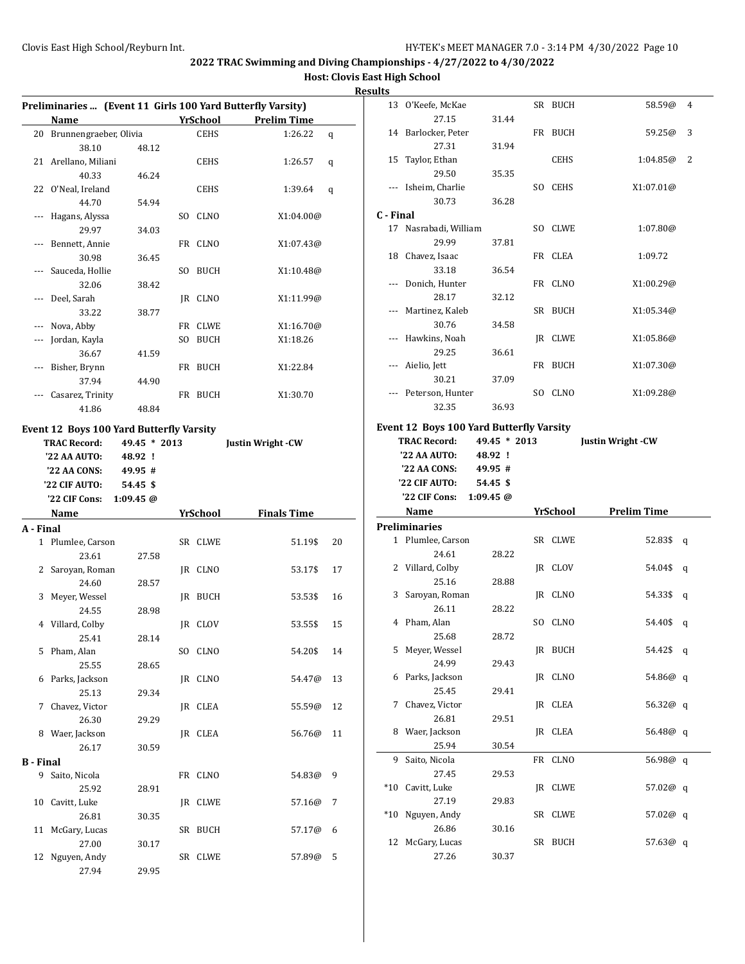|--|

|                  |                                          |             |              |                 | Preliminaries  (Event 11 Girls 100 Yard Butterfly Varsity) |    |
|------------------|------------------------------------------|-------------|--------------|-----------------|------------------------------------------------------------|----|
|                  | Name                                     |             |              | YrSchool        | <b>Prelim Time</b>                                         |    |
|                  | 20 Brunnengraeber, Olivia                |             |              | <b>CEHS</b>     | 1:26.22                                                    | q  |
|                  | 38.10                                    | 48.12       |              |                 |                                                            |    |
|                  | 21 Arellano, Miliani                     |             |              | CEHS            | 1:26.57                                                    | q  |
|                  | 40.33                                    | 46.24       |              |                 |                                                            |    |
|                  | 22 O'Neal, Ireland                       |             |              | <b>CEHS</b>     | 1:39.64                                                    | q  |
|                  | 44.70                                    | 54.94       |              |                 |                                                            |    |
|                  | Hagans, Alyssa                           |             |              | SO CLNO         | X1:04.00@                                                  |    |
|                  | 29.97                                    | 34.03       |              |                 |                                                            |    |
| ---              | Bennett, Annie                           |             |              | FR CLNO         | X1:07.43@                                                  |    |
|                  | 30.98                                    | 36.45       |              |                 |                                                            |    |
| ---              | Sauceda, Hollie                          |             |              | SO BUCH         | X1:10.48@                                                  |    |
|                  | 32.06                                    | 38.42       |              |                 |                                                            |    |
| ---              | Deel, Sarah                              |             |              | JR CLNO         | X1:11.99@                                                  |    |
|                  |                                          |             |              |                 |                                                            |    |
|                  | 33.22                                    | 38.77       |              |                 |                                                            |    |
|                  | Nova, Abby                               |             |              | FR CLWE         | X1:16.70@                                                  |    |
| ---              | Jordan, Kayla                            |             | SO.          | BUCH            | X1:18.26                                                   |    |
|                  | 36.67                                    | 41.59       |              |                 |                                                            |    |
|                  | --- Bisher, Brynn                        |             |              | FR BUCH         | X1:22.84                                                   |    |
|                  | 37.94                                    | 44.90       |              |                 |                                                            |    |
|                  | --- Casarez, Trinity                     |             |              | FR BUCH         | X1:30.70                                                   |    |
|                  | 41.86                                    | 48.84       |              |                 |                                                            |    |
|                  | Event 12 Boys 100 Yard Butterfly Varsity |             |              |                 |                                                            |    |
|                  | <b>TRAC Record:</b>                      |             | 49.45 * 2013 |                 | Justin Wright - CW                                         |    |
|                  | '22 AA AUTO:                             | 48.92 !     |              |                 |                                                            |    |
|                  | '22 AA CONS:                             | 49.95 #     |              |                 |                                                            |    |
|                  | '22 CIF AUTO:                            | 54.45 \$    |              |                 |                                                            |    |
|                  | '22 CIF Cons:                            | 1:09.45 $@$ |              |                 |                                                            |    |
|                  | Name                                     |             |              | <u>YrSchool</u> | <b>Finals Time</b>                                         |    |
| A - Final        |                                          |             |              |                 |                                                            |    |
|                  | 1 Plumlee, Carson                        |             |              | SR CLWE         | 51.19\$                                                    | 20 |
|                  | 23.61                                    | 27.58       |              |                 |                                                            |    |
|                  | 2 Saroyan, Roman                         |             |              | JR CLNO         | 53.17\$                                                    | 17 |
|                  | 24.60                                    | 28.57       |              |                 |                                                            |    |
| 3                |                                          |             |              |                 | 53.53\$                                                    |    |
|                  | Meyer, Wessel                            |             |              | JR BUCH         |                                                            | 16 |
|                  | 24.55                                    | 28.98       |              |                 |                                                            |    |
|                  | 4 Villard, Colby                         |             |              | JR CLOV         | 53.55\$                                                    | 15 |
|                  | 25.41                                    | 28.14       |              |                 |                                                            |    |
| 5                | Pham, Alan                               |             |              | SO CLNO         | 54.20\$                                                    | 14 |
|                  | 25.55                                    | 28.65       |              |                 |                                                            |    |
| 6                | Parks, Jackson                           |             |              | JR CLNO         | 54.47@                                                     | 13 |
|                  | 25.13                                    | 29.34       |              |                 |                                                            |    |
| 7                | Chavez, Victor                           |             |              | JR CLEA         | 55.59@                                                     | 12 |
|                  | 26.30                                    | 29.29       |              |                 |                                                            |    |
| 8                | Waer, Jackson                            |             |              | JR CLEA         | 56.76@                                                     | 11 |
|                  |                                          |             | 30.59        |                 |                                                            |    |
| <b>B</b> - Final | 26.17                                    |             |              |                 |                                                            |    |
| 9                |                                          |             |              |                 |                                                            |    |
|                  | Saito, Nicola                            |             |              | FR CLNO         | 54.83@                                                     | 9  |
|                  | 25.92                                    | 28.91       |              |                 |                                                            |    |
| 10               | Cavitt, Luke                             |             |              | JR CLWE         | 57.16@                                                     | 7  |
|                  | 26.81                                    | 30.35       |              |                 |                                                            |    |
| 11               |                                          |             |              |                 |                                                            | 6  |
|                  | McGary, Lucas                            |             |              | SR BUCH         | 57.17@                                                     |    |
|                  | 27.00                                    | 30.17       |              |                 |                                                            | 5  |
| 12               | Nguyen, Andy<br>27.94                    | 29.95       |              | SR CLWE         | 57.89@                                                     |    |

| 13        | 0'Keefe, McKae                           |              | SR BUCH        | 58.59@                   | 4 |
|-----------|------------------------------------------|--------------|----------------|--------------------------|---|
|           | 27.15                                    | 31.44        |                |                          |   |
|           | 14 Barlocker, Peter                      |              | FR BUCH        | 59.25@                   | 3 |
|           |                                          |              |                |                          |   |
|           | 27.31                                    | 31.94        |                |                          |   |
|           | 15 Taylor, Ethan                         |              | <b>CEHS</b>    | 1:04.85@                 | 2 |
|           | 29.50                                    | 35.35        |                |                          |   |
|           | --- Isheim, Charlie                      |              | SO CEHS        | X1:07.01@                |   |
|           | 30.73                                    | 36.28        |                |                          |   |
| C - Final |                                          |              |                |                          |   |
|           | 17 Nasrabadi, William                    |              | SO CLWE        | 1:07.80@                 |   |
|           | 29.99                                    | 37.81        |                |                          |   |
|           | 18 Chavez, Isaac                         |              | FR CLEA        | 1:09.72                  |   |
|           | 33.18                                    | 36.54        |                |                          |   |
|           | --- Donich, Hunter                       |              | FR CLNO        | X1:00.29@                |   |
|           | 28.17                                    | 32.12        |                |                          |   |
|           | --- Martinez, Kaleb                      |              | SR BUCH        | X1:05.34@                |   |
|           | 30.76                                    | 34.58        |                |                          |   |
|           | --- Hawkins, Noah                        |              | JR CLWE        | X1:05.86@                |   |
|           | 29.25                                    | 36.61        |                |                          |   |
|           | --- Aielio, Jett                         |              | FR BUCH        | X1:07.30@                |   |
|           | 30.21                                    | 37.09        |                |                          |   |
|           | --- Peterson, Hunter                     |              | SO CLNO        | X1:09.28@                |   |
|           | 32.35                                    | 36.93        |                |                          |   |
|           |                                          |              |                |                          |   |
|           | Event 12 Boys 100 Yard Butterfly Varsity |              |                |                          |   |
|           | <b>TRAC Record:</b>                      | 49.45 * 2013 |                | <b>Justin Wright -CW</b> |   |
|           | '22 AA AUTO:                             | 48.92 !      |                |                          |   |
|           | '22 AA CONS:                             | 49.95 #      |                |                          |   |
|           |                                          |              |                |                          |   |
|           | '22 CIF AUTO:                            | 54.45 \$     |                |                          |   |
|           | '22 CIF Cons:                            | 1:09.45 $@$  |                |                          |   |
|           | Name                                     |              | YrSchool       | <b>Prelim Time</b>       |   |
|           | <b>Preliminaries</b>                     |              |                |                          |   |
|           | 1 Plumlee, Carson                        |              | SR CLWE        | 52.83\$                  | q |
|           | 24.61                                    | 28.22        |                |                          |   |
|           | 2 Villard, Colby                         |              | JR CLOV        | 54.04\$                  | q |
|           | 25.16                                    | 28.88        |                |                          |   |
|           | 3 Saroyan, Roman                         |              | IR CLNO        | 54.33\$                  | q |
|           | 26.11                                    | 28.22        |                |                          |   |
|           | 4 Pham, Alan                             |              | SO CLNO        | 54.40\$                  | q |
|           | 25.68                                    | 28.72        |                |                          |   |
|           | 5 Meyer, Wessel                          |              | JR BUCH        | 54.42\$                  | q |
|           | 24.99                                    | 29.43        |                |                          |   |
| 6         | Parks, Jackson                           |              | <b>IR CLNO</b> | 54.86@ q                 |   |
|           | 25.45                                    | 29.41        |                |                          |   |
| 7         | Chavez, Victor                           |              |                |                          |   |
|           |                                          |              | JR CLEA        | 56.32@ q                 |   |
|           | 26.81                                    | 29.51        |                |                          |   |
|           | 8 Waer, Jackson                          |              | JR CLEA        | 56.48@ q                 |   |
|           | 25.94                                    | 30.54        |                |                          |   |
| 9         | Saito, Nicola                            |              | FR CLNO        | 56.98@ q                 |   |
|           | 27.45                                    | 29.53        |                |                          |   |
| $*10$     | Cavitt, Luke                             |              | JR CLWE        | 57.02@ q                 |   |
|           | 27.19                                    | 29.83        |                |                          |   |
| $*10$     | Nguyen, Andy                             |              | SR CLWE        | 57.02@ q                 |   |
|           | 26.86                                    | 30.16        |                |                          |   |
| 12        | McGary, Lucas<br>27.26                   | 30.37        | SR BUCH        | 57.63@ q                 |   |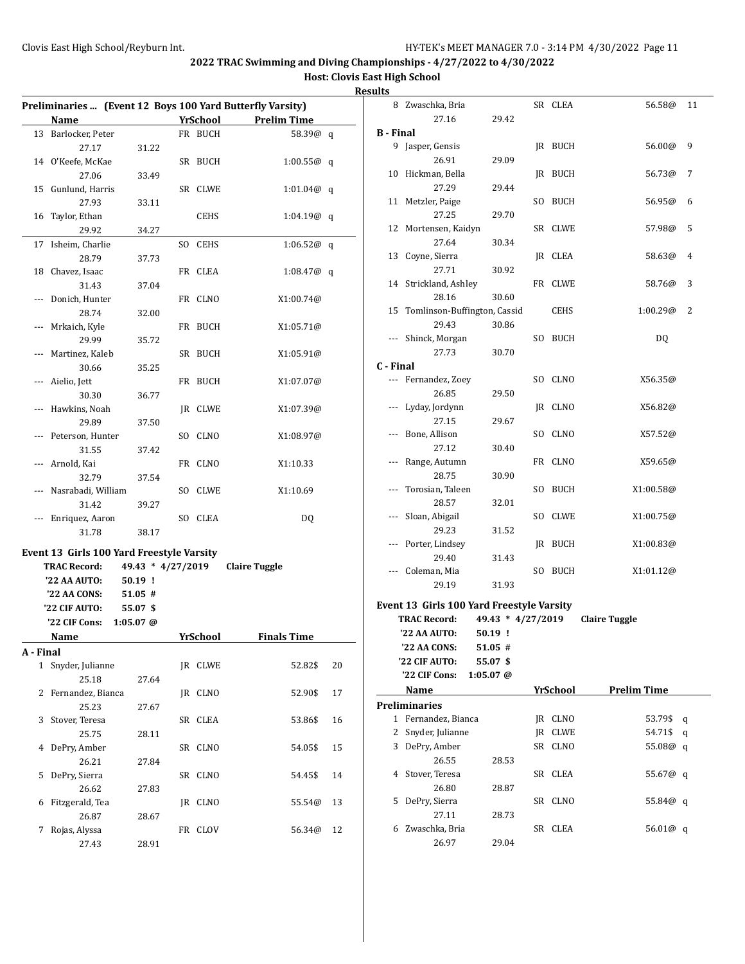|                |                                                  |             |           |                   |     |             | Preliminaries  (Event 12 Boys 100 Yard Butterfly Varsity) |    |
|----------------|--------------------------------------------------|-------------|-----------|-------------------|-----|-------------|-----------------------------------------------------------|----|
|                | Name                                             |             |           |                   |     | YrSchool    | <b>Prelim Time</b>                                        |    |
|                | 13 Barlocker, Peter                              |             |           |                   |     | FR BUCH     | 58.39@ q                                                  |    |
|                | 27.17                                            |             | 31.22     |                   |     |             |                                                           |    |
|                | 14 O'Keefe, McKae                                |             |           |                   |     | SR BUCH     | 1:00.55@q                                                 |    |
|                | 27.06                                            |             | 33.49     |                   |     |             |                                                           |    |
| 15             | Gunlund, Harris                                  |             |           |                   |     | SR CLWE     | 1:01.04@ q                                                |    |
|                | 27.93                                            |             | 33.11     |                   |     |             |                                                           |    |
| 16             | Taylor, Ethan                                    |             |           |                   |     | <b>CEHS</b> | $1:04.19@$ q                                              |    |
|                | 29.92                                            |             | 34.27     |                   |     |             |                                                           |    |
|                | 17 Isheim, Charlie                               |             |           |                   |     | SO CEHS     | 1:06.52@q                                                 |    |
|                | 28.79                                            |             | 37.73     |                   |     |             |                                                           |    |
| 18             | Chavez, Isaac                                    |             |           |                   |     | FR CLEA     | $1:08.47@$ q                                              |    |
|                | 31.43                                            |             | 37.04     |                   |     |             |                                                           |    |
| ---            |                                                  |             |           |                   |     | FR CLNO     | X1:00.74@                                                 |    |
|                | Donich, Hunter<br>28.74                          |             |           |                   |     |             |                                                           |    |
|                |                                                  |             | 32.00     |                   |     |             |                                                           |    |
| ---            | Mrkaich, Kyle                                    |             |           |                   |     | FR BUCH     | X1:05.71@                                                 |    |
|                | 29.99                                            |             | 35.72     |                   |     |             |                                                           |    |
| ---            | Martinez, Kaleb                                  |             |           |                   |     | SR BUCH     | X1:05.91@                                                 |    |
|                | 30.66                                            |             | 35.25     |                   |     |             |                                                           |    |
| ---            | Aielio, Jett                                     |             |           |                   |     | FR BUCH     | X1:07.07@                                                 |    |
|                | 30.30                                            |             | 36.77     |                   |     |             |                                                           |    |
| ---            | Hawkins, Noah                                    |             |           |                   |     | JR CLWE     | X1:07.39@                                                 |    |
|                | 29.89                                            |             | 37.50     |                   |     |             |                                                           |    |
|                | Peterson, Hunter                                 |             |           |                   |     | SO CLNO     | X1:08.97@                                                 |    |
|                | 31.55                                            |             | 37.42     |                   |     |             |                                                           |    |
| ---            | Arnold, Kai                                      |             |           |                   |     | FR CLNO     | X1:10.33                                                  |    |
|                | 32.79                                            |             | 37.54     |                   |     |             |                                                           |    |
| ---            | Nasrabadi, William                               |             |           |                   | SO. | <b>CLWE</b> | X1:10.69                                                  |    |
|                | 31.42                                            |             | 39.27     |                   |     |             |                                                           |    |
|                | Enriquez, Aaron                                  |             |           |                   | SO. | CLEA        | DQ                                                        |    |
|                | 31.78                                            |             | 38.17     |                   |     |             |                                                           |    |
|                | <b>Event 13 Girls 100 Yard Freestyle Varsity</b> |             |           |                   |     |             |                                                           |    |
|                | <b>TRAC Record:</b>                              |             |           | 49.43 * 4/27/2019 |     |             | <b>Claire Tuggle</b>                                      |    |
|                | '22 AA AUTO:                                     |             | $50.19$ ! |                   |     |             |                                                           |    |
|                | '22 AA CONS:                                     |             | 51.05 #   |                   |     |             |                                                           |    |
|                | '22 CIF AUTO:                                    |             | 55.07 \$  |                   |     |             |                                                           |    |
|                | '22 CIF Cons:                                    | $1:05.07$ @ |           |                   |     |             |                                                           |    |
|                |                                                  |             |           |                   |     |             |                                                           |    |
|                | Name                                             |             |           |                   |     | YrSchool    | Finals Time                                               |    |
| A - Final<br>1 | Snyder, Julianne                                 |             |           |                   |     |             | 52.82\$                                                   |    |
|                |                                                  |             |           |                   |     | JR CLWE     |                                                           | 20 |
|                | 25.18                                            |             | 27.64     |                   |     |             |                                                           |    |
| 2              | Fernandez, Bianca                                |             |           |                   |     | IR CLNO     | 52.90\$                                                   | 17 |
|                | 25.23                                            |             | 27.67     |                   |     |             |                                                           |    |
| 3              | Stover, Teresa                                   |             |           |                   |     | SR CLEA     | 53.86\$                                                   | 16 |
|                | 25.75                                            |             | 28.11     |                   |     |             |                                                           |    |
| 4              | DePry, Amber                                     |             |           |                   |     | SR CLNO     | 54.05\$                                                   | 15 |
|                | 26.21                                            |             | 27.84     |                   |     |             |                                                           |    |
| 5              | DePry, Sierra                                    |             |           |                   |     | SR CLNO     | 54.45\$                                                   | 14 |
|                | 26.62                                            |             | 27.83     |                   |     |             |                                                           |    |
| 6              | Fitzgerald, Tea                                  |             |           |                   |     | JR CLNO     | 55.54@                                                    | 13 |
|                | 26.87                                            |             | 28.67     |                   |     |             |                                                           |    |
| 7              | Rojas, Alyssa                                    |             |           |                   |     | FR CLOV     | 56.34@                                                    | 12 |
|                | 27.43                                            |             | 28.91     |                   |     |             |                                                           |    |

|                  | Zwaschka, Bria                              |                   |     | SR CLEA     | 56.58@               | 11 |
|------------------|---------------------------------------------|-------------------|-----|-------------|----------------------|----|
|                  | 27.16                                       | 29.42             |     |             |                      |    |
| <b>B</b> - Final |                                             |                   |     |             |                      |    |
| 9                | Jasper, Gensis                              |                   |     | IR BUCH     | 56.00@               | 9  |
|                  | 26.91                                       | 29.09             |     |             |                      |    |
| 10               | Hickman, Bella                              |                   |     | JR BUCH     | 56.73@               | 7  |
|                  | 27.29                                       | 29.44             |     |             |                      |    |
| 11               | Metzler, Paige                              |                   | SO  | BUCH        | 56.95@               | 6  |
|                  | 27.25                                       | 29.70             |     |             |                      |    |
| 12               | Mortensen, Kaidyn                           |                   |     | SR CLWE     | 57.98@               | 5  |
|                  | 27.64                                       | 30.34             |     |             |                      |    |
|                  | 13 Coyne, Sierra                            |                   |     | JR CLEA     | 58.63@               | 4  |
|                  | 27.71                                       | 30.92             |     |             |                      |    |
|                  | 14 Strickland, Ashley                       |                   |     | FR CLWE     | 58.76@               | 3  |
|                  | 28.16                                       | 30.60             |     |             |                      |    |
|                  | 15 Tomlinson-Buffington, Cassid             |                   |     | <b>CEHS</b> | 1:00.29@             | 2  |
|                  | 29.43                                       | 30.86             |     |             |                      |    |
|                  | --- Shinck, Morgan                          |                   |     | SO BUCH     | DQ                   |    |
|                  | 27.73                                       | 30.70             |     |             |                      |    |
| C - Final        |                                             |                   |     |             |                      |    |
| ---              | Fernandez, Zoey                             |                   | SO. | CLNO        | X56.35@              |    |
|                  | 26.85                                       | 29.50             |     |             |                      |    |
| ---              | Lyday, Jordynn                              |                   |     | JR CLNO     | X56.82@              |    |
|                  | 27.15                                       | 29.67             |     |             |                      |    |
| ---              | Bone, Allison                               |                   | SO. | CLNO        | X57.52@              |    |
|                  | 27.12                                       | 30.40             |     |             |                      |    |
| ---              | Range, Autumn                               |                   |     | FR CLNO     | X59.65@              |    |
|                  | 28.75                                       | 30.90             |     |             |                      |    |
|                  | Torosian, Taleen                            |                   |     | SO BUCH     | X1:00.58@            |    |
|                  | 28.57                                       | 32.01             |     |             |                      |    |
|                  | Sloan, Abigail                              |                   |     | SO CLWE     | X1:00.75@            |    |
|                  | 29.23                                       | 31.52             |     |             |                      |    |
| ---              | Porter, Lindsey                             |                   |     | JR BUCH     | X1:00.83@            |    |
|                  | 29.40                                       | 31.43             |     |             |                      |    |
|                  |                                             |                   |     | SO BUCH     | X1:01.12@            |    |
|                  | Coleman, Mia<br>29.19                       |                   |     |             |                      |    |
|                  |                                             |                   |     |             |                      |    |
|                  |                                             | 31.93             |     |             |                      |    |
|                  | Event 13 Girls 100 Yard Freestyle Varsity   |                   |     |             |                      |    |
|                  | <b>TRAC Record:</b>                         | 49.43 * 4/27/2019 |     |             | <b>Claire Tuggle</b> |    |
|                  | '22 AA AUTO:                                | $50.19$ !         |     |             |                      |    |
|                  | '22 AA CONS:                                | $51.05$ #         |     |             |                      |    |
|                  | '22 CIF AUTO:                               | 55.07 \$          |     |             |                      |    |
|                  | '22 CIF Cons:                               | $1:05.07$ @       |     |             |                      |    |
|                  | Name                                        |                   |     | YrSchool    |                      |    |
|                  |                                             |                   |     |             | <b>Prelim Time</b>   |    |
|                  | <b>Preliminaries</b><br>1 Fernandez, Bianca |                   |     | JR CLNO     | 53.79\$              | q  |
|                  | 2 Snyder, Julianne                          |                   |     | JR CLWE     | 54.71\$              |    |
|                  | 3 DePry, Amber                              |                   |     | SR CLNO     | 55.08@               | q  |
|                  | 26.55                                       | 28.53             |     |             |                      | q  |
| 4                |                                             |                   |     |             |                      |    |
|                  | Stover, Teresa                              |                   |     | SR CLEA     | 55.67@ q             |    |
|                  | 26.80                                       | 28.87             |     |             |                      |    |
| 5                | DePry, Sierra                               |                   |     | SR CLNO     | 55.84@ q             |    |
|                  | 27.11                                       | 28.73             |     |             |                      |    |
|                  | 6 Zwaschka, Bria<br>26.97                   | 29.04             |     | SR CLEA     | 56.01@ q             |    |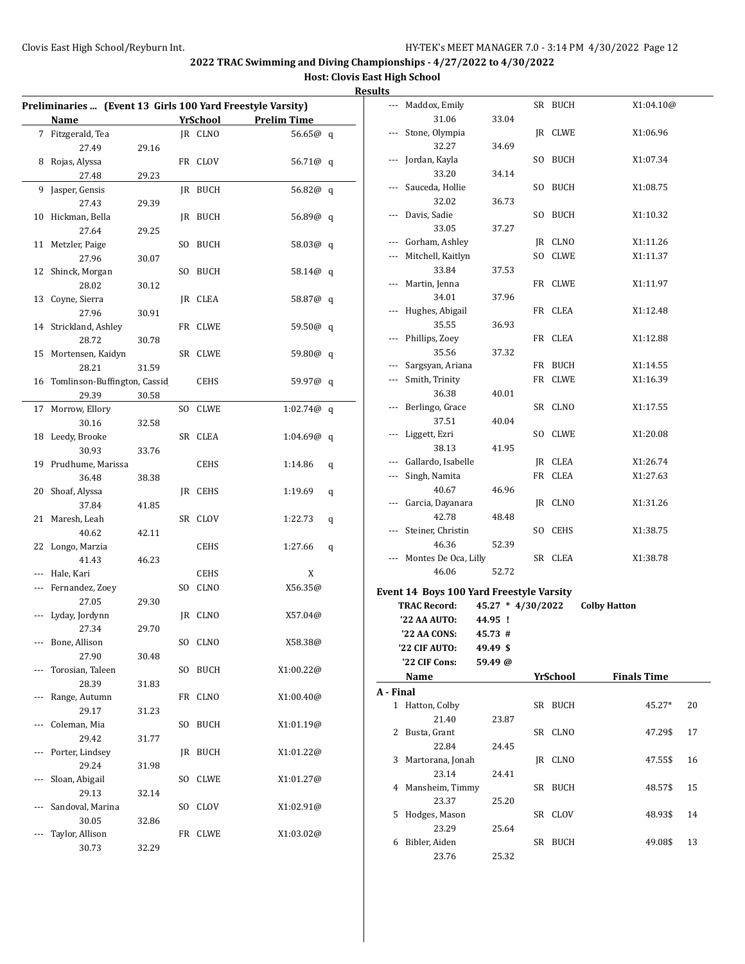|          | Preliminaries  (Event 13 Girls 100 Yard Freestyle Varsity) |       |    |                 |                    |         |
|----------|------------------------------------------------------------|-------|----|-----------------|--------------------|---------|
|          | <b>Name</b>                                                |       |    | <b>YrSchool</b> | <b>Prelim Time</b> |         |
|          | 7 Fitzgerald, Tea                                          |       |    | JR CLNO         | 56.65@ q           |         |
|          | 27.49                                                      | 29.16 |    |                 |                    |         |
|          | 8 Rojas, Alyssa                                            |       |    | FR CLOV         | 56.71@ q           |         |
|          | 27.48                                                      | 29.23 |    |                 |                    |         |
| 9        | Jasper, Gensis                                             |       |    | JR BUCH         | 56.82@ q           |         |
|          | 27.43                                                      | 29.39 |    |                 |                    |         |
|          | 10 Hickman, Bella                                          |       |    | JR BUCH         | 56.89@ q           |         |
|          | 27.64                                                      | 29.25 |    |                 |                    |         |
|          |                                                            |       |    |                 |                    |         |
|          | 11 Metzler, Paige                                          |       |    | SO BUCH         | 58.03@ q           |         |
|          | 27.96                                                      | 30.07 |    |                 |                    |         |
|          | 12 Shinck, Morgan                                          |       |    | SO BUCH         | 58.14 $@$ q        |         |
|          | 28.02                                                      | 30.12 |    |                 |                    |         |
|          | 13 Coyne, Sierra                                           |       |    | JR CLEA         | 58.87@ q           |         |
|          | 27.96                                                      | 30.91 |    |                 |                    |         |
|          | 14 Strickland, Ashley                                      |       |    | FR CLWE         | 59.50@ q           |         |
|          | 28.72                                                      | 30.78 |    |                 |                    |         |
|          | 15 Mortensen, Kaidyn                                       |       |    | SR CLWE         | 59.80@ q           |         |
|          | 28.21                                                      | 31.59 |    |                 |                    |         |
|          | 16 Tomlinson-Buffington, Cassid                            |       |    | <b>CEHS</b>     | 59.97@ q           |         |
|          | 29.39                                                      | 30.58 |    |                 |                    |         |
| 17       | Morrow, Ellory                                             |       |    | SO CLWE         | 1:02.74@ q         |         |
|          | 30.16                                                      | 32.58 |    |                 |                    |         |
|          |                                                            |       |    | SR CLEA         |                    |         |
|          | 18 Leedy, Brooke                                           |       |    |                 | 1:04.69 $@q$       |         |
|          | 30.93                                                      | 33.76 |    |                 |                    |         |
|          | 19 Prudhume, Marissa                                       |       |    | CEHS            | 1:14.86            | q       |
|          | 36.48                                                      | 38.38 |    |                 |                    |         |
|          | 20 Shoaf, Alyssa                                           |       |    | JR CEHS         | 1:19.69            | q       |
|          | 37.84                                                      | 41.85 |    |                 |                    |         |
|          | 21 Maresh, Leah                                            |       |    | SR CLOV         | 1:22.73            | q       |
|          | 40.62                                                      | 42.11 |    |                 |                    |         |
|          | 22 Longo, Marzia                                           |       |    | CEHS            | 1:27.66            | q       |
|          | 41.43                                                      | 46.23 |    |                 |                    |         |
| $---$    | Hale, Kari                                                 |       |    | CEHS            | X                  |         |
| ---      | Fernandez, Zoey                                            |       |    | SO CLNO         | X56.35@            |         |
|          | 27.05                                                      | 29.30 |    |                 |                    | Ever    |
| $\cdots$ | Lyday, Jordynn                                             |       |    | IR CLNO         | X57.04@            |         |
|          | 27.34                                                      | 29.70 |    |                 |                    |         |
|          |                                                            |       |    |                 |                    |         |
|          | Bone, Allison                                              |       |    | SO CLNO         | X58.38@            |         |
|          | 27.90                                                      | 30.48 |    |                 |                    |         |
|          | Torosian, Taleen                                           |       |    | SO BUCH         | X1:00.22@          |         |
|          | 28.39                                                      | 31.83 |    |                 |                    | $A - I$ |
|          | Range, Autumn                                              |       |    | FR CLNO         | X1:00.40@          |         |
|          | 29.17                                                      | 31.23 |    |                 |                    |         |
|          | Coleman, Mia                                               |       | SO | BUCH            | X1:01.19@          |         |
|          | 29.42                                                      | 31.77 |    |                 |                    |         |
|          | Porter, Lindsey                                            |       |    | JR BUCH         | X1:01.22@          |         |
|          | 29.24                                                      | 31.98 |    |                 |                    |         |
| ---      | Sloan, Abigail                                             |       | SO | CLWE            | X1:01.27@          |         |
|          | 29.13                                                      |       |    |                 |                    |         |
|          |                                                            | 32.14 |    |                 |                    |         |
|          | Sandoval, Marina                                           |       |    | SO CLOV         | X1:02.91@          |         |
|          | 30.05                                                      | 32.86 |    |                 |                    |         |
|          | Taylor, Allison                                            |       |    | FR CLWE         | X1:03.02@          |         |
|          | 30.73                                                      | 32.29 |    |                 |                    |         |
|          |                                                            |       |    |                 |                    |         |

| แร           |                                          |                             |     |         |                                       |    |
|--------------|------------------------------------------|-----------------------------|-----|---------|---------------------------------------|----|
| ---          | Maddox, Emily                            |                             |     | SR BUCH | X1:04.10@                             |    |
|              | 31.06                                    | 33.04                       |     |         |                                       |    |
| ---          | Stone, Olympia                           |                             |     | JR CLWE | X1:06.96                              |    |
|              | 32.27                                    | 34.69                       |     |         |                                       |    |
| ---          | Jordan, Kayla                            |                             |     | SO BUCH | X1:07.34                              |    |
|              | 33.20                                    | 34.14                       |     |         |                                       |    |
|              | Sauceda, Hollie                          |                             | SO. | BUCH    | X1:08.75                              |    |
|              | 32.02                                    | 36.73                       |     |         |                                       |    |
|              | Davis, Sadie                             |                             | SO  | BUCH    | X1:10.32                              |    |
|              | 33.05                                    | 37.27                       |     |         |                                       |    |
| ---          | Gorham, Ashley                           |                             |     | JR CLNO | X1:11.26                              |    |
| ---          | Mitchell, Kaitlyn                        |                             |     | SO CLWE | X1:11.37                              |    |
|              | 33.84                                    | 37.53                       |     |         |                                       |    |
| ---          | Martin, Jenna                            |                             |     | FR CLWE | X1:11.97                              |    |
|              | 34.01                                    | 37.96                       |     |         |                                       |    |
|              | Hughes, Abigail                          |                             |     | FR CLEA | X1:12.48                              |    |
|              | 35.55                                    | 36.93                       |     |         |                                       |    |
|              | Phillips, Zoey                           |                             |     | FR CLEA | X1:12.88                              |    |
|              | 35.56                                    | 37.32                       |     |         |                                       |    |
| ---          | Sargsyan, Ariana                         |                             |     | FR BUCH | X1:14.55                              |    |
| ---          | Smith, Trinity<br>36.38                  |                             |     | FR CLWE | X1:16.39                              |    |
|              |                                          | 40.01                       |     | SR CLNO | X1:17.55                              |    |
|              | Berlingo, Grace<br>37.51                 | 40.04                       |     |         |                                       |    |
| ---          | Liggett, Ezri                            |                             | SO  | CLWE    | X1:20.08                              |    |
|              | 38.13                                    | 41.95                       |     |         |                                       |    |
|              | Gallardo, Isabelle                       |                             |     | JR CLEA | X1:26.74                              |    |
| ---          | Singh, Namita                            |                             |     | FR CLEA | X1:27.63                              |    |
|              | 40.67                                    | 46.96                       |     |         |                                       |    |
| ---          | Garcia, Dayanara                         |                             |     | JR CLNO | X1:31.26                              |    |
|              | 42.78                                    | 48.48                       |     |         |                                       |    |
|              | Steiner, Christin                        |                             |     | SO CEHS | X1:38.75                              |    |
|              | 46.36                                    | 52.39                       |     |         |                                       |    |
|              | Montes De Oca, Lilly                     |                             |     | SR CLEA | X1:38.78                              |    |
|              | 46.06                                    | 52.72                       |     |         |                                       |    |
|              |                                          |                             |     |         |                                       |    |
|              | Event 14 Boys 100 Yard Freestyle Varsity |                             |     |         | <b>Colby Hatton</b>                   |    |
|              | <b>TRAC Record:</b><br>'22 AA AUTO:      | 45.27 * 4/30/2022<br>44.95! |     |         |                                       |    |
|              | '22 AA CONS:                             | 45.73 #                     |     |         |                                       |    |
|              | '22 CIF AUTO:                            | 49.49 \$                    |     |         |                                       |    |
|              | '22 CIF Cons:                            | 59.49 @                     |     |         |                                       |    |
|              | Name                                     |                             |     |         | <u>YrSchool</u><br><b>Finals Time</b> |    |
| A - Final    |                                          |                             |     |         |                                       |    |
| $\mathbf{1}$ | Hatton, Colby                            |                             |     | SR BUCH | 45.27*                                | 20 |
|              | 21.40                                    | 23.87                       |     |         |                                       |    |
| 2            | Busta, Grant                             |                             |     | SR CLNO | 47.29\$                               | 17 |
|              | 22.84                                    | 24.45                       |     |         |                                       |    |
| 3            | Martorana, Jonah                         |                             |     | JR CLNO | 47.55\$                               | 16 |
|              | 23.14                                    | 24.41                       |     |         |                                       |    |
|              | 4 Mansheim, Timmy                        |                             |     | SR BUCH | 48.57\$                               | 15 |
|              | 23.37                                    | 25.20                       |     |         |                                       |    |
| 5            | Hodges, Mason                            |                             |     | SR CLOV | 48.93\$                               | 14 |
|              | 23.29                                    | 25.64                       |     |         |                                       |    |
| 6            | Bibler, Aiden                            |                             |     | SR BUCH | 49.08\$                               | 13 |
|              | 23.76                                    | 25.32                       |     |         |                                       |    |
|              |                                          |                             |     |         |                                       |    |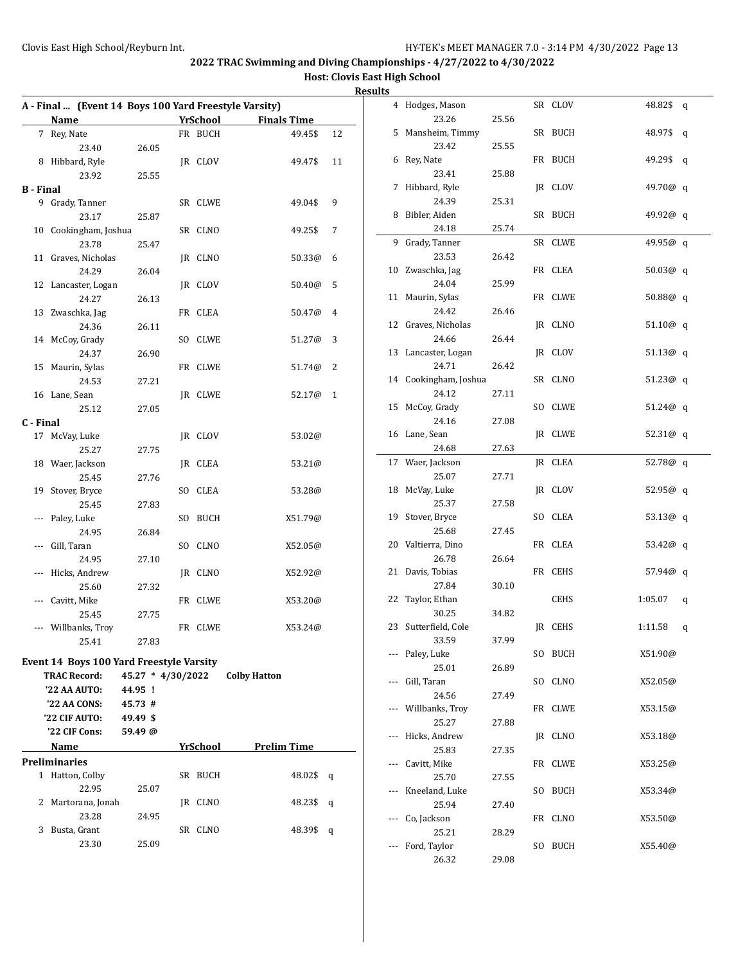|                  | A - Final  (Event 14 Boys 100 Yard Freestyle Varsity) |                   |                 |                     |                | 4 Hodges, Mason       |       | SR CLOV     | 48.82\$ q   |   |
|------------------|-------------------------------------------------------|-------------------|-----------------|---------------------|----------------|-----------------------|-------|-------------|-------------|---|
|                  | Name                                                  |                   | YrSchool        | <b>Finals Time</b>  |                | 23.26                 | 25.56 |             |             |   |
|                  | 7 Rey, Nate                                           |                   | FR BUCH         | 49.45\$             | 12             | 5 Mansheim, Timmy     |       | SR BUCH     | 48.97\$ q   |   |
|                  | 23.40                                                 | 26.05             |                 |                     |                | 23.42                 | 25.55 |             |             |   |
|                  | 8 Hibbard, Ryle                                       |                   | JR CLOV         | 49.47\$             | 11             | 6 Rey, Nate           |       | FR BUCH     | 49.29\$ q   |   |
|                  | 23.92                                                 | 25.55             |                 |                     |                | 23.41                 | 25.88 |             |             |   |
| <b>B</b> - Final |                                                       |                   |                 |                     |                | 7 Hibbard, Ryle       |       | JR CLOV     | 49.70@ q    |   |
|                  | 9 Grady, Tanner                                       |                   | SR CLWE         | 49.04\$ 9           |                | 24.39                 | 25.31 |             |             |   |
|                  | 23.17                                                 | 25.87             |                 |                     |                | 8 Bibler, Aiden       |       | SR BUCH     | 49.92 $@q$  |   |
|                  | 10 Cookingham, Joshua                                 |                   | SR CLNO         | 49.25\$             | $\overline{7}$ | 24.18                 | 25.74 |             |             |   |
|                  | 23.78                                                 | 25.47             |                 |                     |                | 9 Grady, Tanner       |       | SR CLWE     | 49.95@ q    |   |
|                  | 11 Graves, Nicholas                                   |                   | JR CLNO         | 50.33@ 6            |                | 23.53                 | 26.42 |             |             |   |
|                  | 24.29                                                 | 26.04             |                 |                     |                | 10 Zwaschka, Jag      |       | FR CLEA     | 50.03 $@q$  |   |
|                  | 12 Lancaster, Logan                                   |                   | JR CLOV         | 50.40@ 5            |                | 24.04                 | 25.99 |             |             |   |
|                  | 24.27                                                 | 26.13             |                 |                     |                | 11 Maurin, Sylas      |       | FR CLWE     | 50.88 $@q$  |   |
|                  | 13 Zwaschka, Jag                                      |                   | FR CLEA         | 50.47@ 4            |                | 24.42                 | 26.46 |             |             |   |
|                  | 24.36                                                 | 26.11             |                 |                     |                | 12 Graves, Nicholas   |       | JR CLNO     | 51.10 $@q$  |   |
|                  | 14 McCoy, Grady                                       |                   | SO CLWE         | 51.27@ 3            |                | 24.66                 | 26.44 |             |             |   |
|                  | 24.37                                                 | 26.90             |                 |                     |                | 13 Lancaster, Logan   |       | JR CLOV     | 51.13 $@q$  |   |
|                  | 15 Maurin, Sylas                                      |                   | FR CLWE         | 51.74@ 2            |                | 24.71                 | 26.42 |             |             |   |
|                  | 24.53                                                 | 27.21             |                 |                     |                | 14 Cookingham, Joshua |       | SR CLNO     | 51.23 $@q$  |   |
|                  | 16 Lane, Sean                                         |                   | JR CLWE         | 52.17@ 1            |                | 24.12                 | 27.11 |             |             |   |
|                  | 25.12                                                 | 27.05             |                 |                     |                | 15 McCoy, Grady       |       | SO CLWE     | 51.24 $@$ q |   |
| C - Final        |                                                       |                   |                 |                     |                | 24.16                 | 27.08 |             |             |   |
|                  | 17 McVay, Luke                                        |                   | JR CLOV         | 53.02@              |                | 16 Lane, Sean         |       | JR CLWE     | 52.31@ q    |   |
|                  | 25.27                                                 | 27.75             |                 |                     |                | 24.68                 | 27.63 |             |             |   |
|                  | 18 Waer, Jackson                                      |                   | JR CLEA         | 53.21@              |                | 17 Waer, Jackson      |       | JR CLEA     | 52.78@ q    |   |
|                  | 25.45                                                 | 27.76             |                 |                     |                | 25.07                 | 27.71 |             |             |   |
|                  | 19 Stover, Bryce                                      |                   | SO CLEA         | 53.28@              |                | 18 McVay, Luke        |       | JR CLOV     | 52.95 $@q$  |   |
|                  | 25.45                                                 | 27.83             |                 |                     |                | 25.37                 | 27.58 |             |             |   |
|                  | --- Paley, Luke                                       |                   | SO BUCH         | X51.79@             |                | 19 Stover, Bryce      |       | SO CLEA     | 53.13@ q    |   |
|                  | 24.95                                                 | 26.84             |                 |                     |                | 25.68                 | 27.45 |             |             |   |
|                  | --- Gill, Taran                                       |                   | SO CLNO         | X52.05@             |                | 20 Valtierra, Dino    |       | FR CLEA     | 53.42@ q    |   |
|                  | 24.95                                                 | 27.10             |                 |                     |                | 26.78                 | 26.64 |             |             |   |
|                  | --- Hicks, Andrew                                     |                   | JR CLNO         | X52.92@             |                | 21 Davis, Tobias      |       | FR CEHS     | 57.94@ q    |   |
|                  | 25.60                                                 | 27.32             |                 |                     |                | 27.84                 | 30.10 |             |             |   |
|                  | --- Cavitt, Mike                                      |                   | FR CLWE         | X53.20@             |                | 22 Taylor, Ethan      |       | <b>CEHS</b> | 1:05.07     | q |
|                  | 25.45                                                 | 27.75             |                 |                     |                | 30.25                 | 34.82 |             |             |   |
|                  | --- Willbanks, Troy                                   |                   | FR CLWE         | X53.24@             |                | 23 Sutterfield, Cole  |       | JR CEHS     | 1:11.58 $q$ |   |
|                  | 25.41                                                 | 27.83             |                 |                     |                | 33.59                 | 37.99 |             |             |   |
|                  |                                                       |                   |                 |                     |                | --- Paley, Luke       |       | SO BUCH     | X51.90@     |   |
|                  | Event 14 Boys 100 Yard Freestyle Varsity              |                   |                 |                     |                | 25.01                 | 26.89 |             |             |   |
|                  | <b>TRAC Record:</b>                                   | 45.27 * 4/30/2022 |                 | <b>Colby Hatton</b> |                | --- Gill, Taran       |       | SO CLNO     | X52.05@     |   |
|                  | '22 AA AUTO:                                          | 44.95 !           |                 |                     |                | 24.56                 | 27.49 |             |             |   |
|                  | '22 AA CONS:                                          | 45.73 #           |                 |                     |                | --- Willbanks, Troy   |       | FR CLWE     | X53.15@     |   |
|                  | '22 CIF AUTO:                                         | 49.49 \$          |                 |                     |                | 25.27                 | 27.88 |             |             |   |
|                  | '22 CIF Cons:                                         | 59.49 @           |                 |                     |                | --- Hicks, Andrew     |       | JR CLNO     | X53.18@     |   |
|                  | Name                                                  |                   | <b>YrSchool</b> | <b>Prelim Time</b>  |                | 25.83                 | 27.35 |             |             |   |
|                  | <b>Preliminaries</b>                                  |                   |                 |                     |                | --- Cavitt, Mike      |       | FR CLWE     | X53.25@     |   |
|                  | 1 Hatton, Colby                                       |                   | SR BUCH         | 48.02\$ q           |                | 25.70                 | 27.55 |             |             |   |
|                  | 22.95                                                 | 25.07             |                 |                     |                | --- Kneeland, Luke    |       | SO BUCH     | X53.34@     |   |
|                  | 2 Martorana, Jonah                                    |                   | JR CLNO         | 48.23\$ q           |                | 25.94                 | 27.40 |             |             |   |
|                  | 23.28                                                 | 24.95             |                 |                     |                | --- Co, Jackson       |       | FR CLNO     | X53.50@     |   |
|                  | 3 Busta, Grant                                        |                   | SR CLNO         | 48.39\$ q           |                | 25.21                 | 28.29 |             |             |   |
|                  | 23.30                                                 | 25.09             |                 |                     |                | --- Ford, Taylor      |       | SO BUCH     | X55.40@     |   |
|                  |                                                       |                   |                 |                     |                | 26.32                 | 29.08 |             |             |   |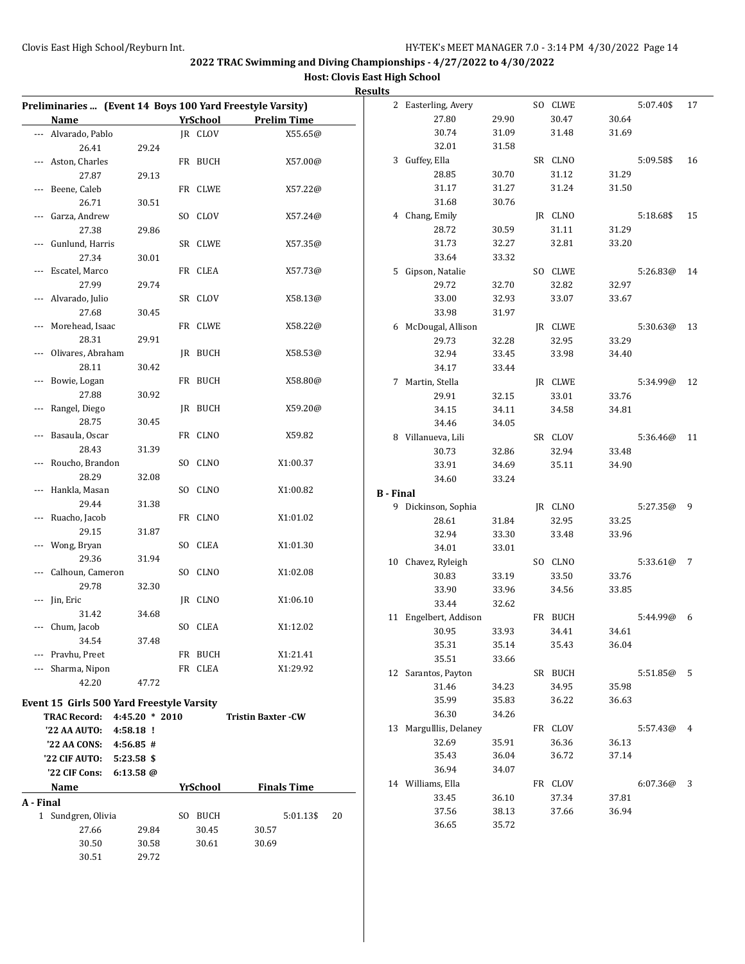|           |                                           |              |                 |                                                           | resuits          |                        |       |         |       |              |     |
|-----------|-------------------------------------------|--------------|-----------------|-----------------------------------------------------------|------------------|------------------------|-------|---------|-------|--------------|-----|
|           |                                           |              |                 | Preliminaries  (Event 14 Boys 100 Yard Freestyle Varsity) |                  | 2 Easterling, Avery    |       | SO CLWE |       | 5:07.40\$    | 17  |
|           | Name                                      |              | <b>YrSchool</b> | <b>Prelim Time</b>                                        |                  | 27.80                  | 29.90 | 30.47   | 30.64 |              |     |
|           | --- Alvarado, Pablo                       |              | JR CLOV         | X55.65@                                                   |                  | 30.74                  | 31.09 | 31.48   | 31.69 |              |     |
|           | 26.41                                     | 29.24        |                 |                                                           |                  | 32.01                  | 31.58 |         |       |              |     |
|           | --- Aston, Charles                        |              | FR BUCH         | X57.00@                                                   |                  | 3 Guffey, Ella         |       | SR CLNO |       | 5:09.58\$    | -16 |
|           | 27.87                                     | 29.13        |                 |                                                           |                  | 28.85                  | 30.70 | 31.12   | 31.29 |              |     |
|           | --- Beene, Caleb                          |              | FR CLWE         | X57.22@                                                   |                  | 31.17                  | 31.27 | 31.24   | 31.50 |              |     |
|           | 26.71                                     | 30.51        |                 |                                                           |                  | 31.68                  | 30.76 |         |       |              |     |
|           | --- Garza, Andrew                         |              | SO CLOV         | X57.24@                                                   |                  | 4 Chang, Emily         |       | JR CLNO |       | 5:18.68\$    | 15  |
|           | 27.38                                     | 29.86        |                 |                                                           |                  | 28.72                  | 30.59 | 31.11   | 31.29 |              |     |
|           | --- Gunlund, Harris                       |              | SR CLWE         | X57.35@                                                   |                  | 31.73                  | 32.27 | 32.81   | 33.20 |              |     |
|           | 27.34                                     | 30.01        |                 |                                                           |                  | 33.64                  | 33.32 |         |       |              |     |
|           | --- Escatel, Marco                        |              | FR CLEA         | X57.73@                                                   |                  | 5 Gipson, Natalie      |       | SO CLWE |       | 5:26.83@ 14  |     |
|           | 27.99                                     | 29.74        |                 |                                                           |                  | 29.72                  | 32.70 | 32.82   | 32.97 |              |     |
|           | --- Alvarado, Julio                       |              | SR CLOV         | X58.13@                                                   |                  | 33.00                  | 32.93 | 33.07   | 33.67 |              |     |
|           | 27.68                                     | 30.45        |                 |                                                           |                  | 33.98                  | 31.97 |         |       |              |     |
|           | --- Morehead, Isaac                       |              | FR CLWE         | X58.22@                                                   |                  | 6 McDougal, Allison    |       | JR CLWE |       | 5:30.63@ 13  |     |
|           | 28.31                                     | 29.91        |                 |                                                           |                  | 29.73                  | 32.28 | 32.95   | 33.29 |              |     |
|           | --- Olivares, Abraham                     |              | JR BUCH         | X58.53@                                                   |                  | 32.94                  | 33.45 | 33.98   | 34.40 |              |     |
|           | 28.11                                     | 30.42        |                 |                                                           |                  | 34.17                  | 33.44 |         |       |              |     |
|           | --- Bowie, Logan                          |              | FR BUCH         | X58.80@                                                   |                  | 7 Martin, Stella       |       | JR CLWE |       | 5:34.99@ 12  |     |
|           | 27.88                                     | 30.92        |                 |                                                           |                  | 29.91                  | 32.15 | 33.01   | 33.76 |              |     |
|           | Rangel, Diego                             |              | JR BUCH         | X59.20@                                                   |                  | 34.15                  | 34.11 | 34.58   | 34.81 |              |     |
|           | 28.75                                     | 30.45        |                 |                                                           |                  | 34.46                  | 34.05 |         |       |              |     |
|           | --- Basaula, Oscar                        |              | FR CLNO         | X59.82                                                    |                  | 8 Villanueva, Lili     |       | SR CLOV |       | 5:36.46@ 11  |     |
|           | 28.43                                     | 31.39        |                 |                                                           |                  | 30.73                  | 32.86 | 32.94   | 33.48 |              |     |
|           | --- Roucho, Brandon                       |              | SO CLNO         | X1:00.37                                                  |                  | 33.91                  | 34.69 | 35.11   | 34.90 |              |     |
|           | 28.29                                     | 32.08        |                 |                                                           |                  | 34.60                  | 33.24 |         |       |              |     |
|           | --- Hankla, Masan                         |              | SO CLNO         | X1:00.82                                                  | <b>B</b> - Final |                        |       |         |       |              |     |
|           | 29.44                                     | 31.38        |                 |                                                           |                  | 9 Dickinson, Sophia    |       | JR CLNO |       | 5:27.35@9    |     |
|           | --- Ruacho, Jacob                         |              | FR CLNO         | X1:01.02                                                  |                  | 28.61                  | 31.84 | 32.95   | 33.25 |              |     |
|           | 29.15                                     | 31.87        |                 |                                                           |                  | 32.94                  | 33.30 | 33.48   | 33.96 |              |     |
|           | --- Wong, Bryan                           |              | SO CLEA         | X1:01.30                                                  |                  | 34.01                  | 33.01 |         |       |              |     |
|           | 29.36                                     | 31.94        |                 |                                                           |                  | 10 Chavez, Ryleigh     |       | SO CLNO |       | 5:33.61@7    |     |
|           | --- Calhoun, Cameron                      |              | SO CLNO         | X1:02.08                                                  |                  | 30.83                  | 33.19 | 33.50   | 33.76 |              |     |
|           | 29.78                                     | 32.30        |                 |                                                           |                  | 33.90                  | 33.96 | 34.56   | 33.85 |              |     |
|           | --- Jin, Eric                             |              | JR CLNO         | X1:06.10                                                  |                  | 33.44                  | 32.62 |         |       |              |     |
|           | 31.42                                     | 34.68        |                 |                                                           |                  | 11 Engelbert, Addison  |       | FR BUCH |       | 5:44.99@     | 6   |
|           | --- Chum, Jacob                           |              | SO CLEA         | X1:12.02                                                  |                  | 30.95                  | 33.93 | 34.41   | 34.61 |              |     |
|           | 34.54                                     | 37.48        |                 |                                                           |                  | 35.31                  | 35.14 | 35.43   | 36.04 |              |     |
|           | --- Pravhu, Preet                         |              | FR BUCH         | X1:21.41                                                  |                  | 35.51                  | 33.66 |         |       |              |     |
|           | --- Sharma, Nipon                         |              | FR CLEA         | X1:29.92                                                  |                  | 12 Sarantos, Payton    |       | SR BUCH |       | 5:51.85@5    |     |
|           | 42.20                                     | 47.72        |                 |                                                           |                  | 31.46                  | 34.23 | 34.95   | 35.98 |              |     |
|           | Event 15 Girls 500 Yard Freestyle Varsity |              |                 |                                                           |                  | 35.99                  | 35.83 | 36.22   | 36.63 |              |     |
|           | TRAC Record: 4:45.20 * 2010               |              |                 | <b>Tristin Baxter - CW</b>                                |                  | 36.30                  | 34.26 |         |       |              |     |
|           | '22 AA AUTO:                              | 4:58.18 !    |                 |                                                           |                  | 13 Margulllis, Delaney |       | FR CLOV |       | 5:57.43@ 4   |     |
|           | '22 AA CONS:                              | 4:56.85#     |                 |                                                           |                  | 32.69                  | 35.91 | 36.36   | 36.13 |              |     |
|           | '22 CIF AUTO:                             | $5:23.58$ \$ |                 |                                                           |                  | 35.43                  | 36.04 | 36.72   | 37.14 |              |     |
|           | '22 CIF Cons:                             | $6:13.58$ @  |                 |                                                           |                  | 36.94                  | 34.07 |         |       |              |     |
|           | Name                                      |              | YrSchool        | <b>Finals Time</b>                                        |                  | 14 Williams, Ella      |       | FR CLOV |       | $6:07.36@$ 3 |     |
| A - Final |                                           |              |                 |                                                           |                  | 33.45                  | 36.10 | 37.34   | 37.81 |              |     |
|           | 1 Sundgren, Olivia                        |              | SO BUCH         | 5:01.13\$                                                 | 20               | 37.56                  | 38.13 | 37.66   | 36.94 |              |     |
|           | 27.66                                     | 29.84        | 30.45           | 30.57                                                     |                  | 36.65                  | 35.72 |         |       |              |     |
|           | 30.50                                     | 30.58        | 30.61           | 30.69                                                     |                  |                        |       |         |       |              |     |
|           | 30.51                                     | 29.72        |                 |                                                           |                  |                        |       |         |       |              |     |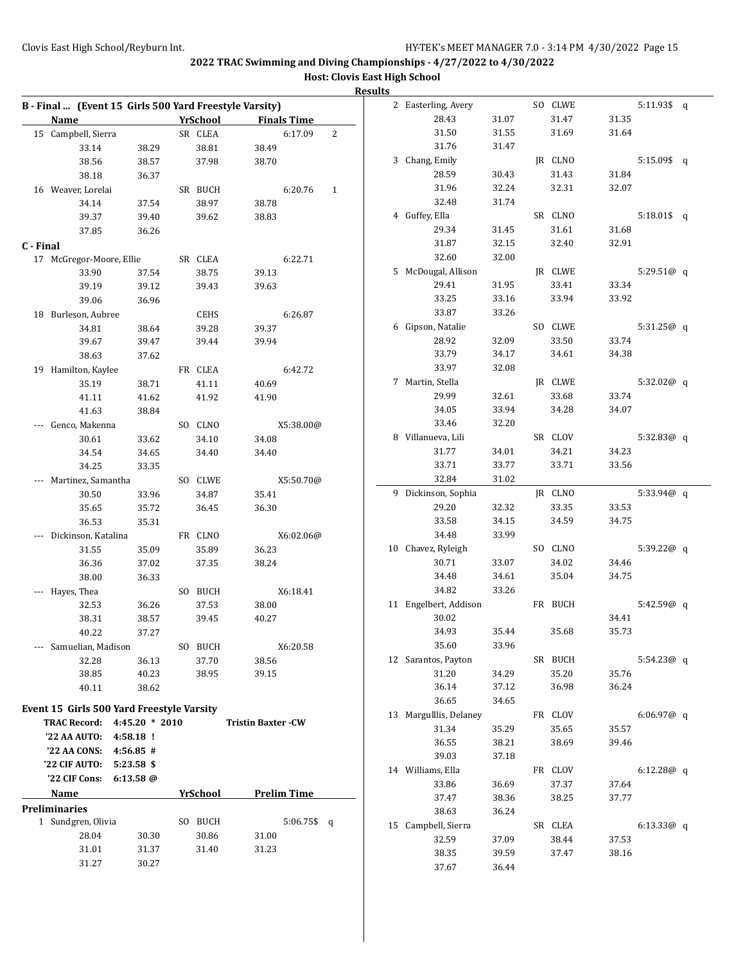|           |                                                        |              |                 |             |                            |   | results |                        |                |         |                |               |  |
|-----------|--------------------------------------------------------|--------------|-----------------|-------------|----------------------------|---|---------|------------------------|----------------|---------|----------------|---------------|--|
|           | B - Final  (Event 15 Girls 500 Yard Freestyle Varsity) |              |                 |             |                            |   |         | 2 Easterling, Avery    |                | SO CLWE |                | 5:11.93\$ q   |  |
|           | Name                                                   |              | YrSchool        |             | <b>Finals Time</b>         |   |         | 28.43                  | 31.07          | 31.47   | 31.35          |               |  |
|           | 15 Campbell, Sierra                                    |              | SR CLEA         |             | 6:17.09                    | 2 |         | 31.50                  | 31.55          | 31.69   | 31.64          |               |  |
|           | 33.14                                                  | 38.29        |                 | 38.81       | 38.49                      |   |         | 31.76                  | 31.47          |         |                |               |  |
|           | 38.56                                                  | 38.57        |                 | 37.98       | 38.70                      |   |         | 3 Chang, Emily         |                | JR CLNO |                | 5:15.09\$ q   |  |
|           | 38.18                                                  | 36.37        |                 |             |                            |   |         | 28.59                  | 30.43          | 31.43   | 31.84          |               |  |
|           | 16 Weaver, Lorelai                                     |              |                 | SR BUCH     | 6:20.76                    | 1 |         | 31.96                  | 32.24          | 32.31   | 32.07          |               |  |
|           | 34.14                                                  | 37.54        |                 | 38.97       | 38.78                      |   |         | 32.48                  | 31.74          |         |                |               |  |
|           | 39.37                                                  | 39.40        |                 | 39.62       | 38.83                      |   |         | 4 Guffey, Ella         |                | SR CLNO |                | 5:18.01\$ q   |  |
|           | 37.85                                                  | 36.26        |                 |             |                            |   |         | 29.34                  | 31.45          | 31.61   | 31.68          |               |  |
| C - Final |                                                        |              |                 |             |                            |   |         | 31.87                  | 32.15          | 32.40   | 32.91          |               |  |
|           | 17 McGregor-Moore, Ellie                               |              | SR CLEA         |             | 6:22.71                    |   |         | 32.60                  | 32.00          |         |                |               |  |
|           | 33.90                                                  | 37.54        |                 | 38.75       | 39.13                      |   |         | 5 McDougal, Allison    |                | JR CLWE |                | 5:29.51@ q    |  |
|           | 39.19                                                  | 39.12        |                 | 39.43       | 39.63                      |   |         | 29.41                  | 31.95          | 33.41   | 33.34          |               |  |
|           | 39.06                                                  | 36.96        |                 |             |                            |   |         | 33.25                  | 33.16          | 33.94   | 33.92          |               |  |
|           | 18 Burleson, Aubree                                    |              |                 | <b>CEHS</b> | 6:26.87                    |   |         | 33.87                  | 33.26          |         |                |               |  |
|           | 34.81                                                  | 38.64        |                 | 39.28       | 39.37                      |   |         | 6 Gipson, Natalie      |                | SO CLWE |                | 5:31.25 $@$ q |  |
|           | 39.67                                                  |              |                 | 39.44       | 39.94                      |   |         | 28.92                  | 32.09          | 33.50   | 33.74          |               |  |
|           |                                                        | 39.47        |                 |             |                            |   |         | 33.79                  | 34.17          | 34.61   | 34.38          |               |  |
|           | 38.63                                                  | 37.62        |                 |             |                            |   |         | 33.97                  | 32.08          |         |                |               |  |
|           | 19 Hamilton, Kaylee                                    |              | FR CLEA         |             | 6:42.72                    |   |         |                        |                |         |                |               |  |
|           | 35.19                                                  | 38.71        |                 | 41.11       | 40.69                      |   |         | 7 Martin, Stella       |                | JR CLWE |                | 5:32.02@ q    |  |
|           | 41.11                                                  | 41.62        |                 | 41.92       | 41.90                      |   |         | 29.99                  | 32.61          | 33.68   | 33.74          |               |  |
|           | 41.63                                                  | 38.84        |                 |             |                            |   |         | 34.05                  | 33.94          | 34.28   | 34.07          |               |  |
|           | --- Genco, Makenna                                     |              | SO CLNO         |             | X5:38.00@                  |   |         | 33.46                  | 32.20          |         |                |               |  |
|           | 30.61                                                  | 33.62        |                 | 34.10       | 34.08                      |   |         | 8 Villanueva, Lili     |                | SR CLOV |                | 5:32.83@ q    |  |
|           | 34.54                                                  | 34.65        |                 | 34.40       | 34.40                      |   |         | 31.77                  | 34.01          | 34.21   | 34.23          |               |  |
|           | 34.25                                                  | 33.35        |                 |             |                            |   |         | 33.71                  | 33.77          | 33.71   | 33.56          |               |  |
|           | --- Martinez, Samantha                                 |              | SO CLWE         |             | X5:50.70@                  |   |         | 32.84                  | 31.02          |         |                |               |  |
|           | 30.50                                                  | 33.96        |                 | 34.87       | 35.41                      |   |         | 9 Dickinson, Sophia    |                | JR CLNO |                | 5:33.94 $@q$  |  |
|           | 35.65                                                  | 35.72        |                 | 36.45       | 36.30                      |   |         | 29.20                  | 32.32          | 33.35   | 33.53          |               |  |
|           | 36.53                                                  | 35.31        |                 |             |                            |   |         | 33.58                  | 34.15          | 34.59   | 34.75          |               |  |
|           | --- Dickinson, Katalina                                |              | FR CLNO         |             | X6:02.06@                  |   |         | 34.48                  | 33.99          |         |                |               |  |
|           | 31.55                                                  | 35.09        |                 | 35.89       | 36.23                      |   |         | 10 Chavez, Ryleigh     |                | SO CLNO |                | 5:39.22@ q    |  |
|           | 36.36                                                  | 37.02        |                 | 37.35       | 38.24                      |   |         | 30.71                  | 33.07          | 34.02   | 34.46          |               |  |
|           | 38.00                                                  | 36.33        |                 |             |                            |   |         | 34.48                  | 34.61          | 35.04   | 34.75          |               |  |
|           | --- Hayes, Thea                                        |              | SO BUCH         |             | X6:18.41                   |   |         | 34.82                  | 33.26          |         |                |               |  |
|           | 32.53                                                  | 36.26        |                 | 37.53       | 38.00                      |   |         | 11 Engelbert, Addison  |                | FR BUCH |                | 5:42.59 $@q$  |  |
|           | 38.31                                                  | 38.57        |                 | 39.45       | 40.27                      |   |         | 30.02                  |                |         | 34.41          |               |  |
|           | 40.22                                                  | 37.27        |                 |             |                            |   |         | 34.93                  | 35.44          | 35.68   | 35.73          |               |  |
|           | --- Samuelian, Madison                                 |              | SO BUCH         |             | X6:20.58                   |   |         | 35.60                  | 33.96          |         |                |               |  |
|           | 32.28                                                  | 36.13        |                 | 37.70       | 38.56                      |   |         | 12 Sarantos, Payton    |                | SR BUCH |                | 5:54.23@ q    |  |
|           | 38.85                                                  | 40.23        |                 | 38.95       | 39.15                      |   |         | 31.20                  | 34.29          | 35.20   | 35.76          |               |  |
|           | 40.11                                                  | 38.62        |                 |             |                            |   |         | 36.14                  | 37.12          | 36.98   | 36.24          |               |  |
|           |                                                        |              |                 |             |                            |   |         | 36.65                  | 34.65          |         |                |               |  |
|           | Event 15 Girls 500 Yard Freestyle Varsity              |              |                 |             |                            |   |         | 13 Margulllis, Delaney |                | FR CLOV |                | 6:06.97@q     |  |
|           | TRAC Record: 4:45.20 * 2010                            |              |                 |             | <b>Tristin Baxter - CW</b> |   |         |                        |                | 35.65   |                |               |  |
|           | '22 AA AUTO:                                           | 4:58.18 !    |                 |             |                            |   |         | 31.34<br>36.55         | 35.29<br>38.21 | 38.69   | 35.57<br>39.46 |               |  |
|           | '22 AA CONS:                                           | 4:56.85#     |                 |             |                            |   |         |                        |                |         |                |               |  |
|           | '22 CIF AUTO:                                          | $5:23.58$ \$ |                 |             |                            |   |         | 39.03                  | 37.18          |         |                |               |  |
|           | '22 CIF Cons:                                          | $6:13.58$ @  |                 |             |                            |   |         | 14 Williams, Ella      |                | FR CLOV |                | 6:12.28 $@q$  |  |
|           | Name                                                   |              | <b>YrSchool</b> |             | <b>Prelim Time</b>         |   |         | 33.86                  | 36.69          | 37.37   | 37.64          |               |  |
|           | <b>Preliminaries</b>                                   |              |                 |             |                            |   |         | 37.47                  | 38.36          | 38.25   | 37.77          |               |  |
|           | 1 Sundgren, Olivia                                     |              | SO BUCH         |             | 5:06.75\$ q                |   |         | 38.63                  | 36.24          |         |                |               |  |
|           |                                                        |              |                 |             |                            |   |         | 15 Campbell, Sierra    |                | SR CLEA |                | 6:13.33 $@q$  |  |
|           | 28.04                                                  | 30.30        |                 | 30.86       | 31.00                      |   |         | 32.59                  | 37.09          | 38.44   | 37.53          |               |  |
|           | 31.01                                                  | 31.37        |                 | 31.40       | 31.23                      |   |         | 38.35                  | 39.59          | 37.47   | 38.16          |               |  |
|           | 31.27                                                  | 30.27        |                 |             |                            |   |         | 37.67                  | 36.44          |         |                |               |  |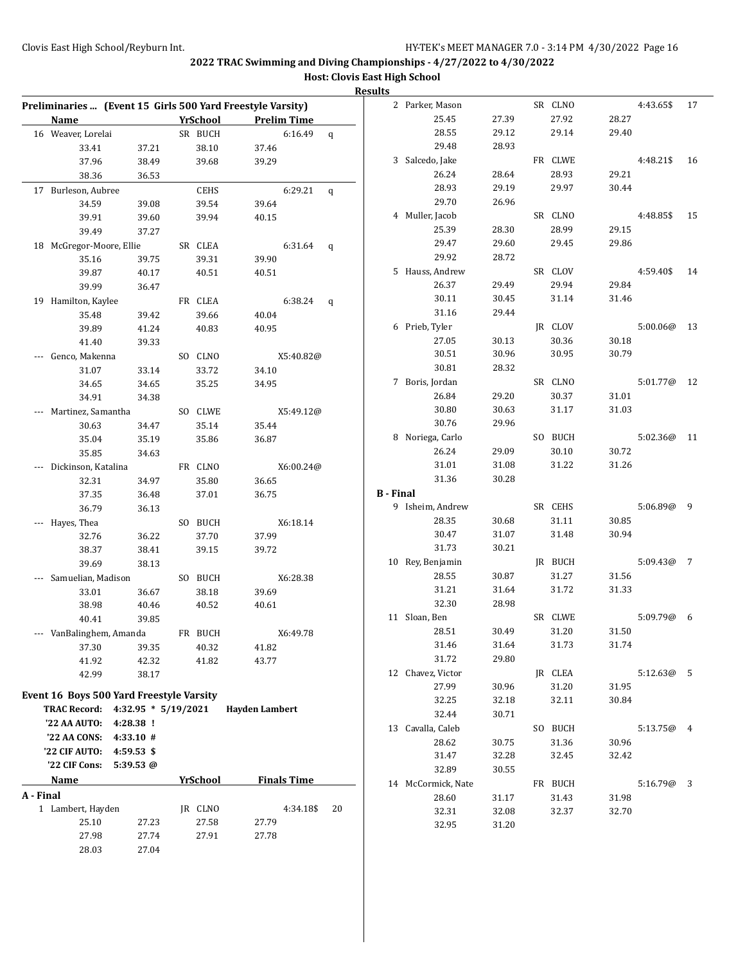|  |                              | Host: Clovis East High School |
|--|------------------------------|-------------------------------|
|  | $D_{\alpha}$ on $H_{\alpha}$ |                               |

|           |                                          |           |                 |                                                            |    | results          |                    |       |         |       |               |    |
|-----------|------------------------------------------|-----------|-----------------|------------------------------------------------------------|----|------------------|--------------------|-------|---------|-------|---------------|----|
|           |                                          |           |                 | Preliminaries  (Event 15 Girls 500 Yard Freestyle Varsity) |    |                  | 2 Parker, Mason    |       | SR CLNO |       | 4:43.65\$     | 17 |
|           | Name                                     |           | <b>YrSchool</b> | <b>Prelim Time</b>                                         |    |                  | 25.45              | 27.39 | 27.92   | 28.27 |               |    |
|           | 16 Weaver, Lorelai                       |           | SR BUCH         | 6:16.49                                                    | q  |                  | 28.55              | 29.12 | 29.14   | 29.40 |               |    |
|           | 33.41                                    | 37.21     | 38.10           | 37.46                                                      |    |                  | 29.48              | 28.93 |         |       |               |    |
|           | 37.96                                    | 38.49     | 39.68           | 39.29                                                      |    |                  | 3 Salcedo, Jake    |       | FR CLWE |       | 4:48.21\$ 16  |    |
|           | 38.36                                    | 36.53     |                 |                                                            |    |                  | 26.24              | 28.64 | 28.93   | 29.21 |               |    |
|           | 17 Burleson, Aubree                      |           | <b>CEHS</b>     | $6:29.21$ q                                                |    |                  | 28.93              | 29.19 | 29.97   | 30.44 |               |    |
|           | 34.59                                    | 39.08     | 39.54           | 39.64                                                      |    |                  | 29.70              | 26.96 |         |       |               |    |
|           | 39.91                                    | 39.60     | 39.94           | 40.15                                                      |    |                  | 4 Muller, Jacob    |       | SR CLNO |       | 4:48.85\$     | 15 |
|           | 39.49                                    | 37.27     |                 |                                                            |    |                  | 25.39              | 28.30 | 28.99   | 29.15 |               |    |
|           | 18 McGregor-Moore, Ellie                 |           | SR CLEA         | $6:31.64$ q                                                |    |                  | 29.47              | 29.60 | 29.45   | 29.86 |               |    |
|           | 35.16                                    | 39.75     | 39.31           | 39.90                                                      |    |                  | 29.92              | 28.72 |         |       |               |    |
|           | 39.87                                    | 40.17     | 40.51           | 40.51                                                      |    |                  | 5 Hauss, Andrew    |       | SR CLOV |       | 4:59.40\$     | 14 |
|           | 39.99                                    | 36.47     |                 |                                                            |    |                  | 26.37              | 29.49 | 29.94   | 29.84 |               |    |
|           | 19 Hamilton, Kaylee                      |           | FR CLEA         | $6:38.24$ q                                                |    |                  | 30.11              | 30.45 | 31.14   | 31.46 |               |    |
|           | 35.48                                    | 39.42     | 39.66           | 40.04                                                      |    |                  | 31.16              | 29.44 |         |       |               |    |
|           | 39.89                                    | 41.24     | 40.83           | 40.95                                                      |    |                  | 6 Prieb, Tyler     |       | JR CLOV |       | $5:00.06@$ 13 |    |
|           | 41.40                                    | 39.33     |                 |                                                            |    |                  | 27.05              | 30.13 | 30.36   | 30.18 |               |    |
|           | --- Genco, Makenna                       |           | SO CLNO         | X5:40.82@                                                  |    |                  | 30.51              | 30.96 | 30.95   | 30.79 |               |    |
|           | 31.07                                    | 33.14     | 33.72           | 34.10                                                      |    |                  | 30.81              | 28.32 |         |       |               |    |
|           | 34.65                                    | 34.65     | 35.25           | 34.95                                                      |    |                  | 7 Boris, Jordan    |       | SR CLNO |       | 5:01.77@ 12   |    |
|           | 34.91                                    | 34.38     |                 |                                                            |    |                  | 26.84              | 29.20 | 30.37   | 31.01 |               |    |
|           | --- Martinez, Samantha                   |           | SO CLWE         | X5:49.12@                                                  |    |                  | 30.80              | 30.63 | 31.17   | 31.03 |               |    |
|           | 30.63                                    | 34.47     | 35.14           | 35.44                                                      |    |                  | 30.76              | 29.96 |         |       |               |    |
|           | 35.04                                    | 35.19     | 35.86           | 36.87                                                      |    |                  | 8 Noriega, Carlo   |       | SO BUCH |       | 5:02.36@ 11   |    |
|           | 35.85                                    | 34.63     |                 |                                                            |    |                  | 26.24              | 29.09 | 30.10   | 30.72 |               |    |
|           | --- Dickinson, Katalina                  |           | FR CLNO         | X6:00.24@                                                  |    |                  | 31.01              | 31.08 | 31.22   | 31.26 |               |    |
|           | 32.31                                    | 34.97     | 35.80           | 36.65                                                      |    |                  | 31.36              | 30.28 |         |       |               |    |
|           | 37.35                                    | 36.48     | 37.01           | 36.75                                                      |    | <b>B</b> - Final |                    |       |         |       |               |    |
|           | 36.79                                    | 36.13     |                 |                                                            |    |                  | 9 Isheim, Andrew   |       | SR CEHS |       | 5:06.89@99    |    |
|           | --- Hayes, Thea                          |           | SO BUCH         | X6:18.14                                                   |    |                  | 28.35              | 30.68 | 31.11   | 30.85 |               |    |
|           | 32.76                                    | 36.22     | 37.70           | 37.99                                                      |    |                  | 30.47              | 31.07 | 31.48   | 30.94 |               |    |
|           | 38.37                                    | 38.41     | 39.15           | 39.72                                                      |    |                  | 31.73              | 30.21 |         |       |               |    |
|           | 39.69                                    | 38.13     |                 |                                                            |    |                  | 10 Rey, Benjamin   |       | JR BUCH |       | 5:09.43@7     |    |
|           | --- Samuelian, Madison                   |           | SO BUCH         | X6:28.38                                                   |    |                  | 28.55              | 30.87 | 31.27   | 31.56 |               |    |
|           | 33.01                                    | 36.67     | 38.18           | 39.69                                                      |    |                  | 31.21              | 31.64 | 31.72   | 31.33 |               |    |
|           | 38.98                                    | 40.46     | 40.52           | 40.61                                                      |    |                  | 32.30              | 28.98 |         |       |               |    |
|           | 40.41                                    | 39.85     |                 |                                                            |    |                  | 11 Sloan, Ben      |       | SR CLWE |       | 5:09.79@ 6    |    |
|           | --- VanBalinghem, Amanda                 |           | FR BUCH         | X6:49.78                                                   |    |                  | 28.51              | 30.49 | 31.20   | 31.50 |               |    |
|           | 37.30                                    | 39.35     | 40.32           | 41.82                                                      |    |                  | 31.46              | 31.64 | 31.73   | 31.74 |               |    |
|           | 41.92                                    | 42.32     | 41.82           | 43.77                                                      |    |                  | 31.72              | 29.80 |         |       |               |    |
|           | 42.99                                    | 38.17     |                 |                                                            |    |                  | 12 Chavez, Victor  |       | JR CLEA |       | 5:12.63@5     |    |
|           |                                          |           |                 |                                                            |    |                  | 27.99              | 30.96 | 31.20   | 31.95 |               |    |
|           | Event 16 Boys 500 Yard Freestyle Varsity |           |                 |                                                            |    |                  | 32.25              | 32.18 | 32.11   | 30.84 |               |    |
|           | TRAC Record: 4:32.95 * 5/19/2021         |           |                 | <b>Hayden Lambert</b>                                      |    |                  | 32.44              | 30.71 |         |       |               |    |
|           | '22 AA AUTO: 4:28.38 !                   |           |                 |                                                            |    |                  | 13 Cavalla, Caleb  |       | SO BUCH |       | 5:13.75@4     |    |
|           | '22 AA CONS:                             | 4:33.10 # |                 |                                                            |    |                  | 28.62              | 30.75 | 31.36   | 30.96 |               |    |
|           | '22 CIF AUTO: 4:59.53 \$                 |           |                 |                                                            |    |                  | 31.47              | 32.28 | 32.45   | 32.42 |               |    |
|           | '22 CIF Cons:                            | 5:39.53 @ |                 |                                                            |    |                  | 32.89              | 30.55 |         |       |               |    |
|           | Name                                     |           | <b>YrSchool</b> | <b>Finals Time</b>                                         |    |                  | 14 McCormick, Nate |       | FR BUCH |       | 5:16.79@3     |    |
| A - Final |                                          |           |                 |                                                            |    |                  | 28.60              | 31.17 | 31.43   | 31.98 |               |    |
|           | 1 Lambert, Hayden                        |           | JR CLNO         | 4:34.18\$                                                  | 20 |                  | 32.31              | 32.08 | 32.37   | 32.70 |               |    |
|           | 25.10                                    | 27.23     | 27.58           | 27.79                                                      |    |                  | 32.95              | 31.20 |         |       |               |    |
|           | 27.98                                    | 27.74     | 27.91           | 27.78                                                      |    |                  |                    |       |         |       |               |    |
|           | 28.03                                    | 27.04     |                 |                                                            |    |                  |                    |       |         |       |               |    |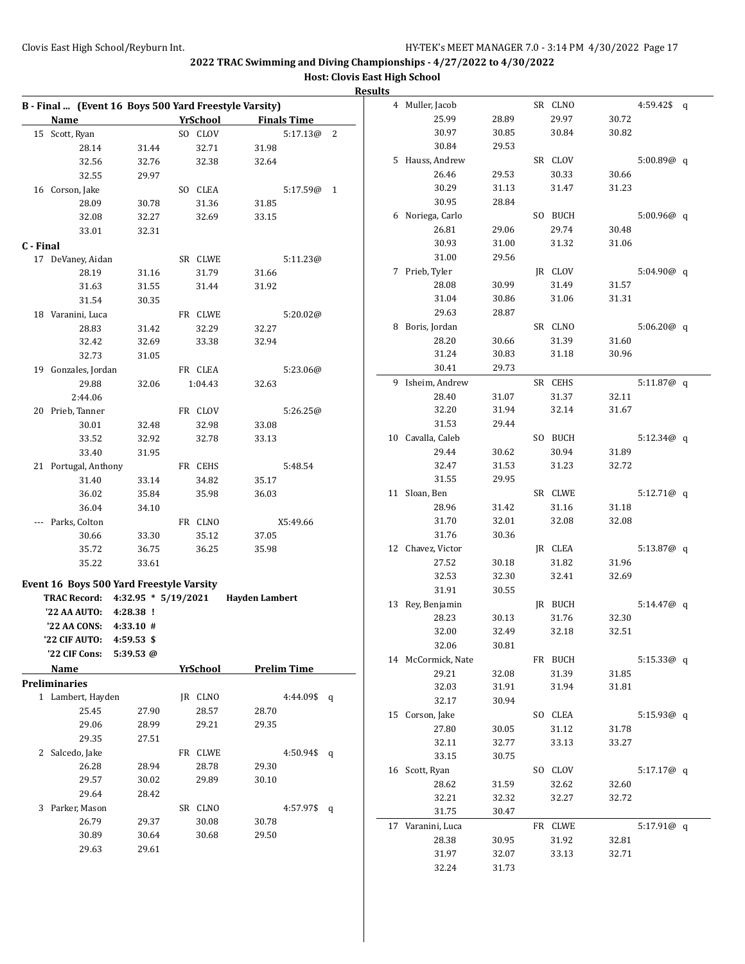|           |                                                       |       |                 |                       |                    | Results |                    |       |         |       |               |  |
|-----------|-------------------------------------------------------|-------|-----------------|-----------------------|--------------------|---------|--------------------|-------|---------|-------|---------------|--|
|           | B - Final  (Event 16 Boys 500 Yard Freestyle Varsity) |       |                 |                       |                    |         | 4 Muller, Jacob    |       | SR CLNO |       | 4:59.42\$ q   |  |
|           | Name                                                  |       | <b>YrSchool</b> |                       | <b>Finals Time</b> |         | 25.99              | 28.89 | 29.97   | 30.72 |               |  |
|           | 15 Scott, Ryan                                        |       | SO CLOV         |                       | $5:17.13@$ 2       |         | 30.97              | 30.85 | 30.84   | 30.82 |               |  |
|           | 28.14                                                 | 31.44 | 32.71           | 31.98                 |                    |         | 30.84              | 29.53 |         |       |               |  |
|           | 32.56                                                 | 32.76 | 32.38           | 32.64                 |                    |         | 5 Hauss, Andrew    |       | SR CLOV |       | 5:00.89 $@$ q |  |
|           | 32.55                                                 | 29.97 |                 |                       |                    |         | 26.46              | 29.53 | 30.33   | 30.66 |               |  |
|           | 16 Corson, Jake                                       |       | SO CLEA         |                       | 5:17.59@1          |         | 30.29              | 31.13 | 31.47   | 31.23 |               |  |
|           | 28.09                                                 | 30.78 | 31.36           | 31.85                 |                    |         | 30.95              | 28.84 |         |       |               |  |
|           | 32.08                                                 | 32.27 | 32.69           | 33.15                 |                    |         | 6 Noriega, Carlo   |       | SO BUCH |       | 5:00.96 $@q$  |  |
|           | 33.01                                                 | 32.31 |                 |                       |                    |         | 26.81              | 29.06 | 29.74   | 30.48 |               |  |
| C - Final |                                                       |       |                 |                       |                    |         | 30.93              | 31.00 | 31.32   | 31.06 |               |  |
|           | 17 DeVaney, Aidan                                     |       | SR CLWE         |                       | 5:11.23@           |         | 31.00              | 29.56 |         |       |               |  |
|           | 28.19                                                 | 31.16 | 31.79           | 31.66                 |                    |         | 7 Prieb, Tyler     |       | JR CLOV |       | 5:04.90 $@$ q |  |
|           | 31.63                                                 | 31.55 | 31.44           | 31.92                 |                    |         | 28.08              | 30.99 | 31.49   | 31.57 |               |  |
|           | 31.54                                                 | 30.35 |                 |                       |                    |         | 31.04              | 30.86 | 31.06   | 31.31 |               |  |
|           | 18 Varanini, Luca                                     |       | FR CLWE         |                       | 5:20.02@           |         | 29.63              | 28.87 |         |       |               |  |
|           | 28.83                                                 | 31.42 | 32.29           | 32.27                 |                    |         | 8 Boris, Jordan    |       | SR CLNO |       | 5:06.20 $@$ q |  |
|           | 32.42                                                 | 32.69 | 33.38           | 32.94                 |                    |         | 28.20              | 30.66 | 31.39   | 31.60 |               |  |
|           | 32.73                                                 | 31.05 |                 |                       |                    |         | 31.24              | 30.83 | 31.18   | 30.96 |               |  |
|           | 19 Gonzales, Jordan                                   |       | FR CLEA         |                       | 5:23.06@           |         | 30.41              | 29.73 |         |       |               |  |
|           | 29.88                                                 | 32.06 | 1:04.43         | 32.63                 |                    |         | 9 Isheim, Andrew   |       | SR CEHS |       | 5:11.87 $@ q$ |  |
|           | 2:44.06                                               |       |                 |                       |                    |         | 28.40              | 31.07 | 31.37   | 32.11 |               |  |
|           | 20 Prieb, Tanner                                      |       | FR CLOV         |                       | 5:26.25@           |         | 32.20              | 31.94 | 32.14   | 31.67 |               |  |
|           | 30.01                                                 | 32.48 | 32.98           | 33.08                 |                    |         | 31.53              | 29.44 |         |       |               |  |
|           | 33.52                                                 | 32.92 | 32.78           | 33.13                 |                    |         | 10 Cavalla, Caleb  |       | SO BUCH |       | 5:12.34@ q    |  |
|           | 33.40                                                 | 31.95 |                 |                       |                    |         | 29.44              | 30.62 | 30.94   | 31.89 |               |  |
|           | 21 Portugal, Anthony                                  |       | FR CEHS         |                       | 5:48.54            |         | 32.47              | 31.53 | 31.23   | 32.72 |               |  |
|           | 31.40                                                 | 33.14 | 34.82           | 35.17                 |                    |         | 31.55              | 29.95 |         |       |               |  |
|           | 36.02                                                 | 35.84 | 35.98           | 36.03                 |                    |         | 11 Sloan, Ben      |       | SR CLWE |       | 5:12.71 $@q$  |  |
|           | 36.04                                                 | 34.10 |                 |                       |                    |         | 28.96              | 31.42 | 31.16   | 31.18 |               |  |
|           | --- Parks, Colton                                     |       | FR CLNO         |                       | X5:49.66           |         | 31.70              | 32.01 | 32.08   | 32.08 |               |  |
|           | 30.66                                                 | 33.30 | 35.12           | 37.05                 |                    |         | 31.76              | 30.36 |         |       |               |  |
|           | 35.72                                                 | 36.75 | 36.25           | 35.98                 |                    |         | 12 Chavez, Victor  |       | JR CLEA |       | 5:13.87 $@$ q |  |
|           | 35.22                                                 | 33.61 |                 |                       |                    |         | 27.52              | 30.18 | 31.82   | 31.96 |               |  |
|           | Event 16 Boys 500 Yard Freestyle Varsity              |       |                 |                       |                    |         | 32.53              | 32.30 | 32.41   | 32.69 |               |  |
|           | TRAC Record: 4:32.95 * 5/19/2021                      |       |                 | <b>Hayden Lambert</b> |                    |         | 31.91              | 30.55 |         |       |               |  |
|           | '22 AA AUTO: 4:28.38 !                                |       |                 |                       |                    |         | 13 Rey, Benjamin   |       | JR BUCH |       | 5:14.47 $@$ q |  |
|           | $'22$ AA CONS: 4:33.10 #                              |       |                 |                       |                    |         | 28.23              | 30.13 | 31.76   | 32.30 |               |  |
|           | '22 CIF AUTO: 4:59.53 \$                              |       |                 |                       |                    |         | 32.00              | 32.49 | 32.18   | 32.51 |               |  |
|           | '22 CIF Cons: 5:39.53 @                               |       |                 |                       |                    |         | 32.06              | 30.81 |         |       |               |  |
|           | Name                                                  |       | YrSchool        |                       | <b>Prelim Time</b> |         | 14 McCormick, Nate |       | FR BUCH |       | 5:15.33 $@q$  |  |
|           | <b>Preliminaries</b>                                  |       |                 |                       |                    |         | 29.21              | 32.08 | 31.39   | 31.85 |               |  |
|           | 1 Lambert, Hayden                                     |       | JR CLNO         |                       | 4:44.09\$ q        |         | 32.03              | 31.91 | 31.94   | 31.81 |               |  |
|           | 25.45                                                 | 27.90 | 28.57           | 28.70                 |                    |         | 32.17              | 30.94 |         |       |               |  |
|           | 29.06                                                 | 28.99 | 29.21           | 29.35                 |                    |         | 15 Corson, Jake    |       | SO CLEA |       | 5:15.93 $@q$  |  |
|           | 29.35                                                 | 27.51 |                 |                       |                    |         | 27.80              | 30.05 | 31.12   | 31.78 |               |  |
|           | 2 Salcedo, Jake                                       |       | FR CLWE         |                       | 4:50.94\$ q        |         | 32.11              | 32.77 | 33.13   | 33.27 |               |  |
|           | 26.28                                                 | 28.94 | 28.78           | 29.30                 |                    |         | 33.15              | 30.75 |         |       |               |  |
|           | 29.57                                                 | 30.02 | 29.89           | 30.10                 |                    |         | 16 Scott, Ryan     |       | SO CLOV |       | 5:17.17 $@$ q |  |
|           | 29.64                                                 | 28.42 |                 |                       |                    |         | 28.62              | 31.59 | 32.62   | 32.60 |               |  |
|           | 3 Parker, Mason                                       |       | SR CLNO         |                       | 4:57.97\$ q        |         | 32.21              | 32.32 | 32.27   | 32.72 |               |  |
|           | 26.79                                                 | 29.37 | 30.08           | 30.78                 |                    |         | 31.75              | 30.47 |         |       |               |  |
|           | 30.89                                                 | 30.64 | 30.68           | 29.50                 |                    |         | 17 Varanini, Luca  |       | FR CLWE |       | 5:17.91 $@q$  |  |
|           | 29.63                                                 | 29.61 |                 |                       |                    |         | 28.38              | 30.95 | 31.92   | 32.81 |               |  |
|           |                                                       |       |                 |                       |                    |         | 31.97              | 32.07 | 33.13   | 32.71 |               |  |
|           |                                                       |       |                 |                       |                    |         | 32.24              | 31.73 |         |       |               |  |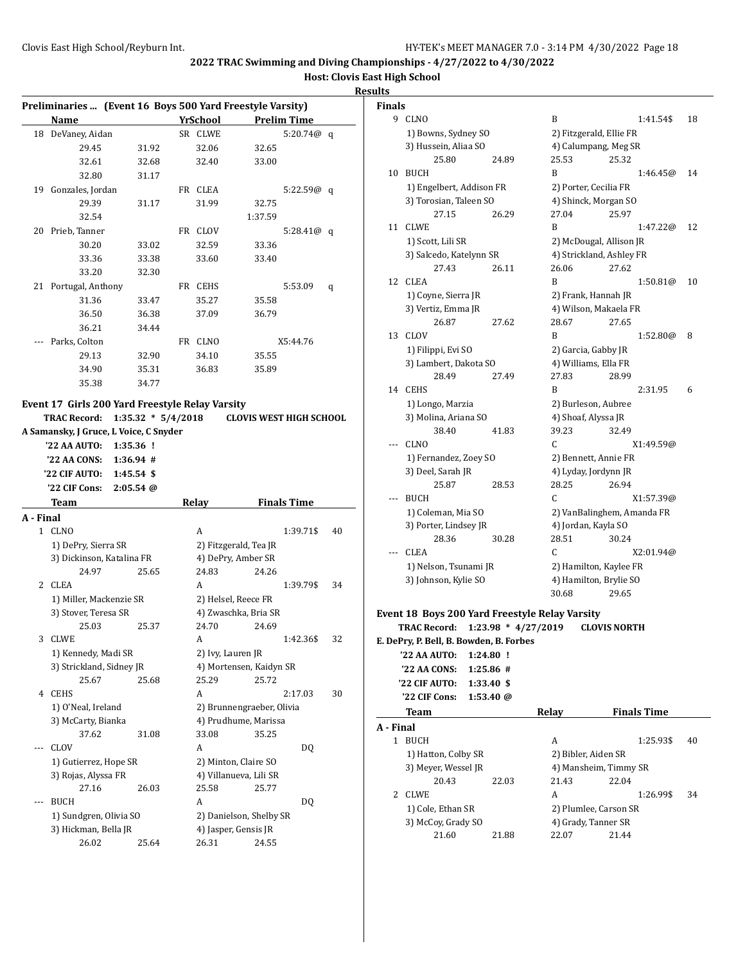**Host: Clovis East High School**

|     | Preliminaries  (Event 16 Boys 500 Yard Freestyle Varsity)<br>Name |                      | YrSchool          |                                | <b>Prelim Time</b> |    |
|-----|-------------------------------------------------------------------|----------------------|-------------------|--------------------------------|--------------------|----|
| 18  | DeVaney, Aidan                                                    |                      | SR CLWE           |                                | 5:20.74@ q         |    |
|     | 29.45                                                             | 31.92                | 32.06             | 32.65                          |                    |    |
|     | 32.61                                                             | 32.68                | 32.40             | 33.00                          |                    |    |
|     | 32.80                                                             | 31.17                |                   |                                |                    |    |
|     | 19 Gonzales, Jordan                                               |                      | FR CLEA           |                                | 5:22.59 $@q$       |    |
|     | 29.39                                                             | 31.17                | 31.99             | 32.75                          |                    |    |
|     | 32.54                                                             |                      |                   | 1:37.59                        |                    |    |
|     | 20 Prieb, Tanner                                                  |                      | FR CLOV           |                                | 5:28.41@ q         |    |
|     | 30.20                                                             | 33.02                | 32.59             | 33.36                          |                    |    |
|     | 33.36                                                             | 33.38                | 33.60             | 33.40                          |                    |    |
|     | 33.20                                                             | 32.30                |                   |                                |                    |    |
|     | 21 Portugal, Anthony                                              |                      | FR CEHS           |                                | 5:53.09            | q  |
|     | 31.36                                                             | 33.47                | 35.27             | 35.58                          |                    |    |
|     | 36.50                                                             | 36.38                | 37.09             | 36.79                          |                    |    |
|     | 36.21                                                             | 34.44                |                   |                                |                    |    |
|     | Parks, Colton                                                     |                      | FR CLNO           |                                | X5:44.76           |    |
|     | 29.13                                                             | 32.90                | 34.10             | 35.55                          |                    |    |
|     | 34.90                                                             | 35.31                | 36.83             | 35.89                          |                    |    |
|     | 35.38                                                             | 34.77                |                   |                                |                    |    |
|     | Event 17 Girls 200 Yard Freestyle Relay Varsity                   |                      |                   |                                |                    |    |
|     | <b>TRAC Record:</b>                                               | $1:35.32 * 5/4/2018$ |                   | <b>CLOVIS WEST HIGH SCHOOL</b> |                    |    |
|     | A Samansky, J Gruce, L Voice, C Snyder                            |                      |                   |                                |                    |    |
|     | '22 AA AUTO:                                                      |                      |                   |                                |                    |    |
|     |                                                                   | $1:35.36$ !          |                   |                                |                    |    |
|     | '22 AA CONS:                                                      | 1:36.94#             |                   |                                |                    |    |
|     | '22 CIF AUTO:                                                     | $1:45.54$ \$         |                   |                                |                    |    |
|     | '22 CIF Cons:                                                     | $2:05.54 \omega$     |                   |                                |                    |    |
|     | Team                                                              |                      | Relay             |                                | <b>Finals Time</b> |    |
|     | A - Final                                                         |                      |                   |                                |                    |    |
|     | 1 CLNO                                                            |                      | A                 |                                | 1:39.71\$          | 40 |
|     | 1) DePry, Sierra SR                                               |                      |                   | 2) Fitzgerald, Tea JR          |                    |    |
|     | 3) Dickinson, Katalina FR                                         |                      |                   |                                |                    |    |
|     | 24.97                                                             | 25.65                | 24.83             | 4) DePry, Amber SR<br>24.26    |                    |    |
| 2   | CLEA                                                              |                      | A                 |                                | 1:39.79\$          | 34 |
|     | 1) Miller, Mackenzie SR                                           |                      |                   | 2) Helsel, Reece FR            |                    |    |
|     | 3) Stover, Teresa SR                                              |                      |                   | 4) Zwaschka, Bria SR           |                    |    |
|     | 25.03                                                             | 25.37                | 24.70             | 24.69                          |                    |    |
| 3   | CLWE                                                              |                      | A                 |                                | 1:42.36\$          | 32 |
|     | 1) Kennedy, Madi SR                                               |                      | 2) Ivy, Lauren JR |                                |                    |    |
|     | 3) Strickland, Sidney JR                                          |                      |                   | 4) Mortensen, Kaidyn SR        |                    |    |
|     | 25.67                                                             | 25.68                | 25.29             | 25.72                          |                    |    |
|     | 4 CEHS                                                            |                      | A                 |                                | 2:17.03            | 30 |
|     | 1) O'Neal, Ireland                                                |                      |                   | 2) Brunnengraeber, Olivia      |                    |    |
|     | 3) McCarty, Bianka                                                |                      |                   | 4) Prudhume, Marissa           |                    |    |
|     | 37.62                                                             | 31.08                | 33.08             | 35.25                          |                    |    |
| --- | <b>CLOV</b>                                                       |                      | A                 |                                | DQ                 |    |
|     | 1) Gutierrez, Hope SR                                             |                      |                   | 2) Minton, Claire SO           |                    |    |
|     | 3) Rojas, Alyssa FR                                               |                      |                   | 4) Villanueva, Lili SR         |                    |    |
|     | 27.16                                                             | 26.03                | 25.58             | 25.77                          |                    |    |
| --- | <b>BUCH</b>                                                       |                      | A                 |                                | DQ                 |    |
|     | 1) Sundgren, Olivia SO                                            |                      |                   | 2) Danielson, Shelby SR        |                    |    |
|     | 3) Hickman, Bella JR                                              |                      |                   | 4) Jasper, Gensis JR           |                    |    |

| <b>Finals</b> |                                                       |                       |                          |                            |    |
|---------------|-------------------------------------------------------|-----------------------|--------------------------|----------------------------|----|
|               | 9 CLNO                                                |                       | B                        | 1:41.54\$                  | 18 |
|               | 1) Bowns, Sydney SO                                   |                       | 2) Fitzgerald, Ellie FR  |                            |    |
|               | 3) Hussein, Aliaa SO                                  |                       | 4) Calumpang, Meg SR     |                            |    |
|               | 25.80                                                 | 24.89                 | 25.53                    | 25.32                      |    |
| 10            | <b>BUCH</b>                                           |                       | B                        | 1:46.45@                   | 14 |
|               | 1) Engelbert, Addison FR                              |                       | 2) Porter, Cecilia FR    |                            |    |
|               | 3) Torosian, Taleen SO                                |                       | 4) Shinck, Morgan SO     |                            |    |
|               | 27.15                                                 | 26.29                 | 27.04                    | 25.97                      |    |
| 11            | <b>CLWE</b>                                           |                       | B                        | 1:47.22@                   | 12 |
|               | 1) Scott, Lili SR                                     |                       | 2) McDougal, Allison JR  |                            |    |
|               | 3) Salcedo, Katelynn SR                               |                       | 4) Strickland, Ashley FR |                            |    |
|               | 27.43                                                 | 26.11                 | 26.06                    | 27.62                      |    |
|               | 12 CLEA                                               |                       | B                        | 1:50.81@                   | 10 |
|               | 1) Coyne, Sierra JR                                   |                       | 2) Frank, Hannah JR      |                            |    |
|               | 3) Vertiz, Emma JR                                    |                       | 4) Wilson, Makaela FR    |                            |    |
|               | 26.87                                                 | 27.62                 | 28.67                    | 27.65                      |    |
|               | 13 CLOV                                               |                       | B                        | 1:52.80@                   | 8  |
|               | 1) Filippi, Evi SO                                    |                       | 2) Garcia, Gabby JR      |                            |    |
|               | 3) Lambert, Dakota SO                                 |                       | 4) Williams, Ella FR     |                            |    |
|               | 28.49                                                 | 27.49                 | 27.83                    | 28.99                      |    |
| 14            | <b>CEHS</b>                                           |                       | B                        | 2:31.95                    | 6  |
|               | 1) Longo, Marzia                                      |                       | 2) Burleson, Aubree      |                            |    |
|               | 3) Molina, Ariana SO                                  |                       | 4) Shoaf, Alyssa JR      |                            |    |
|               | 38.40                                                 | 41.83                 | 39.23                    | 32.49                      |    |
| ---           | <b>CLNO</b>                                           |                       | C                        | X1:49.59@                  |    |
|               | 1) Fernandez, Zoey SO                                 |                       | 2) Bennett, Annie FR     |                            |    |
|               | 3) Deel, Sarah JR                                     |                       | 4) Lyday, Jordynn JR     |                            |    |
|               | 25.87                                                 | 28.53                 | 28.25                    | 26.94                      |    |
| $- - -$       | <b>BUCH</b>                                           |                       | C                        | X1:57.39@                  |    |
|               | 1) Coleman, Mia SO                                    |                       |                          | 2) VanBalinghem, Amanda FR |    |
|               | 3) Porter, Lindsey JR                                 |                       | 4) Jordan, Kayla SO      |                            |    |
|               | 28.36                                                 | 30.28                 | 28.51                    | 30.24                      |    |
|               | CLEA                                                  |                       | C                        | X2:01.94@                  |    |
|               | 1) Nelson, Tsunami JR                                 |                       | 2) Hamilton, Kaylee FR   |                            |    |
|               | 3) Johnson, Kylie SO                                  |                       | 4) Hamilton, Brylie SO   |                            |    |
|               |                                                       |                       | 30.68                    | 29.65                      |    |
|               |                                                       |                       |                          |                            |    |
|               | <b>Event 18 Boys 200 Yard Freestyle Relay Varsity</b> |                       |                          |                            |    |
|               | <b>TRAC Record:</b>                                   | $1:23.98 * 4/27/2019$ |                          | <b>CLOVIS NORTH</b>        |    |
|               | E. DePry, P. Bell, B. Bowden, B. Forbes               |                       |                          |                            |    |
|               | '22 AA AUTO:                                          | 1:24.80 !             |                          |                            |    |
|               | '22 AA CONS:                                          | 1:25.86 #             |                          |                            |    |
|               | '22 CIF AUTO:                                         | $1:33.40$ \$          |                          |                            |    |
|               | '22 CIF Cons:                                         | $1:53.40 \; \omega$   |                          |                            |    |
|               | Team                                                  |                       | Relay                    | <b>Finals Time</b>         |    |
| A - Final     |                                                       |                       |                          |                            |    |
| $\mathbf{1}$  | <b>BUCH</b>                                           |                       | A                        | 1:25.93\$                  | 40 |
|               | 1) Hatton, Colby SR                                   |                       | 2) Bibler, Aiden SR      |                            |    |
|               | 3) Meyer, Wessel JR                                   |                       | 4) Mansheim, Timmy SR    |                            |    |
|               | 20.43                                                 | 22.03                 | 21.43                    | 22.04                      |    |
|               | 2 CLWE                                                |                       | А                        | 1:26.99\$                  | 34 |
|               | 1) Cole, Ethan SR                                     |                       | 2) Plumlee, Carson SR    |                            |    |
|               | 3) McCoy, Grady SO                                    |                       | 4) Grady, Tanner SR      |                            |    |
|               | 21.60                                                 | 21.88                 | 22.07                    | 21.44                      |    |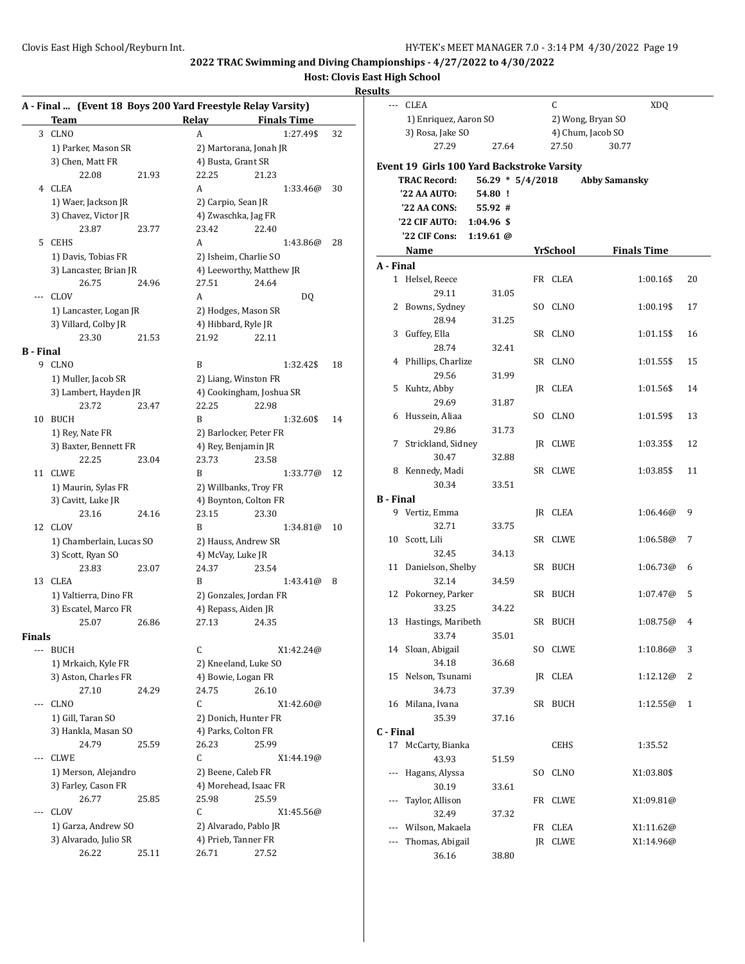## **Host: Clovis East High School**

|                  | Team                                         |       | Relay             | <b>Finals Time</b>                           |    |              |
|------------------|----------------------------------------------|-------|-------------------|----------------------------------------------|----|--------------|
|                  | 3 CLNO                                       |       | A                 | 1:27.49\$                                    | 32 |              |
|                  | 1) Parker, Mason SR                          |       |                   | 2) Martorana, Jonah JR                       |    |              |
|                  | 3) Chen, Matt FR                             |       |                   | 4) Busta, Grant SR                           |    |              |
|                  | 22.08                                        | 21.93 | 22.25             | 21.23                                        |    | Event        |
|                  | 4 CLEA                                       |       | A                 |                                              | 30 |              |
|                  |                                              |       |                   | 1:33.46@                                     |    |              |
|                  | 1) Waer, Jackson JR                          |       |                   | 2) Carpio, Sean JR                           |    |              |
|                  | 3) Chavez, Victor JR                         |       |                   | 4) Zwaschka, Jag FR                          |    |              |
|                  | 23.87                                        | 23.77 | 23.42             | 22.40                                        |    |              |
|                  | 5 CEHS                                       |       | A                 | 1:43.86@                                     | 28 |              |
|                  | 1) Davis, Tobias FR                          |       |                   | 2) Isheim, Charlie SO                        |    | A - Fir      |
|                  | 3) Lancaster, Brian JR                       |       |                   | 4) Leeworthy, Matthew JR                     |    | $\mathbf{1}$ |
|                  | 26.75                                        | 24.96 | 27.51             | 24.64                                        |    |              |
|                  | CLOV                                         |       | A                 | DQ                                           |    |              |
|                  | 1) Lancaster, Logan JR                       |       |                   | 2) Hodges, Mason SR                          |    | 2            |
|                  | 3) Villard, Colby JR                         |       |                   | 4) Hibbard, Ryle JR                          |    |              |
|                  | 23.30                                        | 21.53 | 21.92             | 22.11                                        |    | 3            |
| <b>B</b> - Final |                                              |       |                   |                                              |    |              |
| 9.               | <b>CLNO</b>                                  |       | B                 | 1:32.42\$                                    | 18 | 4            |
|                  | 1) Muller, Jacob SR                          |       |                   | 2) Liang, Winston FR                         |    |              |
|                  | 3) Lambert, Hayden JR                        |       |                   | 4) Cookingham, Joshua SR                     |    | 5            |
|                  | 23.72                                        | 23.47 | 22.25             | 22.98                                        |    |              |
| 10               | <b>BUCH</b>                                  |       | B                 | 1:32.60\$                                    | 14 | 6            |
|                  | 1) Rey, Nate FR                              |       |                   | 2) Barlocker, Peter FR                       |    |              |
|                  | 3) Baxter, Bennett FR                        |       |                   | 4) Rey, Benjamin JR                          |    | 7            |
|                  | 22.25                                        | 23.04 | 23.73             | 23.58                                        |    |              |
|                  | 11 CLWE                                      |       | B                 | 1:33.77@                                     | 12 | 8            |
|                  | 1) Maurin, Sylas FR                          |       |                   | 2) Willbanks, Troy FR                        |    |              |
|                  | 3) Cavitt, Luke JR                           |       |                   | 4) Boynton, Colton FR                        |    | B - Fir      |
|                  | 23.16                                        | 24.16 | 23.15             | 23.30                                        |    | 9            |
|                  | 12 CLOV                                      |       | B                 | 1:34.81@                                     | 10 |              |
|                  | 1) Chamberlain, Lucas SO                     |       |                   | 2) Hauss, Andrew SR                          |    | 10           |
|                  | 3) Scott, Ryan SO                            |       | 4) McVay, Luke JR |                                              |    |              |
|                  | 23.83                                        | 23.07 | 24.37             | 23.54                                        |    | 11           |
|                  | 13 CLEA                                      |       | B                 | 1:43.41@                                     | 8  |              |
|                  |                                              |       |                   |                                              |    | 12           |
|                  | 1) Valtierra, Dino FR                        |       |                   | 2) Gonzales, Jordan FR                       |    |              |
|                  | 3) Escatel, Marco FR                         |       |                   | 4) Repass, Aiden JR                          |    |              |
|                  | 25.07                                        | 26.86 | 27.13             | 24.35                                        |    | 13           |
| <b>Finals</b>    |                                              |       |                   |                                              |    |              |
| ---              | <b>BUCH</b>                                  |       | C                 | X1:42.24@                                    |    | 14           |
|                  | 1) Mrkaich, Kyle FR                          |       |                   | 2) Kneeland, Luke SO                         |    |              |
|                  | 3) Aston, Charles FR                         |       |                   | 4) Bowie, Logan FR                           |    | 15           |
|                  | 27.10                                        | 24.29 | 24.75             | 26.10                                        |    |              |
| ---              | <b>CLNO</b>                                  |       | C                 | X1:42.60@                                    |    | 16           |
|                  | 1) Gill, Taran SO                            |       |                   | 2) Donich, Hunter FR                         |    |              |
|                  | 3) Hankla, Masan SO                          |       |                   | 4) Parks, Colton FR                          |    | C - Fir      |
|                  | 24.79                                        | 25.59 | 26.23             | 25.99                                        |    | 17           |
|                  | <b>CLWE</b>                                  |       | C                 | X1:44.19@                                    |    |              |
|                  | 1) Merson, Alejandro                         |       |                   | 2) Beene, Caleb FR                           |    |              |
|                  | 3) Farley, Cason FR                          |       |                   | 4) Morehead, Isaac FR                        |    |              |
|                  | 26.77                                        | 25.85 | 25.98             | 25.59                                        |    |              |
|                  | CLOV                                         |       | C                 | X1:45.56@                                    |    |              |
| ---              |                                              |       |                   |                                              |    |              |
|                  |                                              |       |                   |                                              |    |              |
|                  | 1) Garza, Andrew SO<br>3) Alvarado, Julio SR |       |                   | 2) Alvarado, Pablo JR<br>4) Prieb, Tanner FR |    |              |

| แร |           |                                             |                    |     |             |                      |              |
|----|-----------|---------------------------------------------|--------------------|-----|-------------|----------------------|--------------|
|    |           | CLEA                                        |                    |     | C           | <b>XDQ</b>           |              |
|    |           | 1) Enriquez, Aaron SO                       |                    |     |             | 2) Wong, Bryan SO    |              |
|    |           | 3) Rosa, Jake SO                            |                    |     |             | 4) Chum, Jacob SO    |              |
|    |           | 27.29                                       | 27.64              |     | 27.50       | 30.77                |              |
|    |           |                                             |                    |     |             |                      |              |
|    |           | Event 19  Girls 100 Yard Backstroke Varsity |                    |     |             |                      |              |
|    |           | <b>TRAC Record:</b>                         | $56.29 * 5/4/2018$ |     |             | <b>Abby Samansky</b> |              |
|    |           | '22 AA AUTO:                                | 54.80 !            |     |             |                      |              |
|    |           | '22 AA CONS:                                | 55.92 #            |     |             |                      |              |
|    |           | '22 CIF AUTO:                               | $1:04.96$ \$       |     |             |                      |              |
|    |           | '22 CIF Cons:                               | $1:19.61$ @        |     |             |                      |              |
|    |           | Name                                        |                    |     | YrSchool    | <b>Finals Time</b>   |              |
|    | A - Final |                                             |                    |     |             |                      |              |
|    |           | 1 Helsel, Reece                             |                    |     | FR CLEA     | 1:00.16\$            | 20           |
|    |           | 29.11                                       | 31.05              |     |             |                      |              |
|    | 2         | Bowns, Sydney                               |                    |     | SO CLNO     | 1:00.19\$            | 17           |
|    |           | 28.94                                       | 31.25              |     |             |                      |              |
|    | 3         | Guffey, Ella                                |                    |     | SR CLNO     | 1:01.15\$            | 16           |
|    |           | 28.74                                       | 32.41              |     |             |                      |              |
|    | 4         | Phillips, Charlize                          |                    |     | SR CLNO     | 1:01.55\$            | 15           |
|    |           | 29.56                                       |                    |     |             |                      |              |
|    |           |                                             | 31.99              |     |             |                      |              |
|    | 5         | Kuhtz, Abby                                 |                    |     | JR CLEA     | 1:01.56\$            | 14           |
|    |           | 29.69                                       | 31.87              |     |             |                      |              |
|    | 6         | Hussein, Aliaa                              |                    | SO. | CLNO        | 1:01.59\$            | 13           |
|    |           | 29.86                                       | 31.73              |     |             |                      |              |
|    | 7         | Strickland, Sidney                          |                    |     | JR CLWE     | 1:03.35\$            | 12           |
|    |           | 30.47                                       | 32.88              |     |             |                      |              |
|    | 8         | Kennedy, Madi                               |                    |     | SR CLWE     | 1:03.85\$            | 11           |
|    |           | 30.34                                       | 33.51              |     |             |                      |              |
|    | B - Final |                                             |                    |     |             |                      |              |
|    |           | 9 Vertiz, Emma                              |                    |     | JR CLEA     | 1:06.46@             | 9            |
|    |           | 32.71                                       | 33.75              |     |             |                      |              |
|    | 10        | Scott, Lili                                 |                    |     | SR CLWE     | 1:06.58@             | 7            |
|    |           | 32.45                                       | 34.13              |     |             |                      |              |
|    | 11        | Danielson, Shelby                           |                    |     | SR BUCH     | 1:06.73@             | 6            |
|    |           | 32.14                                       | 34.59              |     |             |                      |              |
|    | 12        | Pokorney, Parker                            |                    |     | SR BUCH     | 1:07.47@             | 5            |
|    |           | 33.25                                       | 34.22              |     |             |                      |              |
|    | 13        | Hastings, Maribeth                          |                    |     | SR BUCH     | 1:08.75@             | 4            |
|    |           | 33.74                                       | 35.01              |     |             |                      |              |
|    |           | 14 Sloan, Abigail                           |                    |     | SO CLWE     | 1:10.86@             | 3            |
|    |           | 34.18                                       | 36.68              |     |             |                      |              |
|    | 15        | Nelson, Tsunami                             |                    |     | JR CLEA     | 1:12.12@             | 2            |
|    |           | 34.73                                       | 37.39              |     |             |                      |              |
|    | 16        | Milana, Ivana                               |                    |     | SR BUCH     | 1:12.55@             | $\mathbf{1}$ |
|    |           | 35.39                                       | 37.16              |     |             |                      |              |
|    | C - Final |                                             |                    |     |             |                      |              |
|    |           |                                             |                    |     |             |                      |              |
|    | 17        | McCarty, Bianka                             |                    |     | CEHS        | 1:35.52              |              |
|    |           | 43.93                                       | 51.59              |     |             |                      |              |
|    | ---       | Hagans, Alyssa                              |                    | SO  | <b>CLNO</b> | X1:03.80\$           |              |
|    |           | 30.19                                       | 33.61              |     |             |                      |              |
|    |           | Taylor, Allison                             |                    | FR  | CLWE        | X1:09.81@            |              |
|    |           | 32.49                                       | 37.32              |     |             |                      |              |
|    |           | Wilson, Makaela                             |                    |     | FR CLEA     | X1:11.62@            |              |
|    |           | Thomas, Abigail                             |                    |     | JR CLWE     | X1:14.96@            |              |
|    |           | 36.16                                       | 38.80              |     |             |                      |              |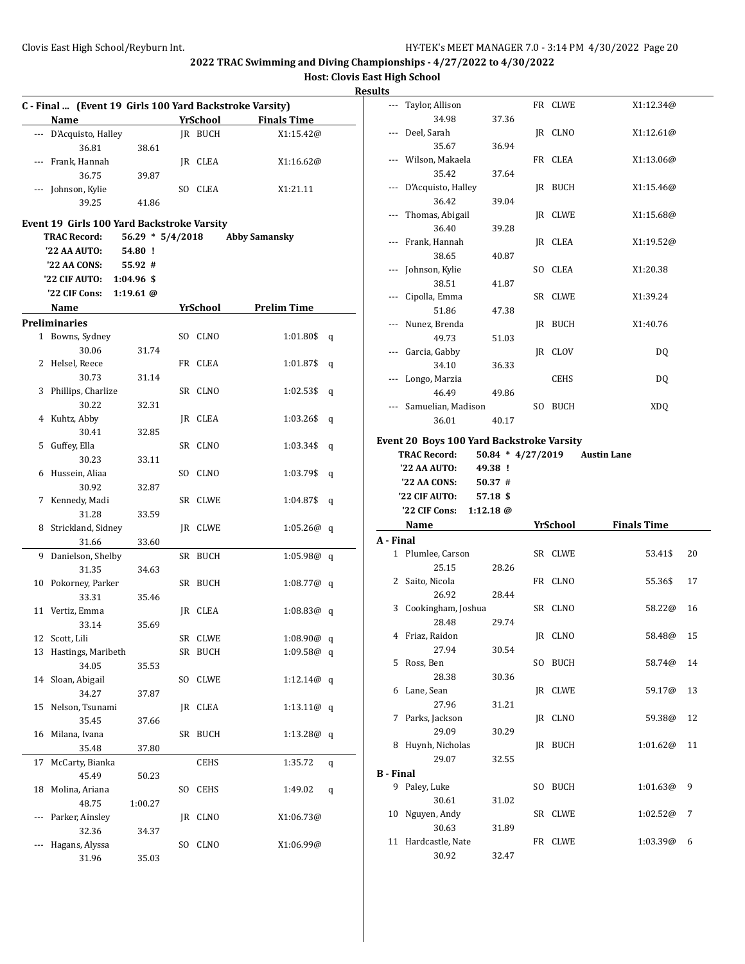**Host: Clovis East High School**

|          | C - Final  (Event 19 Girls 100 Yard Backstroke Varsity) |                             |     |             |                      |   |
|----------|---------------------------------------------------------|-----------------------------|-----|-------------|----------------------|---|
|          | Name                                                    |                             |     | YrSchool    | <b>Finals Time</b>   |   |
|          | --- D'Acquisto, Halley                                  |                             |     | IR BUCH     | X1:15.42@            |   |
|          | 36.81                                                   | 38.61                       |     |             |                      |   |
| $\cdots$ | Frank, Hannah                                           |                             |     | IR CLEA     | X1:16.62@            |   |
|          | 36.75                                                   | 39.87                       |     |             |                      |   |
| ---      | Johnson, Kylie                                          |                             |     | SO CLEA     | X1:21.11             |   |
|          | 39.25                                                   | 41.86                       |     |             |                      |   |
|          | Event 19 Girls 100 Yard Backstroke Varsity              |                             |     |             |                      |   |
|          | <b>TRAC Record:</b>                                     | $56.29 * 5/4/2018$          |     |             | <b>Abby Samansky</b> |   |
|          | '22 AA AUTO:                                            | 54.80!                      |     |             |                      |   |
|          | '22 AA CONS:                                            | 55.92 #                     |     |             |                      |   |
|          |                                                         |                             |     |             |                      |   |
|          | '22 CIF AUTO:<br>'22 CIF Cons:                          | $1:04.96$ \$<br>1:19.61 $@$ |     |             |                      |   |
|          |                                                         |                             |     |             |                      |   |
|          | Name                                                    |                             |     | YrSchool    | <b>Prelim Time</b>   |   |
|          | <b>Preliminaries</b>                                    |                             |     |             |                      |   |
|          | 1 Bowns, Sydney                                         |                             |     | SO CLNO     | 1:01.80\$            | q |
|          | 30.06                                                   | 31.74                       |     |             |                      |   |
|          | 2<br>Helsel, Reece                                      |                             |     | FR CLEA     | 1:01.87\$            | q |
|          | 30.73                                                   | 31.14                       |     |             |                      |   |
|          | Phillips, Charlize<br>3                                 |                             |     | SR CLNO     | 1:02.53\$            | q |
|          | 30.22                                                   | 32.31                       |     |             |                      |   |
|          | Kuhtz, Abby<br>4                                        |                             |     | JR CLEA     | 1:03.26\$            | q |
|          | 30.41                                                   | 32.85                       |     |             |                      |   |
|          | Guffey, Ella<br>5                                       |                             |     | SR CLNO     | 1:03.34\$            | q |
|          | 30.23                                                   | 33.11                       |     |             |                      |   |
|          | Hussein, Aliaa<br>6                                     |                             |     | SO CLNO     | 1:03.79\$            | q |
|          | 30.92                                                   | 32.87                       |     |             |                      |   |
|          | Kennedy, Madi<br>7                                      |                             |     | SR CLWE     | 1:04.87\$            | q |
|          | 31.28                                                   | 33.59                       |     |             |                      |   |
|          | Strickland, Sidney<br>8                                 |                             |     | JR CLWE     | 1:05.26@q            |   |
|          | 31.66                                                   | 33.60                       |     |             |                      |   |
|          | Danielson, Shelby<br>9                                  |                             |     | SR BUCH     | 1:05.98@q            |   |
|          | 31.35                                                   | 34.63                       |     |             |                      |   |
|          | 10 Pokorney, Parker                                     |                             |     | SR BUCH     | 1:08.77@q            |   |
|          | 33.31                                                   | 35.46                       |     |             |                      |   |
|          | 11 Vertiz, Emma                                         |                             |     | JR CLEA     | $1:08.83@$ q         |   |
|          | 33.14                                                   | 35.69                       |     |             |                      |   |
|          | 12 Scott, Lili                                          |                             |     | SR CLWE     | 1:08.90@ q           |   |
| 13       | Hastings, Maribeth                                      |                             |     | SR BUCH     | 1:09.58@ q           |   |
|          | 34.05                                                   |                             |     |             |                      |   |
| 14       | Sloan, Abigail                                          | 35.53                       | SO  | <b>CLWE</b> | 1:12.14 $@$ q        |   |
|          | 34.27                                                   |                             |     |             |                      |   |
|          |                                                         | 37.87                       |     |             |                      |   |
| 15       | Nelson, Tsunami                                         |                             |     | JR CLEA     | $1:13.11@$ q         |   |
|          | 35.45                                                   | 37.66                       |     |             |                      |   |
| 16       | Milana, Ivana                                           |                             |     | SR BUCH     | 1:13.28@ q           |   |
|          | 35.48                                                   | 37.80                       |     |             |                      |   |
| 17       | McCarty, Bianka                                         |                             |     | CEHS        | 1:35.72              | q |
|          | 45.49                                                   | 50.23                       |     |             |                      |   |
| 18       | Molina, Ariana                                          |                             | SO  | <b>CEHS</b> | 1:49.02              | q |
|          | 48.75                                                   | 1:00.27                     |     |             |                      |   |
| ---      | Parker, Ainsley                                         |                             |     | JR CLNO     | X1:06.73@            |   |
|          | 32.36                                                   | 34.37                       |     |             |                      |   |
|          | Hagans, Alyssa                                          |                             | SO. | CLNO        | X1:06.99@            |   |
|          | 31.96                                                   | 35.03                       |     |             |                      |   |

| ---              | Taylor, Allison                           |                     |     | FR CLWE         | X1:12.34@                     |    |
|------------------|-------------------------------------------|---------------------|-----|-----------------|-------------------------------|----|
|                  | 34.98                                     | 37.36               |     |                 |                               |    |
|                  | --- Deel, Sarah                           |                     |     | JR CLNO         | X1:12.61@                     |    |
|                  | 35.67                                     | 36.94               |     |                 |                               |    |
|                  | --- Wilson, Makaela                       |                     |     | FR CLEA         | X1:13.06@                     |    |
|                  | 35.42                                     | 37.64               |     |                 |                               |    |
|                  | --- D'Acquisto, Halley                    |                     |     | JR BUCH         | X1:15.46@                     |    |
|                  | 36.42                                     | 39.04               |     |                 |                               |    |
|                  | --- Thomas, Abigail                       |                     |     | JR CLWE         | X1:15.68@                     |    |
|                  | 36.40                                     | 39.28               |     |                 |                               |    |
|                  | --- Frank, Hannah                         |                     |     | IR CLEA         | X1:19.52@                     |    |
|                  | 38.65                                     | 40.87               |     |                 |                               |    |
|                  | --- Johnson, Kylie                        |                     |     | SO CLEA         | X1:20.38                      |    |
|                  | 38.51                                     | 41.87               |     |                 |                               |    |
|                  | --- Cipolla, Emma                         |                     |     | SR CLWE         | X1:39.24                      |    |
|                  | 51.86                                     | 47.38               |     |                 |                               |    |
|                  | --- Nunez, Brenda                         |                     |     | JR BUCH         | X1:40.76                      |    |
|                  | 49.73                                     | 51.03               |     |                 |                               |    |
|                  | --- Garcia, Gabby                         |                     |     | IR CLOV         | DQ                            |    |
|                  | 34.10                                     | 36.33               |     |                 |                               |    |
|                  | --- Longo, Marzia                         |                     |     | CEHS            | DQ                            |    |
|                  | 46.49                                     | 49.86               |     |                 |                               |    |
|                  | --- Samuelian, Madison                    |                     |     | SO BUCH         | XDQ                           |    |
|                  | 36.01                                     | 40.17               |     |                 |                               |    |
|                  | Event 20 Boys 100 Yard Backstroke Varsity |                     |     |                 |                               |    |
|                  | <b>TRAC Record:</b>                       |                     |     |                 | 50.84 * 4/27/2019 Austin Lane |    |
|                  |                                           |                     |     |                 |                               |    |
|                  | '22 AA AUTO:                              | 49.38!              |     |                 |                               |    |
|                  | '22 AA CONS:                              | 50.37#              |     |                 |                               |    |
|                  | '22 CIF AUTO:                             | 57.18 \$            |     |                 |                               |    |
|                  | '22 CIF Cons:                             | $1:12.18 \; \omega$ |     |                 |                               |    |
|                  | Name                                      |                     |     | <b>YrSchool</b> | <b>Finals Time</b>            |    |
| A - Final        |                                           |                     |     |                 |                               |    |
|                  | 1 Plumlee, Carson                         |                     |     | SR CLWE         | 53.41\$                       | 20 |
|                  | 25.15                                     | 28.26               |     |                 |                               |    |
|                  | 2 Saito, Nicola                           |                     |     | FR CLNO         | 55.36\$                       | 17 |
|                  | 26.92                                     | 28.44               |     |                 |                               |    |
|                  | 3 Cookingham, Joshua                      |                     |     | SR CLNO         | 58.22@                        | 16 |
|                  | 28.48                                     | 29.74               |     |                 |                               |    |
| 4                | Friaz, Raidon                             |                     |     | JR CLNO         | 58.48@                        | 15 |
|                  | 27.94                                     | 30.54               |     |                 |                               |    |
| 5.               | Ross, Ben                                 |                     |     | SO BUCH         | 58.74@                        | 14 |
|                  | 28.38                                     | 30.36               |     |                 |                               |    |
| 6                | Lane, Sean                                |                     |     | <b>IR CLWE</b>  | 59.17@                        | 13 |
|                  | 27.96                                     | 31.21               |     |                 |                               |    |
| 7                | Parks, Jackson                            |                     |     | JR CLNO         | 59.38@                        | 12 |
|                  | 29.09                                     | 30.29               |     |                 |                               |    |
| 8                | Huynh, Nicholas                           |                     |     | JR BUCH         | 1:01.62@                      | 11 |
|                  | 29.07                                     | 32.55               |     |                 |                               |    |
| <b>B</b> - Final |                                           |                     |     |                 |                               |    |
| 9                | Paley, Luke                               |                     | SO. | <b>BUCH</b>     | 1:01.63@                      | 9  |
|                  | 30.61                                     | 31.02               |     |                 |                               |    |
| 10               | Nguyen, Andy                              |                     |     | SR CLWE         | 1:02.52@                      | 7  |
|                  | 30.63                                     | 31.89               |     |                 |                               |    |
| 11               | Hardcastle, Nate<br>30.92                 | 32.47               |     | FR CLWE         | 1:03.39@                      | 6  |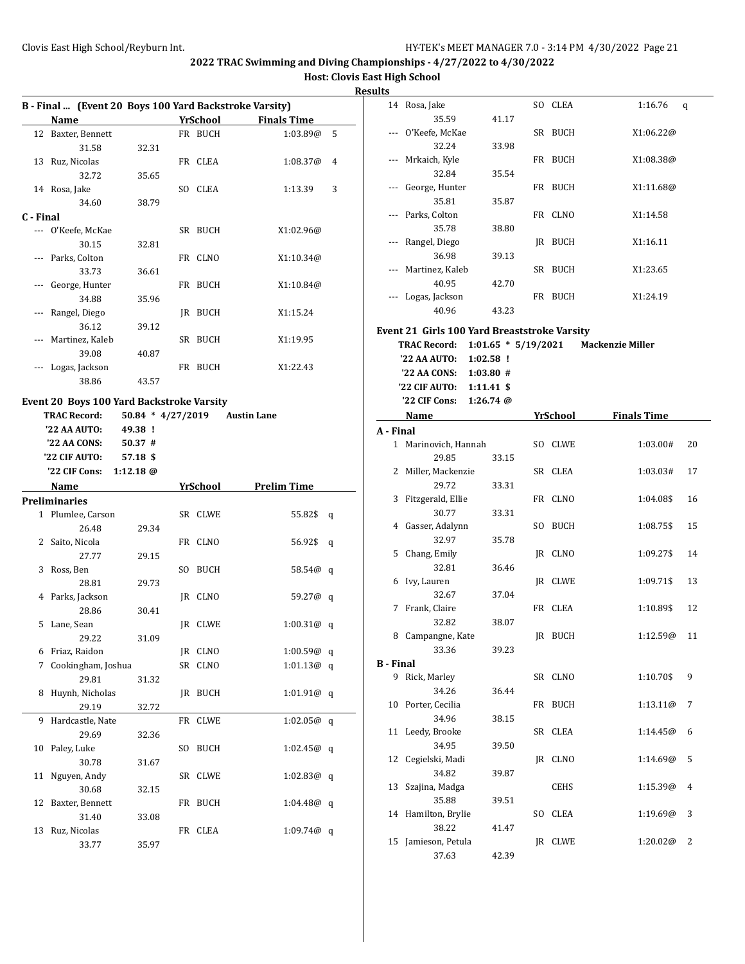| <b>Results</b> |
|----------------|
|----------------|

|           |    | B - Final  (Event 20 Boys 100 Yard Backstroke Varsity)<br>Name |                     |    | YrSchool    | <b>Finals Time</b>          |   |
|-----------|----|----------------------------------------------------------------|---------------------|----|-------------|-----------------------------|---|
|           |    |                                                                |                     |    |             |                             |   |
|           |    | 12 Baxter, Bennett                                             |                     |    | FR BUCH     | 1:03.89@                    | 5 |
|           |    | 31.58                                                          | 32.31               |    |             |                             |   |
|           |    | 13 Ruz, Nicolas                                                |                     |    | FR CLEA     | 1:08.37@                    | 4 |
|           |    | 32.72                                                          | 35.65               |    |             |                             |   |
|           |    | 14 Rosa, Jake                                                  |                     |    | SO CLEA     | 1:13.39                     | 3 |
|           |    | 34.60                                                          | 38.79               |    |             |                             |   |
| C - Final |    |                                                                |                     |    |             |                             |   |
|           |    | --- O'Keefe, McKae                                             |                     |    | SR BUCH     | X1:02.96@                   |   |
|           |    | 30.15                                                          | 32.81               |    |             |                             |   |
|           |    | --- Parks, Colton                                              |                     |    | FR CLNO     | X1:10.34@                   |   |
|           |    | 33.73                                                          | 36.61               |    |             |                             |   |
|           |    | --- George, Hunter                                             |                     |    | FR BUCH     | X1:10.84@                   |   |
|           |    | 34.88                                                          | 35.96               |    |             |                             |   |
|           |    | --- Rangel, Diego                                              |                     |    | JR BUCH     | X1:15.24                    |   |
|           |    | 36.12                                                          | 39.12               |    |             |                             |   |
|           |    | --- Martinez, Kaleb                                            |                     |    | SR BUCH     | X1:19.95                    |   |
|           |    | 39.08                                                          | 40.87               |    |             |                             |   |
|           |    | --- Logas, Jackson                                             |                     |    | FR BUCH     | X1:22.43                    |   |
|           |    | 38.86                                                          | 43.57               |    |             |                             |   |
|           |    |                                                                |                     |    |             |                             |   |
|           |    | Event 20 Boys 100 Yard Backstroke Varsity                      |                     |    |             |                             |   |
|           |    | <b>TRAC Record:</b>                                            | $50.84 * 4/27/2019$ |    |             | <b>Austin Lane</b>          |   |
|           |    | '22 AA AUTO:                                                   | 49.38 !             |    |             |                             |   |
|           |    | '22 AA CONS:                                                   | 50.37#              |    |             |                             |   |
|           |    | '22 CIF AUTO:                                                  | 57.18 \$            |    |             |                             |   |
|           |    | '22 CIF Cons:                                                  | $1:12.18$ @         |    |             |                             |   |
|           |    | Name                                                           |                     |    |             | <b>YrSchool</b> Prelim Time |   |
|           |    | <b>Preliminaries</b>                                           |                     |    |             |                             |   |
|           |    | 1 Plumlee, Carson                                              |                     |    | SR CLWE     | 55.82\$                     | q |
|           |    | 26.48                                                          | 29.34               |    |             |                             |   |
|           |    | 2 Saito, Nicola                                                |                     |    | FR CLNO     | 56.92\$                     | q |
|           |    | 27.77                                                          | 29.15               |    |             |                             |   |
|           |    | 3 Ross, Ben                                                    |                     |    | SO BUCH     | 58.54@ q                    |   |
|           |    | 28.81                                                          | 29.73               |    |             |                             |   |
|           |    | 4 Parks, Jackson                                               |                     |    | JR CLNO     | 59.27@ q                    |   |
|           |    | 28.86                                                          | 30.41               |    |             |                             |   |
|           |    | 5 Lane, Sean                                                   |                     |    | JR CLWE     | 1:00.31@ q                  |   |
|           |    | 29.22                                                          | 31.09               |    |             |                             |   |
|           |    | 6 Friaz, Raidon                                                |                     |    | JR CLNO     | 1:00.59@ q                  |   |
|           | 7  | Cookingham, Joshua                                             |                     |    | SR CLNO     | 1:01.13 $@$ q               |   |
|           |    | 29.81                                                          | 31.32               |    |             |                             |   |
|           | 8  | Huynh, Nicholas                                                |                     |    | JR BUCH     | $1:01.91@$ q                |   |
|           |    | 29.19                                                          | 32.72               |    |             |                             |   |
|           | 9  | Hardcastle, Nate                                               |                     |    | FR CLWE     | $1:02.05@$ q                |   |
|           |    | 29.69                                                          | 32.36               |    |             |                             |   |
|           | 10 | Paley, Luke                                                    |                     | SO | BUCH        | $1:02.45@$ q                |   |
|           |    | 30.78                                                          | 31.67               |    |             |                             |   |
|           | 11 | Nguyen, Andy                                                   |                     | SR | <b>CLWE</b> | 1:02.83@q                   |   |
|           |    | 30.68                                                          | 32.15               |    |             |                             |   |
|           | 12 | Baxter, Bennett                                                |                     |    | FR BUCH     | $1:04.48@$ q                |   |
|           |    | 31.40                                                          | 33.08               |    |             |                             |   |
|           |    | Ruz, Nicolas                                                   |                     |    | FR CLEA     |                             |   |
|           | 13 |                                                                |                     |    |             | 1:09.74@q                   |   |
|           |    | 33.77                                                          | 35.97               |    |             |                             |   |

|                  | 14 Rosa, Jake                                |                       | SO CLEA  | 1:16.76                 | q  |
|------------------|----------------------------------------------|-----------------------|----------|-------------------------|----|
|                  | 35.59                                        | 41.17                 |          |                         |    |
|                  | --- O'Keefe, McKae                           |                       | SR BUCH  | X1:06.22@               |    |
|                  | 32.24                                        | 33.98                 |          |                         |    |
|                  | --- Mrkaich, Kyle                            |                       | FR BUCH  | X1:08.38@               |    |
|                  | 32.84                                        | 35.54                 |          |                         |    |
| ---              | George, Hunter                               |                       | FR BUCH  | X1:11.68@               |    |
|                  | 35.81                                        | 35.87                 |          |                         |    |
|                  | --- Parks, Colton                            |                       | FR CLNO  | X1:14.58                |    |
|                  | 35.78                                        | 38.80                 |          |                         |    |
| ---              | Rangel, Diego                                |                       | JR BUCH  | X1:16.11                |    |
|                  | 36.98                                        |                       |          |                         |    |
|                  |                                              | 39.13                 |          |                         |    |
| ---              | Martinez, Kaleb                              |                       | SR BUCH  | X1:23.65                |    |
|                  | 40.95                                        | 42.70                 |          |                         |    |
|                  | --- Logas, Jackson                           |                       | FR BUCH  | X1:24.19                |    |
|                  | 40.96                                        | 43.23                 |          |                         |    |
|                  | Event 21 Girls 100 Yard Breaststroke Varsity |                       |          |                         |    |
|                  | <b>TRAC Record:</b>                          | $1:01.65 * 5/19/2021$ |          | <b>Mackenzie Miller</b> |    |
|                  | '22 AA AUTO:                                 | $1:02.58$ !           |          |                         |    |
|                  | '22 AA CONS:                                 | 1:03.80#              |          |                         |    |
|                  | '22 CIF AUTO:                                | $1:11.41$ \$          |          |                         |    |
|                  | '22 CIF Cons: 1:26.74 @                      |                       |          |                         |    |
|                  |                                              |                       |          |                         |    |
|                  | Name                                         |                       | YrSchool | <b>Finals Time</b>      |    |
| A - Final        |                                              |                       |          |                         |    |
|                  | 1 Marinovich, Hannah                         |                       | SO CLWE  | 1:03.00#                | 20 |
|                  | 29.85                                        | 33.15                 |          |                         |    |
|                  | 2 Miller, Mackenzie                          |                       | SR CLEA  | 1:03.03#                | 17 |
|                  | 29.72                                        | 33.31                 |          |                         |    |
|                  | 3 Fitzgerald, Ellie                          |                       | FR CLNO  | 1:04.08\$               | 16 |
|                  | 30.77                                        | 33.31                 |          |                         |    |
|                  | 4 Gasser, Adalynn                            |                       | SO BUCH  | 1:08.75\$               | 15 |
|                  | 32.97                                        | 35.78                 |          |                         |    |
|                  | 5 Chang, Emily                               |                       | JR CLNO  | 1:09.27\$               | 14 |
|                  | 32.81                                        | 36.46                 |          |                         |    |
|                  | 6 Ivy, Lauren                                |                       | JR CLWE  | 1:09.71\$               | 13 |
|                  | 32.67                                        | 37.04                 |          |                         |    |
|                  | 7 Frank, Claire                              |                       | FR CLEA  | 1:10.89\$               | 12 |
|                  | 32.82                                        | 38.07                 |          |                         |    |
|                  | 8 Campangne, Kate                            |                       | JR BUCH  | 1:12.59@                | 11 |
|                  | 33.36                                        | 39.23                 |          |                         |    |
| <b>B</b> - Final |                                              |                       |          |                         |    |
| 9                | Rick, Marley                                 |                       | SR CLNO  | 1:10.70\$               | 9  |
|                  | 34.26                                        | 36.44                 |          |                         |    |
| 10               | Porter, Cecilia                              |                       | FR BUCH  | 1:13.11@                | 7  |
|                  | 34.96                                        | 38.15                 |          |                         |    |
| 11               | Leedy, Brooke                                |                       | SR CLEA  | 1:14.45@                | 6  |
|                  | 34.95                                        | 39.50                 |          |                         |    |
| 12               | Cegielski, Madi                              |                       | JR CLNO  | 1:14.69@                | 5  |
|                  | 34.82                                        | 39.87                 |          |                         |    |
| 13               | Szajina, Madga                               |                       | CEHS     | 1:15.39@                | 4  |
|                  | 35.88                                        | 39.51                 |          |                         |    |
| 14               | Hamilton, Brylie                             |                       | SO CLEA  | 1:19.69@                | 3  |
|                  | 38.22                                        |                       |          |                         |    |
|                  |                                              | 41.47                 |          |                         |    |
| 15               | Jamieson, Petula                             |                       | JR CLWE  | 1:20.02@                | 2  |
|                  | 37.63                                        | 42.39                 |          |                         |    |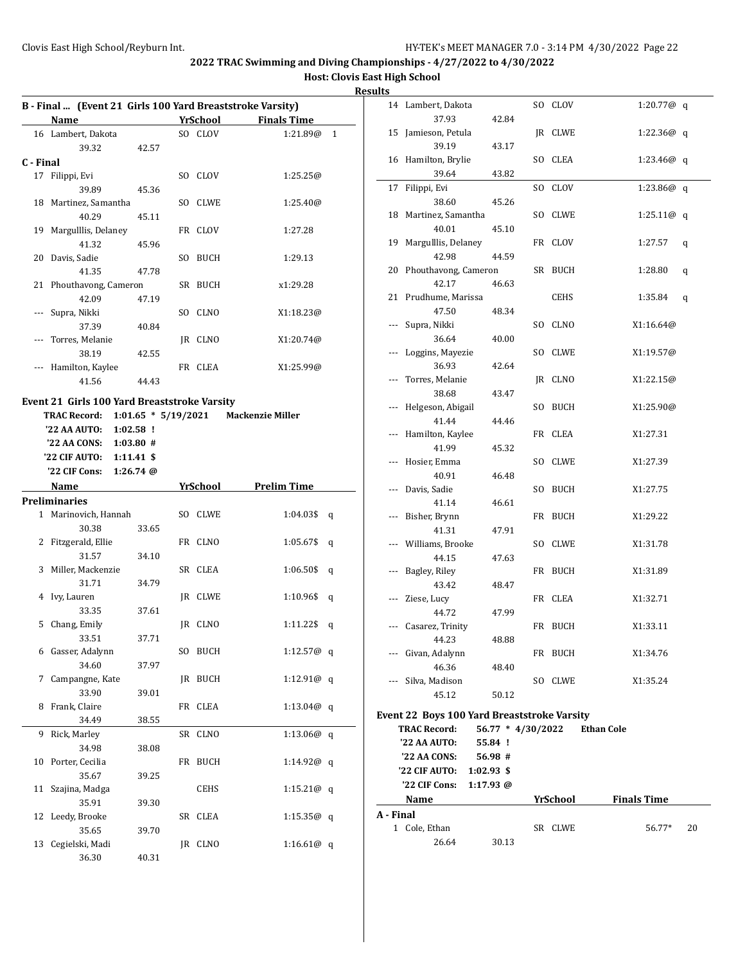|           | B - Final  (Event 21 Girls 100 Yard Breaststroke Varsity)                                         |       |          |                                            |              |
|-----------|---------------------------------------------------------------------------------------------------|-------|----------|--------------------------------------------|--------------|
|           | Name                                                                                              |       |          | <b>Example 21 Strip School Finals Time</b> |              |
|           | 16 Lambert, Dakota                                                                                |       | SO CLOV  | 1:21.89@                                   | $\mathbf{1}$ |
|           | 39.32                                                                                             | 42.57 |          |                                            |              |
| C - Final |                                                                                                   |       |          |                                            |              |
|           | 17 Filippi, Evi                                                                                   |       | SO CLOV  | 1:25.25@                                   |              |
|           | 39.89                                                                                             | 45.36 |          |                                            |              |
|           | 18 Martinez, Samantha                                                                             |       | SO CLWE  | 1:25.40@                                   |              |
|           | 40.29                                                                                             | 45.11 |          |                                            |              |
|           | 19 Margulllis, Delaney                                                                            |       | FR CLOV  | 1:27.28                                    |              |
|           | 41.32                                                                                             | 45.96 |          |                                            |              |
|           | 20 Davis, Sadie                                                                                   |       | SO BUCH  | 1:29.13                                    |              |
|           | 41.35                                                                                             | 47.78 |          |                                            |              |
|           | 21 Phouthavong, Cameron                                                                           |       | SR BUCH  | x1:29.28                                   |              |
|           | 42.09                                                                                             | 47.19 |          |                                            |              |
| ---       | Supra, Nikki                                                                                      |       | SO CLNO  | X1:18.23@                                  |              |
|           | 37.39                                                                                             | 40.84 |          |                                            |              |
| ---       | Torres, Melanie                                                                                   |       | JR CLNO  | X1:20.74@                                  |              |
|           | 38.19                                                                                             | 42.55 |          |                                            |              |
|           | --- Hamilton, Kaylee                                                                              |       | FR CLEA  | X1:25.99@                                  |              |
|           | 41.56                                                                                             | 44.43 |          |                                            |              |
|           |                                                                                                   |       |          |                                            |              |
|           | Event 21 Girls 100 Yard Breaststroke Varsity<br>TRAC Record: 1:01.65 * 5/19/2021 Mackenzie Miller |       |          |                                            |              |
|           | '22 AA AUTO: 1:02.58 !                                                                            |       |          |                                            |              |
|           | $'22$ AA CONS: 1:03.80 #                                                                          |       |          |                                            |              |
|           | '22 CIF AUTO: 1:11.41 \$                                                                          |       |          |                                            |              |
|           | '22 CIF Cons: 1:26.74 @                                                                           |       |          |                                            |              |
|           |                                                                                                   |       |          |                                            |              |
|           | Name                                                                                              |       | YrSchool | <b>Prelim Time</b>                         |              |
|           | <b>Preliminaries</b>                                                                              |       |          |                                            |              |
|           | 1 Marinovich, Hannah                                                                              |       | SO CLWE  | $1:04.03$ \$q                              |              |
|           | 30.38                                                                                             | 33.65 | FR CLNO  |                                            |              |
|           | 2 Fitzgerald, Ellie                                                                               |       |          | 1:05.67\$                                  | q            |
|           | 31.57<br>3 Miller, Mackenzie                                                                      | 34.10 |          |                                            |              |
|           | 31.71                                                                                             |       | SR CLEA  | 1:06.50\$                                  | q            |
|           | 4 Ivy, Lauren                                                                                     | 34.79 |          | 1:10.96\$                                  |              |
|           | 33.35                                                                                             | 37.61 | JR CLWE  |                                            | q            |
|           | 5 Chang, Emily                                                                                    |       | JR CLNO  | 1:11.22\$                                  |              |
|           | 33.51                                                                                             | 37.71 |          |                                            | q            |
|           | 6 Gasser, Adalynn                                                                                 |       | SO BUCH  | 1:12.57 $@$ q                              |              |
|           | 34.60                                                                                             | 37.97 |          |                                            |              |
| 7         | Campangne, Kate                                                                                   |       | JR BUCH  | 1:12.91@ q                                 |              |
|           | 33.90                                                                                             | 39.01 |          |                                            |              |
|           | 8 Frank, Claire                                                                                   |       | FR CLEA  | $1:13.04@$ q                               |              |
|           | 34.49                                                                                             | 38.55 |          |                                            |              |
| 9         | Rick, Marley                                                                                      |       | SR CLNO  | 1:13.06 $@q$                               |              |
|           | 34.98                                                                                             | 38.08 |          |                                            |              |
|           | 10 Porter, Cecilia                                                                                |       | FR BUCH  | 1:14.92@ q                                 |              |
|           | 35.67                                                                                             | 39.25 |          |                                            |              |
|           |                                                                                                   |       | CEHS     |                                            |              |
|           |                                                                                                   |       |          | 1:15.21@ q                                 |              |
| 11        | Szajina, Madga                                                                                    |       |          |                                            |              |
|           | 35.91                                                                                             | 39.30 |          |                                            |              |
| 12        | Leedy, Brooke                                                                                     |       | SR CLEA  | 1:15.35 $@q$                               |              |
|           | 35.65                                                                                             | 39.70 |          |                                            |              |
| 13        | Cegielski, Madi<br>36.30                                                                          | 40.31 | JR CLNO  | 1:16.61@ q                                 |              |

| uits      |                                             |                   |    |          |                    |    |
|-----------|---------------------------------------------|-------------------|----|----------|--------------------|----|
|           | 14 Lambert, Dakota                          |                   |    | SO CLOV  | 1:20.77@q          |    |
|           | 37.93                                       | 42.84             |    |          |                    |    |
|           | 15 Jamieson, Petula                         |                   |    | JR CLWE  | 1:22.36 $@q$       |    |
|           | 39.19                                       | 43.17             |    |          |                    |    |
|           | 16 Hamilton, Brylie                         |                   |    | SO CLEA  | 1:23.46 $@q$       |    |
|           | 39.64                                       | 43.82             |    |          |                    |    |
| 17        | Filippi, Evi                                |                   | SO | CLOV     | 1:23.86 $@q$       |    |
|           | 38.60                                       | 45.26             |    |          |                    |    |
| 18        | Martinez, Samantha                          |                   | SO | CLWE     | 1:25.11@ q         |    |
|           | 40.01                                       | 45.10             |    |          |                    |    |
| 19        | Margulllis, Delaney                         |                   |    | FR CLOV  | 1:27.57            | q  |
|           | 42.98                                       | 44.59             |    |          |                    |    |
| 20        | Phouthavong, Cameron                        |                   |    | SR BUCH  | 1:28.80            | q  |
|           | 42.17                                       | 46.63             |    |          |                    |    |
|           | 21 Prudhume, Marissa                        |                   |    | CEHS     | 1:35.84            | q  |
|           | 47.50                                       | 48.34             |    |          |                    |    |
| ---       | Supra, Nikki                                |                   | SO | CLNO     | X1:16.64@          |    |
|           | 36.64                                       | 40.00             |    |          |                    |    |
|           | Loggins, Mayezie                            |                   |    | SO CLWE  | X1:19.57@          |    |
|           | 36.93                                       | 42.64             |    |          |                    |    |
|           | Torres, Melanie                             |                   |    | IR CLNO  | X1:22.15@          |    |
|           | 38.68                                       | 43.47             |    |          |                    |    |
|           | Helgeson, Abigail                           |                   | SO | BUCH     | X1:25.90@          |    |
|           | 41.44                                       | 44.46             |    |          |                    |    |
|           | Hamilton, Kaylee                            |                   |    | FR CLEA  | X1:27.31           |    |
|           | 41.99                                       | 45.32             |    |          |                    |    |
|           | Hosier, Emma                                |                   |    | SO CLWE  | X1:27.39           |    |
|           | 40.91                                       | 46.48             |    |          |                    |    |
| ---       | Davis, Sadie                                |                   | SO | BUCH     | X1:27.75           |    |
|           | 41.14                                       | 46.61             |    |          |                    |    |
| ---       | Bisher, Brynn                               |                   |    | FR BUCH  | X1:29.22           |    |
|           | 41.31                                       | 47.91             |    |          |                    |    |
|           | Williams, Brooke<br>44.15                   |                   | SO | CLWE     | X1:31.78           |    |
|           | Bagley, Riley                               | 47.63             |    | FR BUCH  | X1:31.89           |    |
|           | 43.42                                       | 48.47             |    |          |                    |    |
|           | --- Ziese, Lucy                             |                   |    | FR CLEA  | X1:32.71           |    |
|           | 44.72                                       | 47.99             |    |          |                    |    |
|           | Casarez, Trinity                            |                   |    | FR BUCH  | X1:33.11           |    |
|           | 44.23                                       | 48.88             |    |          |                    |    |
|           | --- Givan, Adalynn                          |                   |    | FR BUCH  | X1:34.76           |    |
|           | 46.36                                       | 48.40             |    |          |                    |    |
|           | --- Silva, Madison                          |                   |    | SO CLWE  | X1:35.24           |    |
|           | 45.12                                       | 50.12             |    |          |                    |    |
|           |                                             |                   |    |          |                    |    |
|           | Event 22 Boys 100 Yard Breaststroke Varsity |                   |    |          |                    |    |
|           | <b>TRAC Record:</b>                         | 56.77 * 4/30/2022 |    |          | <b>Ethan Cole</b>  |    |
|           | '22 AA AUTO:                                | 55.84 !           |    |          |                    |    |
|           | '22 AA CONS:                                | 56.98 #           |    |          |                    |    |
|           | '22 CIF AUTO: 1:02.93 \$                    |                   |    |          |                    |    |
|           | '22 CIF Cons:                               | $1:17.93$ @       |    |          |                    |    |
|           | Name                                        |                   |    | YrSchool | <b>Finals Time</b> |    |
| A - Final |                                             |                   |    |          |                    |    |
|           | 1 Cole, Ethan                               |                   |    | SR CLWE  | 56.77*             | 20 |
|           | 26.64                                       | 30.13             |    |          |                    |    |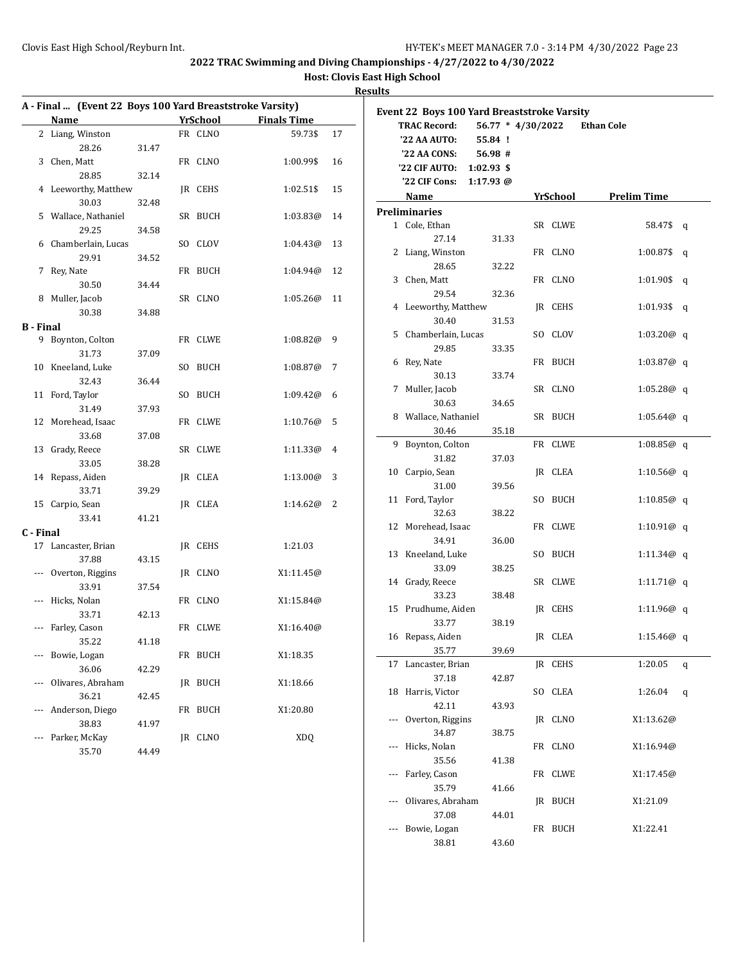| Results |  |
|---------|--|
|         |  |

|           | A - Final  (Event 22 Boys 100 Yard Breaststroke Varsity) |       |     |                 |                    |    |
|-----------|----------------------------------------------------------|-------|-----|-----------------|--------------------|----|
|           | Name                                                     |       |     | <b>YrSchool</b> | <b>Finals Time</b> |    |
|           | 2 Liang, Winston                                         |       |     | FR CLNO         | 59.73\$            | 17 |
|           | 28.26                                                    | 31.47 |     |                 |                    |    |
| 3         | Chen, Matt                                               |       |     | FR CLNO         | 1:00.99\$          | 16 |
|           | 28.85                                                    | 32.14 |     |                 |                    |    |
| 4         | Leeworthy, Matthew                                       |       |     | IR CEHS         | 1:02.51\$          | 15 |
|           | 30.03                                                    | 32.48 |     |                 |                    |    |
| 5         | Wallace, Nathaniel                                       |       | SR  | BUCH            | 1:03.83@           | 14 |
|           | 29.25                                                    | 34.58 |     |                 |                    |    |
| 6         | Chamberlain, Lucas                                       |       | SO. | CLOV            | 1:04.43@           | 13 |
|           | 29.91                                                    | 34.52 |     |                 |                    |    |
| 7         | Rey, Nate                                                |       | FR  | <b>BUCH</b>     | 1:04.94@           | 12 |
|           | 30.50                                                    | 34.44 |     |                 |                    |    |
| 8         | Muller, Jacob                                            |       |     | SR CLNO         | 1:05.26@           | 11 |
|           | 30.38                                                    | 34.88 |     |                 |                    |    |
| B - Final |                                                          |       |     |                 |                    |    |
| 9         | Boynton, Colton                                          |       |     | FR CLWE         | 1:08.82@           | 9  |
|           | 31.73                                                    | 37.09 |     |                 |                    |    |
| 10        | Kneeland, Luke                                           |       | SO. | <b>BUCH</b>     | 1:08.87@           | 7  |
|           | 32.43                                                    | 36.44 |     |                 |                    |    |
| 11        | Ford, Taylor                                             |       | SO. | <b>BUCH</b>     | 1:09.42@           | 6  |
|           | 31.49                                                    | 37.93 |     |                 |                    |    |
| 12        | Morehead, Isaac                                          |       | FR  | CLWE            | 1:10.76@           | 5  |
|           | 33.68                                                    | 37.08 |     |                 |                    |    |
| 13        |                                                          |       |     | SR CLWE         |                    | 4  |
|           | Grady, Reece                                             |       |     |                 | 1:11.33@           |    |
|           | 33.05                                                    | 38.28 |     |                 |                    |    |
| 14        | Repass, Aiden                                            |       |     | JR CLEA         | 1:13.00@           | 3  |
|           | 33.71                                                    | 39.29 |     |                 |                    |    |
| 15        | Carpio, Sean                                             |       |     | JR CLEA         | 1:14.62@           | 2  |
|           | 33.41                                                    | 41.21 |     |                 |                    |    |
| C - Final |                                                          |       |     |                 |                    |    |
| 17        | Lancaster, Brian                                         |       |     | JR CEHS         | 1:21.03            |    |
|           | 37.88                                                    | 43.15 |     |                 |                    |    |
|           | --- Overton, Riggins                                     |       |     | IR CLNO         | X1:11.45@          |    |
|           | 33.91                                                    | 37.54 |     |                 |                    |    |
| ---       | Hicks, Nolan                                             |       |     | FR CLNO         | X1:15.84@          |    |
|           | 33.71                                                    | 42.13 |     |                 |                    |    |
| ---       | Farley, Cason                                            |       |     | FR CLWE         | X1:16.40@          |    |
|           | 35.22                                                    | 41.18 |     |                 |                    |    |
| ---       | Bowie, Logan                                             |       | FR  | <b>BUCH</b>     | X1:18.35           |    |
|           | 36.06                                                    | 42.29 |     |                 |                    |    |
|           | Olivares, Abraham                                        |       | JR  | <b>BUCH</b>     | X1:18.66           |    |
|           | 36.21                                                    | 42.45 |     |                 |                    |    |
| ---       | Anderson, Diego                                          |       | FR  | BUCH            | X1:20.80           |    |
|           | 38.83                                                    | 41.97 |     |                 |                    |    |
|           | Parker, McKay                                            |       | JR  | CLNO            | <b>XDQ</b>         |    |
|           | 35.70                                                    | 44.49 |     |                 |                    |    |

| <b>Event 22 Boys 100 Yard Breaststroke Varsity</b> |                      |                     |  |          |                    |   |
|----------------------------------------------------|----------------------|---------------------|--|----------|--------------------|---|
|                                                    | <b>TRAC Record:</b>  | $56.77 * 4/30/2022$ |  |          | <b>Ethan Cole</b>  |   |
|                                                    | '22 AA AUTO:         | 55.84 !             |  |          |                    |   |
|                                                    | '22 AA CONS:         | 56.98#              |  |          |                    |   |
|                                                    | '22 CIF AUTO:        | $1:02.93$ \$        |  |          |                    |   |
|                                                    | '22 CIF Cons:        | $1:17.93$ @         |  |          |                    |   |
|                                                    | Name                 |                     |  | YrSchool | <b>Prelim Time</b> |   |
|                                                    | <b>Preliminaries</b> |                     |  |          |                    |   |
|                                                    | 1 Cole, Ethan        |                     |  | SR CLWE  | 58.47\$            | q |
|                                                    | 27.14                | 31.33               |  |          |                    |   |
|                                                    | 2 Liang, Winston     |                     |  | FR CLNO  | 1:00.87\$          | q |
|                                                    | 28.65                | 32.22               |  |          |                    |   |
|                                                    | 3 Chen, Matt         |                     |  | FR CLNO  | 1:01.90\$          | q |
|                                                    | 29.54                | 32.36               |  |          |                    |   |
|                                                    | 4 Leeworthy, Matthew |                     |  | JR CEHS  | 1:01.93\$          | q |
|                                                    | 30.40                | 31.53               |  |          |                    |   |
| 5                                                  | Chamberlain, Lucas   |                     |  | SO CLOV  | 1:03.20@q          |   |
|                                                    | 29.85                | 33.35               |  |          |                    |   |
| 6                                                  | Rey, Nate            |                     |  | FR BUCH  | 1:03.87@ q         |   |
|                                                    | 30.13                | 33.74               |  |          |                    |   |
| 7                                                  | Muller, Jacob        |                     |  | SR CLNO  | 1:05.28@q          |   |
|                                                    | 30.63                | 34.65               |  |          |                    |   |
|                                                    | 8 Wallace, Nathaniel |                     |  | SR BUCH  | $1:05.64@$ q       |   |
|                                                    | 30.46                | 35.18               |  |          |                    |   |
| 9                                                  | Boynton, Colton      |                     |  | FR CLWE  | 1:08.85@q          |   |
|                                                    | 31.82                | 37.03               |  |          |                    |   |
| 10                                                 | Carpio, Sean         |                     |  | JR CLEA  | 1:10.56@q          |   |
|                                                    | 31.00                | 39.56               |  |          |                    |   |
|                                                    | 11 Ford, Taylor      |                     |  | SO BUCH  | 1:10.85 $@q$       |   |
|                                                    | 32.63                | 38.22               |  |          |                    |   |
|                                                    | 12 Morehead, Isaac   |                     |  | FR CLWE  | 1:10.91@ q         |   |
|                                                    | 34.91                | 36.00               |  |          |                    |   |
|                                                    | 13 Kneeland, Luke    |                     |  | SO BUCH  | 1:11.34 $@$ q      |   |
|                                                    | 33.09                | 38.25               |  |          |                    |   |
|                                                    | 14 Grady, Reece      |                     |  | SR CLWE  | $1:11.71@$ q       |   |
|                                                    | 33.23                | 38.48               |  |          |                    |   |
|                                                    | 15 Prudhume, Aiden   |                     |  | JR CEHS  | 1:11.96 $@q$       |   |
|                                                    | 33.77                | 38.19               |  |          |                    |   |
|                                                    | 16 Repass, Aiden     |                     |  | JR CLEA  | 1:15.46 $@q$       |   |
|                                                    | 35.77                | 39.69               |  |          |                    |   |
| 17                                                 | Lancaster, Brian     |                     |  | JR CEHS  | 1:20.05            | q |
|                                                    | 37.18                | 42.87               |  |          |                    |   |
| 18                                                 | Harris, Victor       |                     |  | SO CLEA  | 1:26.04            | q |
|                                                    | 42.11                | 43.93               |  |          |                    |   |
| ---                                                | Overton, Riggins     |                     |  | JR CLNO  | X1:13.62@          |   |
|                                                    | 34.87                | 38.75               |  |          |                    |   |
| ---                                                | Hicks, Nolan         |                     |  | FR CLNO  | X1:16.94@          |   |
|                                                    | 35.56                | 41.38               |  |          |                    |   |
|                                                    | Farley, Cason        |                     |  | FR CLWE  | X1:17.45@          |   |
|                                                    | 35.79                | 41.66               |  |          |                    |   |
|                                                    | Olivares, Abraham    |                     |  | JR BUCH  | X1:21.09           |   |
|                                                    | 37.08                | 44.01               |  |          |                    |   |
|                                                    | Bowie, Logan         |                     |  | FR BUCH  | X1:22.41           |   |
|                                                    | 38.81                | 43.60               |  |          |                    |   |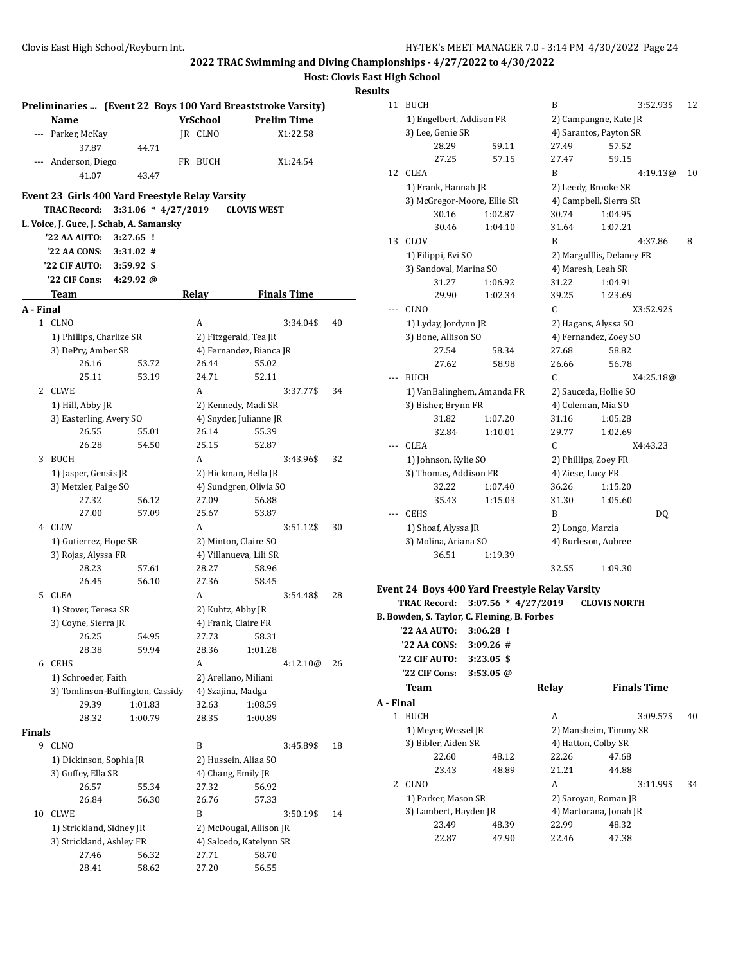**Host: Clovis East High School**

| Preliminaries  (Event 22 Boys 100 Yard Breaststroke Varsity) |                                                 |                      |                       |                                          |                         |                    |    |
|--------------------------------------------------------------|-------------------------------------------------|----------------------|-----------------------|------------------------------------------|-------------------------|--------------------|----|
|                                                              | <b>Name</b>                                     |                      |                       | <b>YrSchool</b>                          |                         | <b>Prelim Time</b> |    |
|                                                              | --- Parker, McKay                               |                      |                       | JR CLNO                                  |                         | X1:22.58           |    |
|                                                              | 37.87                                           | 44.71                |                       |                                          |                         |                    |    |
| ---                                                          | Anderson, Diego                                 |                      |                       | FR BUCH                                  |                         | X1:24.54           |    |
|                                                              | 41.07                                           |                      | 43.47                 |                                          |                         |                    |    |
|                                                              |                                                 |                      |                       |                                          |                         |                    |    |
|                                                              | Event 23 Girls 400 Yard Freestyle Relay Varsity |                      |                       |                                          |                         |                    |    |
|                                                              | <b>TRAC Record:</b>                             |                      | $3:31.06 * 4/27/2019$ |                                          | <b>CLOVIS WEST</b>      |                    |    |
|                                                              | L. Voice, J. Guce, J. Schab, A. Samansky        |                      |                       |                                          |                         |                    |    |
|                                                              | '22 AA AUTO:                                    | $3:27.65$ !          |                       |                                          |                         |                    |    |
|                                                              | '22 AA CONS:                                    | 3:31.02#             |                       |                                          |                         |                    |    |
|                                                              | '22 CIF AUTO:                                   | $3:59.92$ \$         |                       |                                          |                         |                    |    |
|                                                              | '22 CIF Cons:                                   | $4:29.92 \omega$     |                       |                                          |                         |                    |    |
|                                                              | Team                                            |                      |                       | Relay                                    |                         | <b>Finals Time</b> |    |
| A - Final                                                    |                                                 |                      |                       |                                          |                         |                    |    |
|                                                              | 1 CLNO                                          |                      |                       | А                                        |                         | 3:34.04\$          | 40 |
|                                                              | 1) Phillips, Charlize SR                        |                      |                       |                                          | 2) Fitzgerald, Tea JR   |                    |    |
|                                                              | 3) DePry, Amber SR                              |                      |                       |                                          | 4) Fernandez, Bianca JR |                    |    |
|                                                              | 26.16                                           |                      | 53.72                 | 26.44                                    | 55.02                   |                    |    |
|                                                              | 25.11                                           |                      | 53.19                 | 24.71                                    | 52.11                   |                    |    |
| 2                                                            | CLWE                                            |                      |                       | А                                        |                         | 3:37.77\$          | 34 |
|                                                              | 1) Hill, Abby JR                                |                      |                       |                                          | 2) Kennedy, Madi SR     |                    |    |
|                                                              | 3) Easterling, Avery SO                         |                      |                       |                                          | 4) Snyder, Julianne JR  |                    |    |
|                                                              | 26.55                                           |                      | 55.01                 | 26.14                                    | 55.39                   |                    |    |
|                                                              | 26.28                                           |                      | 54.50                 | 25.15                                    | 52.87                   |                    |    |
| 3                                                            | <b>BUCH</b>                                     |                      |                       | A                                        |                         | 3:43.96\$          | 32 |
| 1) Jasper, Gensis JR                                         |                                                 | 2) Hickman, Bella JR |                       |                                          |                         |                    |    |
|                                                              | 3) Metzler, Paige SO                            |                      |                       |                                          | 4) Sundgren, Olivia SO  |                    |    |
|                                                              | 27.32                                           |                      | 56.12                 | 27.09                                    | 56.88                   |                    |    |
|                                                              | 27.00                                           |                      | 57.09                 | 25.67                                    | 53.87                   |                    |    |
|                                                              | 4 CLOV                                          |                      |                       | A                                        |                         | 3:51.12\$          | 30 |
|                                                              | 1) Gutierrez, Hope SR                           |                      |                       | 2) Minton, Claire SO                     |                         |                    |    |
|                                                              | 3) Rojas, Alyssa FR                             |                      |                       |                                          | 4) Villanueva, Lili SR  |                    |    |
|                                                              | 28.23                                           | 57.61                |                       | 28.27                                    | 58.96                   |                    |    |
|                                                              | 26.45                                           |                      | 56.10                 | 27.36                                    | 58.45                   | 3:54.48\$          | 28 |
| 5                                                            | CLEA                                            |                      |                       | A                                        |                         |                    |    |
|                                                              | 1) Stover, Teresa SR<br>3) Coyne, Sierra JR     |                      |                       | 2) Kuhtz, Abby JR<br>4) Frank, Claire FR |                         |                    |    |
|                                                              | 26.25                                           |                      | 54.95                 |                                          | 27.73<br>58.31          |                    |    |
|                                                              | 28.38                                           |                      | 59.94                 | 28.36                                    | 1:01.28                 |                    |    |
| 6                                                            | <b>CEHS</b>                                     |                      |                       | А                                        |                         | 4:12.10@           | 26 |
|                                                              |                                                 |                      |                       |                                          | 2) Arellano, Miliani    |                    |    |
| 1) Schroeder, Faith<br>3) Tomlinson-Buffington, Cassidy      |                                                 | 4) Szajina, Madga    |                       |                                          |                         |                    |    |
|                                                              | 29.39                                           | 1:01.83              |                       | 32.63                                    | 1:08.59                 |                    |    |
|                                                              | 28.32                                           | 1:00.79              |                       | 28.35                                    | 1:00.89                 |                    |    |
| <b>Finals</b>                                                |                                                 |                      |                       |                                          |                         |                    |    |
| 9                                                            | <b>CLNO</b>                                     |                      |                       | B                                        |                         | 3:45.89\$          | 18 |
|                                                              | 1) Dickinson, Sophia JR                         |                      |                       |                                          | 2) Hussein, Aliaa SO    |                    |    |
| 3) Guffey, Ella SR                                           |                                                 | 4) Chang, Emily JR   |                       |                                          |                         |                    |    |
|                                                              | 26.57                                           |                      | 55.34                 | 27.32                                    | 56.92                   |                    |    |
|                                                              | 26.84                                           |                      | 56.30                 | 26.76                                    | 57.33                   |                    |    |
| 10                                                           | <b>CLWE</b>                                     |                      |                       | B                                        |                         | 3:50.19\$          | 14 |
|                                                              | 1) Strickland, Sidney JR                        |                      |                       |                                          | 2) McDougal, Allison JR |                    |    |
|                                                              | 3) Strickland, Ashley FR                        |                      |                       |                                          | 4) Salcedo, Katelynn SR |                    |    |
|                                                              | 27.46                                           |                      | 56.32                 | 27.71                                    | 58.70                   |                    |    |
|                                                              | 28.41                                           |                      | 58.62                 | 27.20                                    | 56.55                   |                    |    |
|                                                              |                                                 |                      |                       |                                          |                         |                    |    |

| <b>BUCH</b><br>B<br>3:52.93\$<br>12<br>1) Engelbert, Addison FR<br>2) Campangne, Kate JR<br>3) Lee, Genie SR<br>4) Sarantos, Payton SR<br>28.29<br>27.49<br>57.52<br>59.11<br>27.25<br>57.15<br>27.47<br>59.15<br>12 CLEA<br>B<br>4:19.13@<br>10<br>1) Frank, Hannah JR<br>2) Leedy, Brooke SR<br>3) McGregor-Moore, Ellie SR<br>4) Campbell, Sierra SR<br>30.74<br>30.16<br>1:02.87<br>1:04.95<br>31.64<br>30.46<br>1:04.10<br>1:07.21<br>B<br>13 CLOV<br>4:37.86<br>8<br>2) Margulllis, Delaney FR<br>1) Filippi, Evi SO<br>3) Sandoval, Marina SO<br>4) Maresh, Leah SR<br>31.27<br>1:06.92<br>31.22<br>1:04.91<br>29.90<br>1:02.34<br>39.25<br>1:23.69<br>C<br>CLNO<br>X3:52.92\$<br>1) Lyday, Jordynn JR<br>2) Hagans, Alyssa SO<br>4) Fernandez, Zoey SO<br>3) Bone, Allison SO<br>27.54<br>27.68<br>58.82<br>58.34<br>27.62<br>26.66<br>58.98<br>56.78<br>C<br>--- BUCH<br>X4:25.18@<br>1) VanBalinghem, Amanda FR<br>2) Sauceda, Hollie SO<br>3) Bisher, Brynn FR<br>4) Coleman, Mia SO<br>31.82<br>31.16<br>1:07.20<br>1:05.28<br>32.84<br>1:10.01<br>29.77<br>1:02.69<br>C<br><b>CLEA</b><br>X4:43.23<br>1) Johnson, Kylie SO<br>2) Phillips, Zoey FR<br>3) Thomas, Addison FR<br>4) Ziese, Lucy FR<br>32.22<br>36.26<br>1:07.40<br>1:15.20<br>1:15.03<br>31.30<br>35.43<br>1:05.60<br>CEHS<br>B<br>DQ<br>1) Shoaf, Alyssa JR<br>2) Longo, Marzia<br>3) Molina, Ariana SO<br>4) Burleson, Aubree<br>36.51<br>1:19.39<br>32.55<br>1:09.30 |
|----------------------------------------------------------------------------------------------------------------------------------------------------------------------------------------------------------------------------------------------------------------------------------------------------------------------------------------------------------------------------------------------------------------------------------------------------------------------------------------------------------------------------------------------------------------------------------------------------------------------------------------------------------------------------------------------------------------------------------------------------------------------------------------------------------------------------------------------------------------------------------------------------------------------------------------------------------------------------------------------------------------------------------------------------------------------------------------------------------------------------------------------------------------------------------------------------------------------------------------------------------------------------------------------------------------------------------------------------------------------------------------------------------------------------------------------------|
|                                                                                                                                                                                                                                                                                                                                                                                                                                                                                                                                                                                                                                                                                                                                                                                                                                                                                                                                                                                                                                                                                                                                                                                                                                                                                                                                                                                                                                                    |
|                                                                                                                                                                                                                                                                                                                                                                                                                                                                                                                                                                                                                                                                                                                                                                                                                                                                                                                                                                                                                                                                                                                                                                                                                                                                                                                                                                                                                                                    |
|                                                                                                                                                                                                                                                                                                                                                                                                                                                                                                                                                                                                                                                                                                                                                                                                                                                                                                                                                                                                                                                                                                                                                                                                                                                                                                                                                                                                                                                    |
|                                                                                                                                                                                                                                                                                                                                                                                                                                                                                                                                                                                                                                                                                                                                                                                                                                                                                                                                                                                                                                                                                                                                                                                                                                                                                                                                                                                                                                                    |
|                                                                                                                                                                                                                                                                                                                                                                                                                                                                                                                                                                                                                                                                                                                                                                                                                                                                                                                                                                                                                                                                                                                                                                                                                                                                                                                                                                                                                                                    |
|                                                                                                                                                                                                                                                                                                                                                                                                                                                                                                                                                                                                                                                                                                                                                                                                                                                                                                                                                                                                                                                                                                                                                                                                                                                                                                                                                                                                                                                    |
|                                                                                                                                                                                                                                                                                                                                                                                                                                                                                                                                                                                                                                                                                                                                                                                                                                                                                                                                                                                                                                                                                                                                                                                                                                                                                                                                                                                                                                                    |
|                                                                                                                                                                                                                                                                                                                                                                                                                                                                                                                                                                                                                                                                                                                                                                                                                                                                                                                                                                                                                                                                                                                                                                                                                                                                                                                                                                                                                                                    |
|                                                                                                                                                                                                                                                                                                                                                                                                                                                                                                                                                                                                                                                                                                                                                                                                                                                                                                                                                                                                                                                                                                                                                                                                                                                                                                                                                                                                                                                    |
|                                                                                                                                                                                                                                                                                                                                                                                                                                                                                                                                                                                                                                                                                                                                                                                                                                                                                                                                                                                                                                                                                                                                                                                                                                                                                                                                                                                                                                                    |
|                                                                                                                                                                                                                                                                                                                                                                                                                                                                                                                                                                                                                                                                                                                                                                                                                                                                                                                                                                                                                                                                                                                                                                                                                                                                                                                                                                                                                                                    |
|                                                                                                                                                                                                                                                                                                                                                                                                                                                                                                                                                                                                                                                                                                                                                                                                                                                                                                                                                                                                                                                                                                                                                                                                                                                                                                                                                                                                                                                    |
|                                                                                                                                                                                                                                                                                                                                                                                                                                                                                                                                                                                                                                                                                                                                                                                                                                                                                                                                                                                                                                                                                                                                                                                                                                                                                                                                                                                                                                                    |
|                                                                                                                                                                                                                                                                                                                                                                                                                                                                                                                                                                                                                                                                                                                                                                                                                                                                                                                                                                                                                                                                                                                                                                                                                                                                                                                                                                                                                                                    |
|                                                                                                                                                                                                                                                                                                                                                                                                                                                                                                                                                                                                                                                                                                                                                                                                                                                                                                                                                                                                                                                                                                                                                                                                                                                                                                                                                                                                                                                    |
|                                                                                                                                                                                                                                                                                                                                                                                                                                                                                                                                                                                                                                                                                                                                                                                                                                                                                                                                                                                                                                                                                                                                                                                                                                                                                                                                                                                                                                                    |
|                                                                                                                                                                                                                                                                                                                                                                                                                                                                                                                                                                                                                                                                                                                                                                                                                                                                                                                                                                                                                                                                                                                                                                                                                                                                                                                                                                                                                                                    |
|                                                                                                                                                                                                                                                                                                                                                                                                                                                                                                                                                                                                                                                                                                                                                                                                                                                                                                                                                                                                                                                                                                                                                                                                                                                                                                                                                                                                                                                    |
|                                                                                                                                                                                                                                                                                                                                                                                                                                                                                                                                                                                                                                                                                                                                                                                                                                                                                                                                                                                                                                                                                                                                                                                                                                                                                                                                                                                                                                                    |
|                                                                                                                                                                                                                                                                                                                                                                                                                                                                                                                                                                                                                                                                                                                                                                                                                                                                                                                                                                                                                                                                                                                                                                                                                                                                                                                                                                                                                                                    |
|                                                                                                                                                                                                                                                                                                                                                                                                                                                                                                                                                                                                                                                                                                                                                                                                                                                                                                                                                                                                                                                                                                                                                                                                                                                                                                                                                                                                                                                    |
|                                                                                                                                                                                                                                                                                                                                                                                                                                                                                                                                                                                                                                                                                                                                                                                                                                                                                                                                                                                                                                                                                                                                                                                                                                                                                                                                                                                                                                                    |
|                                                                                                                                                                                                                                                                                                                                                                                                                                                                                                                                                                                                                                                                                                                                                                                                                                                                                                                                                                                                                                                                                                                                                                                                                                                                                                                                                                                                                                                    |
|                                                                                                                                                                                                                                                                                                                                                                                                                                                                                                                                                                                                                                                                                                                                                                                                                                                                                                                                                                                                                                                                                                                                                                                                                                                                                                                                                                                                                                                    |
|                                                                                                                                                                                                                                                                                                                                                                                                                                                                                                                                                                                                                                                                                                                                                                                                                                                                                                                                                                                                                                                                                                                                                                                                                                                                                                                                                                                                                                                    |
|                                                                                                                                                                                                                                                                                                                                                                                                                                                                                                                                                                                                                                                                                                                                                                                                                                                                                                                                                                                                                                                                                                                                                                                                                                                                                                                                                                                                                                                    |
|                                                                                                                                                                                                                                                                                                                                                                                                                                                                                                                                                                                                                                                                                                                                                                                                                                                                                                                                                                                                                                                                                                                                                                                                                                                                                                                                                                                                                                                    |
|                                                                                                                                                                                                                                                                                                                                                                                                                                                                                                                                                                                                                                                                                                                                                                                                                                                                                                                                                                                                                                                                                                                                                                                                                                                                                                                                                                                                                                                    |
|                                                                                                                                                                                                                                                                                                                                                                                                                                                                                                                                                                                                                                                                                                                                                                                                                                                                                                                                                                                                                                                                                                                                                                                                                                                                                                                                                                                                                                                    |
|                                                                                                                                                                                                                                                                                                                                                                                                                                                                                                                                                                                                                                                                                                                                                                                                                                                                                                                                                                                                                                                                                                                                                                                                                                                                                                                                                                                                                                                    |
|                                                                                                                                                                                                                                                                                                                                                                                                                                                                                                                                                                                                                                                                                                                                                                                                                                                                                                                                                                                                                                                                                                                                                                                                                                                                                                                                                                                                                                                    |
|                                                                                                                                                                                                                                                                                                                                                                                                                                                                                                                                                                                                                                                                                                                                                                                                                                                                                                                                                                                                                                                                                                                                                                                                                                                                                                                                                                                                                                                    |
|                                                                                                                                                                                                                                                                                                                                                                                                                                                                                                                                                                                                                                                                                                                                                                                                                                                                                                                                                                                                                                                                                                                                                                                                                                                                                                                                                                                                                                                    |
|                                                                                                                                                                                                                                                                                                                                                                                                                                                                                                                                                                                                                                                                                                                                                                                                                                                                                                                                                                                                                                                                                                                                                                                                                                                                                                                                                                                                                                                    |
|                                                                                                                                                                                                                                                                                                                                                                                                                                                                                                                                                                                                                                                                                                                                                                                                                                                                                                                                                                                                                                                                                                                                                                                                                                                                                                                                                                                                                                                    |
|                                                                                                                                                                                                                                                                                                                                                                                                                                                                                                                                                                                                                                                                                                                                                                                                                                                                                                                                                                                                                                                                                                                                                                                                                                                                                                                                                                                                                                                    |
|                                                                                                                                                                                                                                                                                                                                                                                                                                                                                                                                                                                                                                                                                                                                                                                                                                                                                                                                                                                                                                                                                                                                                                                                                                                                                                                                                                                                                                                    |
| Event 24 Boys 400 Yard Freestyle Relay Varsity                                                                                                                                                                                                                                                                                                                                                                                                                                                                                                                                                                                                                                                                                                                                                                                                                                                                                                                                                                                                                                                                                                                                                                                                                                                                                                                                                                                                     |
| $3:07.56 * 4/27/2019$<br><b>TRAC Record:</b><br><b>CLOVIS NORTH</b>                                                                                                                                                                                                                                                                                                                                                                                                                                                                                                                                                                                                                                                                                                                                                                                                                                                                                                                                                                                                                                                                                                                                                                                                                                                                                                                                                                                |
| B. Bowden, S. Taylor, C. Fleming, B. Forbes                                                                                                                                                                                                                                                                                                                                                                                                                                                                                                                                                                                                                                                                                                                                                                                                                                                                                                                                                                                                                                                                                                                                                                                                                                                                                                                                                                                                        |
| '22 AA AUTO:<br>$3:06.28$ !                                                                                                                                                                                                                                                                                                                                                                                                                                                                                                                                                                                                                                                                                                                                                                                                                                                                                                                                                                                                                                                                                                                                                                                                                                                                                                                                                                                                                        |
|                                                                                                                                                                                                                                                                                                                                                                                                                                                                                                                                                                                                                                                                                                                                                                                                                                                                                                                                                                                                                                                                                                                                                                                                                                                                                                                                                                                                                                                    |
| '22 AA CONS:<br>3:09.26#                                                                                                                                                                                                                                                                                                                                                                                                                                                                                                                                                                                                                                                                                                                                                                                                                                                                                                                                                                                                                                                                                                                                                                                                                                                                                                                                                                                                                           |
| '22 CIF AUTO:<br>$3:23.05$ \$                                                                                                                                                                                                                                                                                                                                                                                                                                                                                                                                                                                                                                                                                                                                                                                                                                                                                                                                                                                                                                                                                                                                                                                                                                                                                                                                                                                                                      |
| '22 CIF Cons:<br>$3:53.05 \; \omega$                                                                                                                                                                                                                                                                                                                                                                                                                                                                                                                                                                                                                                                                                                                                                                                                                                                                                                                                                                                                                                                                                                                                                                                                                                                                                                                                                                                                               |
| <b>Relay</b><br><b>Finals Time</b><br>Team                                                                                                                                                                                                                                                                                                                                                                                                                                                                                                                                                                                                                                                                                                                                                                                                                                                                                                                                                                                                                                                                                                                                                                                                                                                                                                                                                                                                         |
| A - Final                                                                                                                                                                                                                                                                                                                                                                                                                                                                                                                                                                                                                                                                                                                                                                                                                                                                                                                                                                                                                                                                                                                                                                                                                                                                                                                                                                                                                                          |
| 1 BUCH<br>40<br>A<br>3:09.57\$                                                                                                                                                                                                                                                                                                                                                                                                                                                                                                                                                                                                                                                                                                                                                                                                                                                                                                                                                                                                                                                                                                                                                                                                                                                                                                                                                                                                                     |
| 1) Meyer, Wessel JR<br>2) Mansheim, Timmy SR                                                                                                                                                                                                                                                                                                                                                                                                                                                                                                                                                                                                                                                                                                                                                                                                                                                                                                                                                                                                                                                                                                                                                                                                                                                                                                                                                                                                       |
| 3) Bibler, Aiden SR<br>4) Hatton, Colby SR                                                                                                                                                                                                                                                                                                                                                                                                                                                                                                                                                                                                                                                                                                                                                                                                                                                                                                                                                                                                                                                                                                                                                                                                                                                                                                                                                                                                         |
| 22.60<br>22.26<br>48.12<br>47.68                                                                                                                                                                                                                                                                                                                                                                                                                                                                                                                                                                                                                                                                                                                                                                                                                                                                                                                                                                                                                                                                                                                                                                                                                                                                                                                                                                                                                   |
| 21.21<br>23.43<br>48.89<br>44.88                                                                                                                                                                                                                                                                                                                                                                                                                                                                                                                                                                                                                                                                                                                                                                                                                                                                                                                                                                                                                                                                                                                                                                                                                                                                                                                                                                                                                   |
| 2 CLNO<br>A<br>3:11.99\$<br>34                                                                                                                                                                                                                                                                                                                                                                                                                                                                                                                                                                                                                                                                                                                                                                                                                                                                                                                                                                                                                                                                                                                                                                                                                                                                                                                                                                                                                     |
| 1) Parker, Mason SR<br>2) Saroyan, Roman JR                                                                                                                                                                                                                                                                                                                                                                                                                                                                                                                                                                                                                                                                                                                                                                                                                                                                                                                                                                                                                                                                                                                                                                                                                                                                                                                                                                                                        |
| 3) Lambert, Hayden JR<br>4) Martorana, Jonah JR                                                                                                                                                                                                                                                                                                                                                                                                                                                                                                                                                                                                                                                                                                                                                                                                                                                                                                                                                                                                                                                                                                                                                                                                                                                                                                                                                                                                    |
| 23.49<br>22.99<br>48.32<br>48.39                                                                                                                                                                                                                                                                                                                                                                                                                                                                                                                                                                                                                                                                                                                                                                                                                                                                                                                                                                                                                                                                                                                                                                                                                                                                                                                                                                                                                   |
| 22.87<br>47.90<br>22.46<br>47.38                                                                                                                                                                                                                                                                                                                                                                                                                                                                                                                                                                                                                                                                                                                                                                                                                                                                                                                                                                                                                                                                                                                                                                                                                                                                                                                                                                                                                   |
|                                                                                                                                                                                                                                                                                                                                                                                                                                                                                                                                                                                                                                                                                                                                                                                                                                                                                                                                                                                                                                                                                                                                                                                                                                                                                                                                                                                                                                                    |
|                                                                                                                                                                                                                                                                                                                                                                                                                                                                                                                                                                                                                                                                                                                                                                                                                                                                                                                                                                                                                                                                                                                                                                                                                                                                                                                                                                                                                                                    |